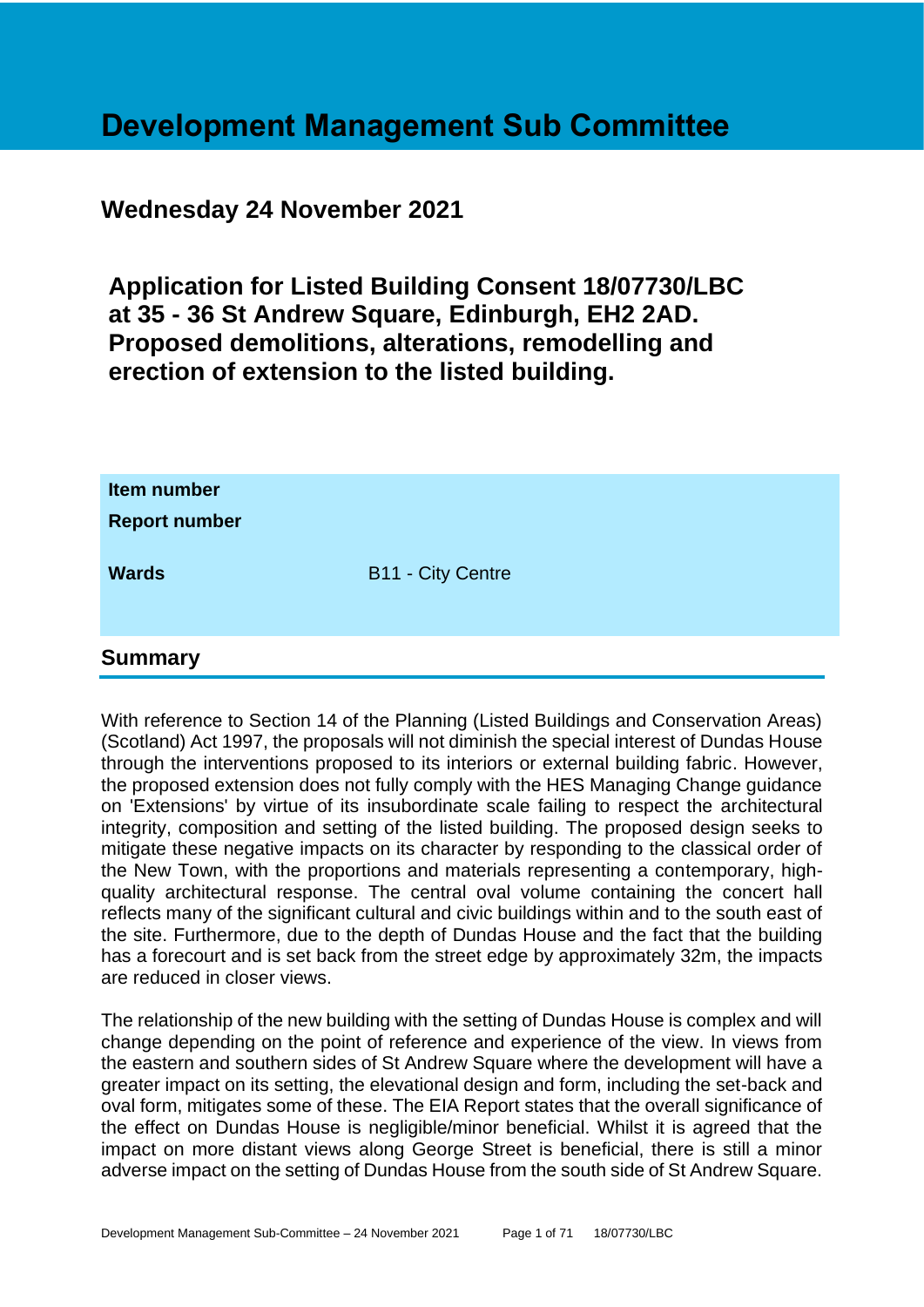# **Development Management Sub Committee**

## **Wednesday 24 November 2021**

**Application for Listed Building Consent 18/07730/LBC at 35 - 36 St Andrew Square, Edinburgh, EH2 2AD. Proposed demolitions, alterations, remodelling and erection of extension to the listed building.**

| Item number<br><b>Report number</b> |                          |
|-------------------------------------|--------------------------|
| <b>Wards</b>                        | <b>B11 - City Centre</b> |
| $\rightarrow$                       |                          |

## **Summary**

With reference to Section 14 of the Planning (Listed Buildings and Conservation Areas) (Scotland) Act 1997, the proposals will not diminish the special interest of Dundas House through the interventions proposed to its interiors or external building fabric. However, the proposed extension does not fully comply with the HES Managing Change guidance on 'Extensions' by virtue of its insubordinate scale failing to respect the architectural integrity, composition and setting of the listed building. The proposed design seeks to mitigate these negative impacts on its character by responding to the classical order of the New Town, with the proportions and materials representing a contemporary, highquality architectural response. The central oval volume containing the concert hall reflects many of the significant cultural and civic buildings within and to the south east of the site. Furthermore, due to the depth of Dundas House and the fact that the building has a forecourt and is set back from the street edge by approximately 32m, the impacts are reduced in closer views.

The relationship of the new building with the setting of Dundas House is complex and will change depending on the point of reference and experience of the view. In views from the eastern and southern sides of St Andrew Square where the development will have a greater impact on its setting, the elevational design and form, including the set-back and oval form, mitigates some of these. The EIA Report states that the overall significance of the effect on Dundas House is negligible/minor beneficial. Whilst it is agreed that the impact on more distant views along George Street is beneficial, there is still a minor adverse impact on the setting of Dundas House from the south side of St Andrew Square.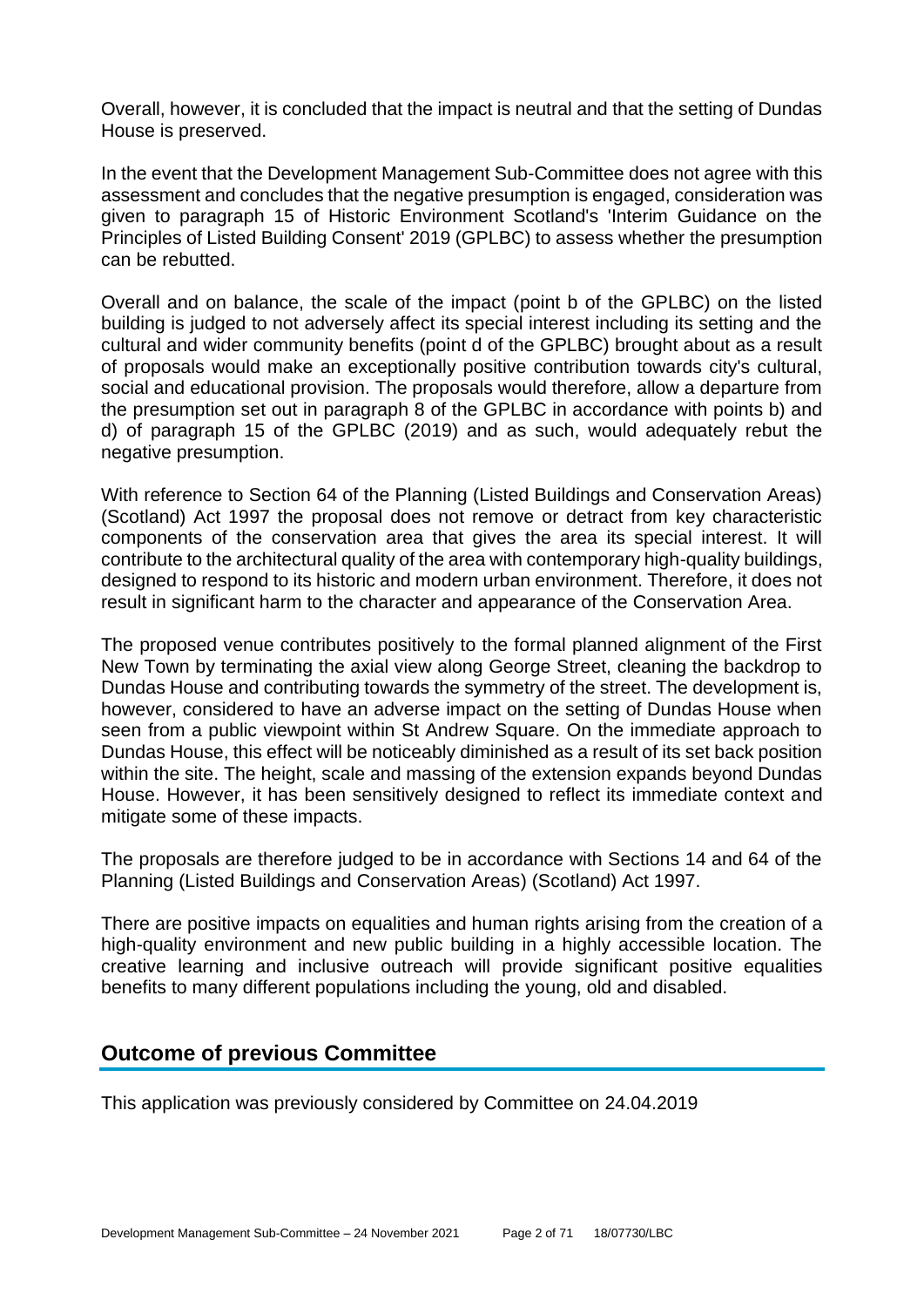Overall, however, it is concluded that the impact is neutral and that the setting of Dundas House is preserved.

In the event that the Development Management Sub-Committee does not agree with this assessment and concludes that the negative presumption is engaged, consideration was given to paragraph 15 of Historic Environment Scotland's 'Interim Guidance on the Principles of Listed Building Consent' 2019 (GPLBC) to assess whether the presumption can be rebutted.

Overall and on balance, the scale of the impact (point b of the GPLBC) on the listed building is judged to not adversely affect its special interest including its setting and the cultural and wider community benefits (point d of the GPLBC) brought about as a result of proposals would make an exceptionally positive contribution towards city's cultural, social and educational provision. The proposals would therefore, allow a departure from the presumption set out in paragraph 8 of the GPLBC in accordance with points b) and d) of paragraph 15 of the GPLBC (2019) and as such, would adequately rebut the negative presumption.

With reference to Section 64 of the Planning (Listed Buildings and Conservation Areas) (Scotland) Act 1997 the proposal does not remove or detract from key characteristic components of the conservation area that gives the area its special interest. It will contribute to the architectural quality of the area with contemporary high-quality buildings, designed to respond to its historic and modern urban environment. Therefore, it does not result in significant harm to the character and appearance of the Conservation Area.

The proposed venue contributes positively to the formal planned alignment of the First New Town by terminating the axial view along George Street, cleaning the backdrop to Dundas House and contributing towards the symmetry of the street. The development is, however, considered to have an adverse impact on the setting of Dundas House when seen from a public viewpoint within St Andrew Square. On the immediate approach to Dundas House, this effect will be noticeably diminished as a result of its set back position within the site. The height, scale and massing of the extension expands beyond Dundas House. However, it has been sensitively designed to reflect its immediate context and mitigate some of these impacts.

The proposals are therefore judged to be in accordance with Sections 14 and 64 of the Planning (Listed Buildings and Conservation Areas) (Scotland) Act 1997.

There are positive impacts on equalities and human rights arising from the creation of a high-quality environment and new public building in a highly accessible location. The creative learning and inclusive outreach will provide significant positive equalities benefits to many different populations including the young, old and disabled.

## **Outcome of previous Committee**

This application was previously considered by Committee on 24.04.2019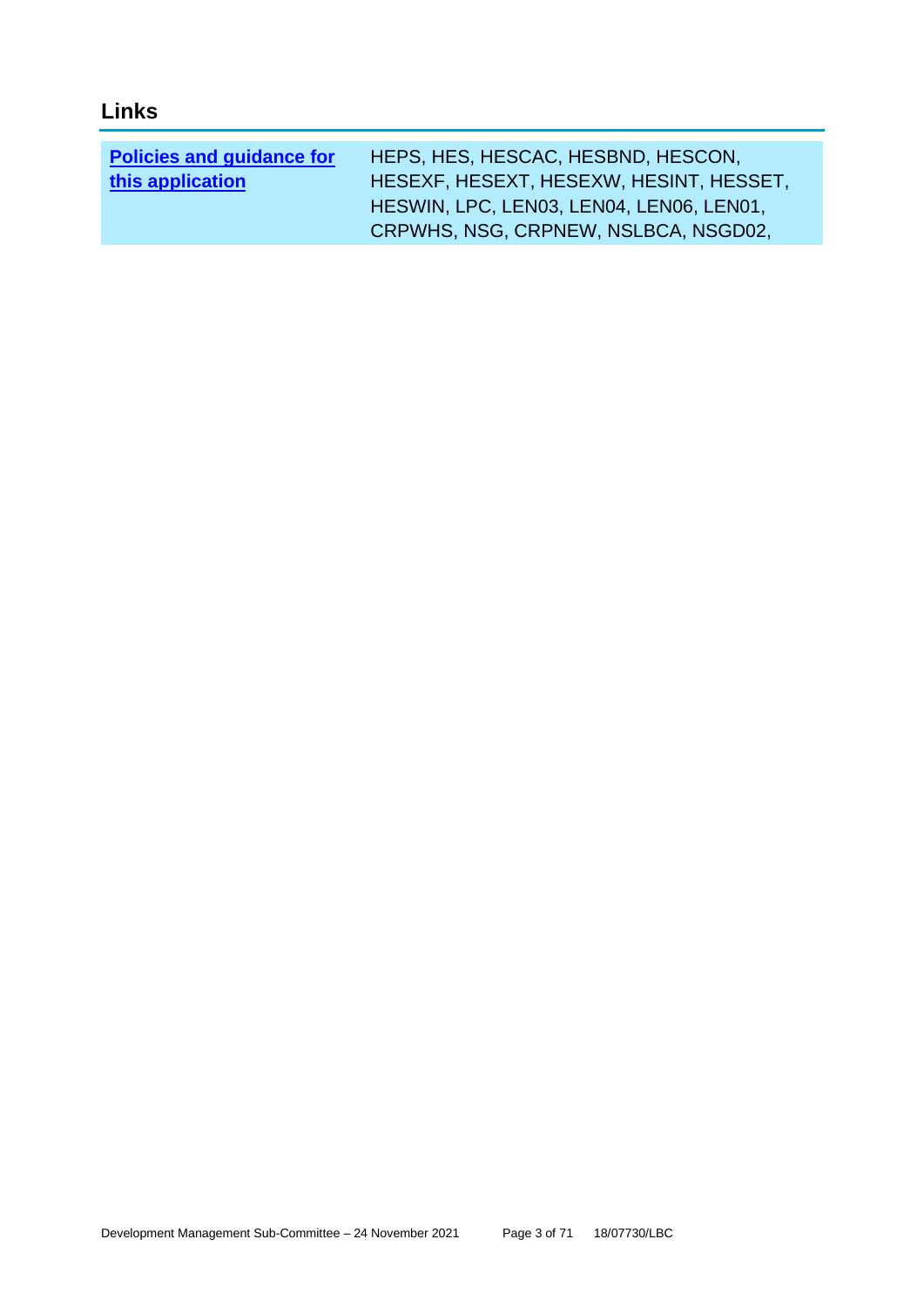## **Links**

| <b>Policies and guidance for</b> | HEPS, HES, HESCAC, HESBND, HESCON,       |
|----------------------------------|------------------------------------------|
| this application                 | HESEXF, HESEXT, HESEXW, HESINT, HESSET,  |
|                                  | HESWIN, LPC, LEN03, LEN04, LEN06, LEN01, |
|                                  | CRPWHS, NSG, CRPNEW, NSLBCA, NSGD02,     |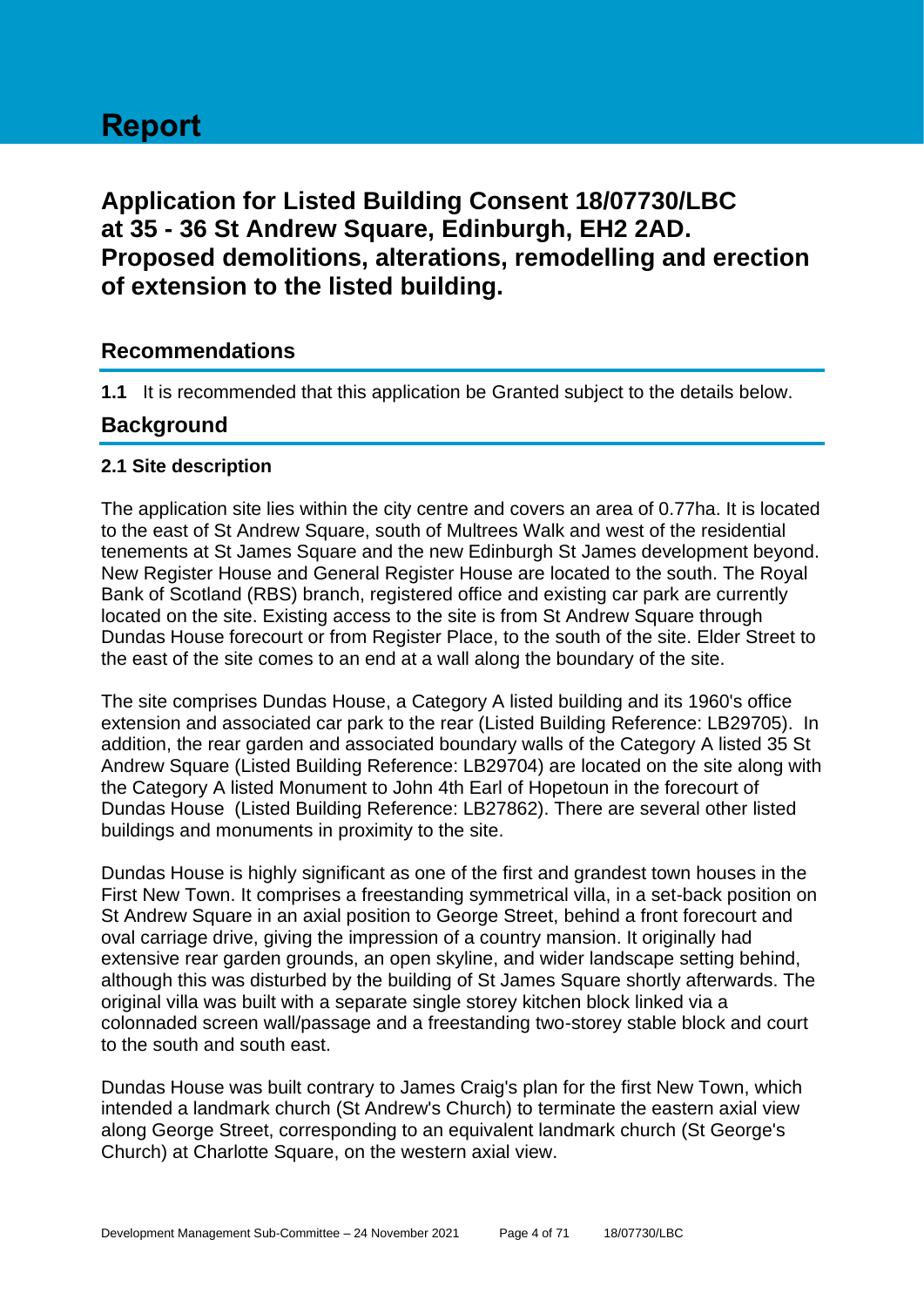# **Application for Listed Building Consent 18/07730/LBC at 35 - 36 St Andrew Square, Edinburgh, EH2 2AD. Proposed demolitions, alterations, remodelling and erection of extension to the listed building.**

## **Recommendations**

**1.1** It is recommended that this application be Granted subject to the details below.

## **Background**

## **2.1 Site description**

The application site lies within the city centre and covers an area of 0.77ha. It is located to the east of St Andrew Square, south of Multrees Walk and west of the residential tenements at St James Square and the new Edinburgh St James development beyond. New Register House and General Register House are located to the south. The Royal Bank of Scotland (RBS) branch, registered office and existing car park are currently located on the site. Existing access to the site is from St Andrew Square through Dundas House forecourt or from Register Place, to the south of the site. Elder Street to the east of the site comes to an end at a wall along the boundary of the site.

The site comprises Dundas House, a Category A listed building and its 1960's office extension and associated car park to the rear (Listed Building Reference: LB29705). In addition, the rear garden and associated boundary walls of the Category A listed 35 St Andrew Square (Listed Building Reference: LB29704) are located on the site along with the Category A listed Monument to John 4th Earl of Hopetoun in the forecourt of Dundas House (Listed Building Reference: LB27862). There are several other listed buildings and monuments in proximity to the site.

Dundas House is highly significant as one of the first and grandest town houses in the First New Town. It comprises a freestanding symmetrical villa, in a set-back position on St Andrew Square in an axial position to George Street, behind a front forecourt and oval carriage drive, giving the impression of a country mansion. It originally had extensive rear garden grounds, an open skyline, and wider landscape setting behind, although this was disturbed by the building of St James Square shortly afterwards. The original villa was built with a separate single storey kitchen block linked via a colonnaded screen wall/passage and a freestanding two-storey stable block and court to the south and south east.

Dundas House was built contrary to James Craig's plan for the first New Town, which intended a landmark church (St Andrew's Church) to terminate the eastern axial view along George Street, corresponding to an equivalent landmark church (St George's Church) at Charlotte Square, on the western axial view.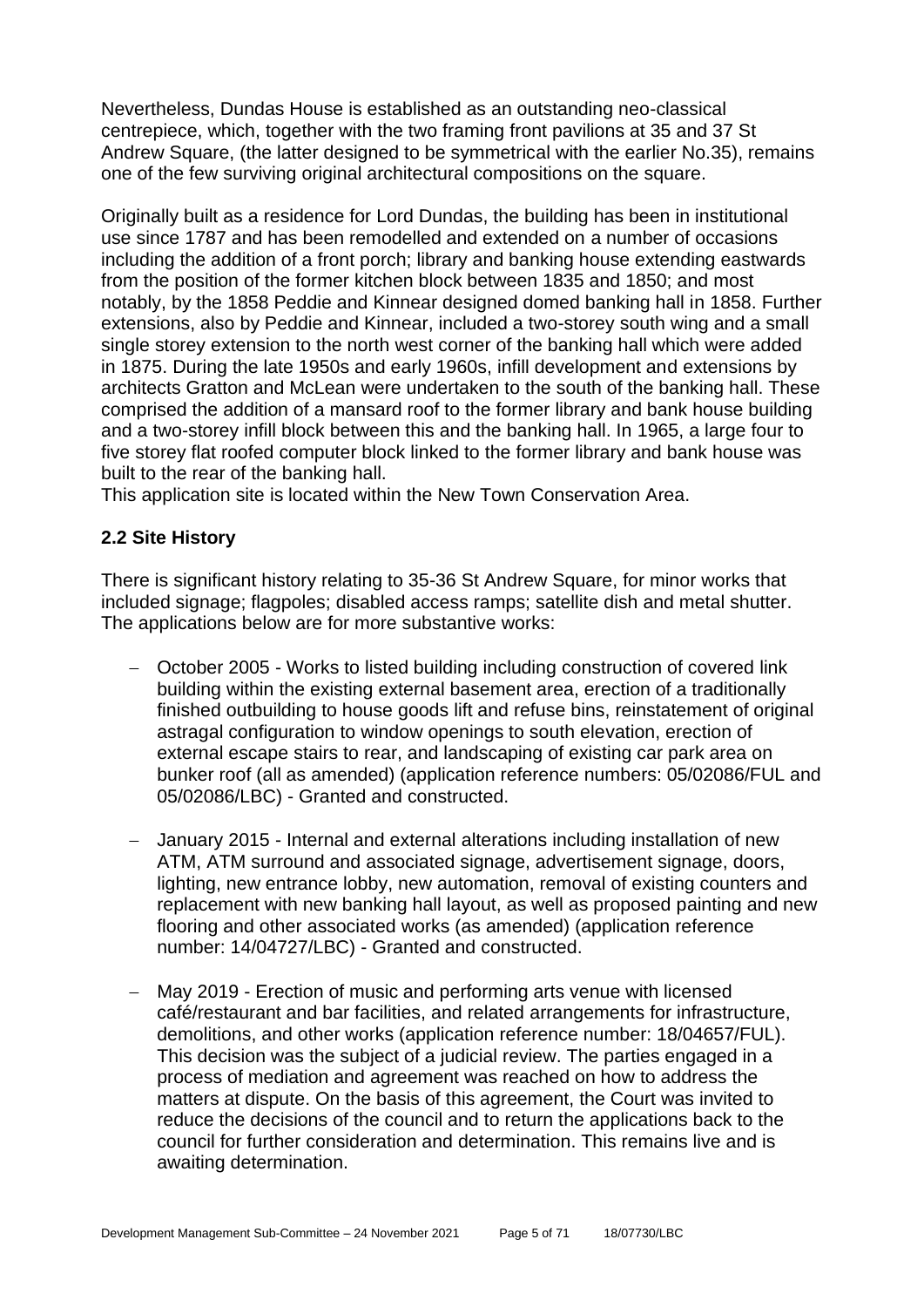Nevertheless, Dundas House is established as an outstanding neo-classical centrepiece, which, together with the two framing front pavilions at 35 and 37 St Andrew Square, (the latter designed to be symmetrical with the earlier No.35), remains one of the few surviving original architectural compositions on the square.

Originally built as a residence for Lord Dundas, the building has been in institutional use since 1787 and has been remodelled and extended on a number of occasions including the addition of a front porch; library and banking house extending eastwards from the position of the former kitchen block between 1835 and 1850; and most notably, by the 1858 Peddie and Kinnear designed domed banking hall in 1858. Further extensions, also by Peddie and Kinnear, included a two-storey south wing and a small single storey extension to the north west corner of the banking hall which were added in 1875. During the late 1950s and early 1960s, infill development and extensions by architects Gratton and McLean were undertaken to the south of the banking hall. These comprised the addition of a mansard roof to the former library and bank house building and a two-storey infill block between this and the banking hall. In 1965, a large four to five storey flat roofed computer block linked to the former library and bank house was built to the rear of the banking hall.

This application site is located within the New Town Conservation Area.

## **2.2 Site History**

There is significant history relating to 35-36 St Andrew Square, for minor works that included signage; flagpoles; disabled access ramps; satellite dish and metal shutter. The applications below are for more substantive works:

- − October 2005 Works to listed building including construction of covered link building within the existing external basement area, erection of a traditionally finished outbuilding to house goods lift and refuse bins, reinstatement of original astragal configuration to window openings to south elevation, erection of external escape stairs to rear, and landscaping of existing car park area on bunker roof (all as amended) (application reference numbers: 05/02086/FUL and 05/02086/LBC) - Granted and constructed.
- − January 2015 Internal and external alterations including installation of new ATM, ATM surround and associated signage, advertisement signage, doors, lighting, new entrance lobby, new automation, removal of existing counters and replacement with new banking hall layout, as well as proposed painting and new flooring and other associated works (as amended) (application reference number: 14/04727/LBC) - Granted and constructed.
- − May 2019 Erection of music and performing arts venue with licensed café/restaurant and bar facilities, and related arrangements for infrastructure, demolitions, and other works (application reference number: 18/04657/FUL). This decision was the subject of a judicial review. The parties engaged in a process of mediation and agreement was reached on how to address the matters at dispute. On the basis of this agreement, the Court was invited to reduce the decisions of the council and to return the applications back to the council for further consideration and determination. This remains live and is awaiting determination.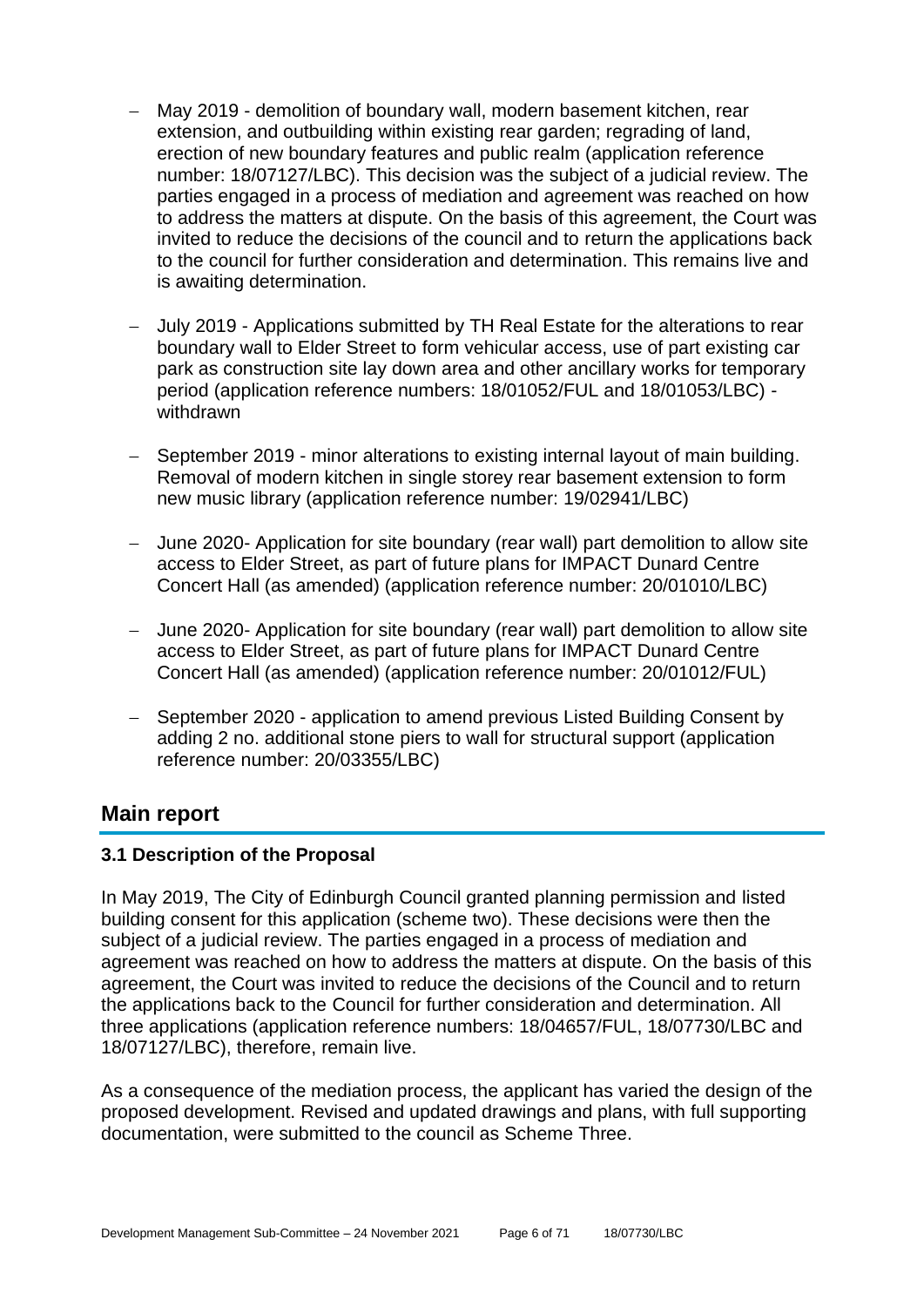- − May 2019 demolition of boundary wall, modern basement kitchen, rear extension, and outbuilding within existing rear garden; regrading of land, erection of new boundary features and public realm (application reference number: 18/07127/LBC). This decision was the subject of a judicial review. The parties engaged in a process of mediation and agreement was reached on how to address the matters at dispute. On the basis of this agreement, the Court was invited to reduce the decisions of the council and to return the applications back to the council for further consideration and determination. This remains live and is awaiting determination.
- − July 2019 Applications submitted by TH Real Estate for the alterations to rear boundary wall to Elder Street to form vehicular access, use of part existing car park as construction site lay down area and other ancillary works for temporary period (application reference numbers: 18/01052/FUL and 18/01053/LBC) withdrawn
- − September 2019 minor alterations to existing internal layout of main building. Removal of modern kitchen in single storey rear basement extension to form new music library (application reference number: 19/02941/LBC)
- − June 2020- Application for site boundary (rear wall) part demolition to allow site access to Elder Street, as part of future plans for IMPACT Dunard Centre Concert Hall (as amended) (application reference number: 20/01010/LBC)
- − June 2020- Application for site boundary (rear wall) part demolition to allow site access to Elder Street, as part of future plans for IMPACT Dunard Centre Concert Hall (as amended) (application reference number: 20/01012/FUL)
- − September 2020 application to amend previous Listed Building Consent by adding 2 no. additional stone piers to wall for structural support (application reference number: 20/03355/LBC)

## **Main report**

#### **3.1 Description of the Proposal**

In May 2019, The City of Edinburgh Council granted planning permission and listed building consent for this application (scheme two). These decisions were then the subject of a judicial review. The parties engaged in a process of mediation and agreement was reached on how to address the matters at dispute. On the basis of this agreement, the Court was invited to reduce the decisions of the Council and to return the applications back to the Council for further consideration and determination. All three applications (application reference numbers: 18/04657/FUL, 18/07730/LBC and 18/07127/LBC), therefore, remain live.

As a consequence of the mediation process, the applicant has varied the design of the proposed development. Revised and updated drawings and plans, with full supporting documentation, were submitted to the council as Scheme Three.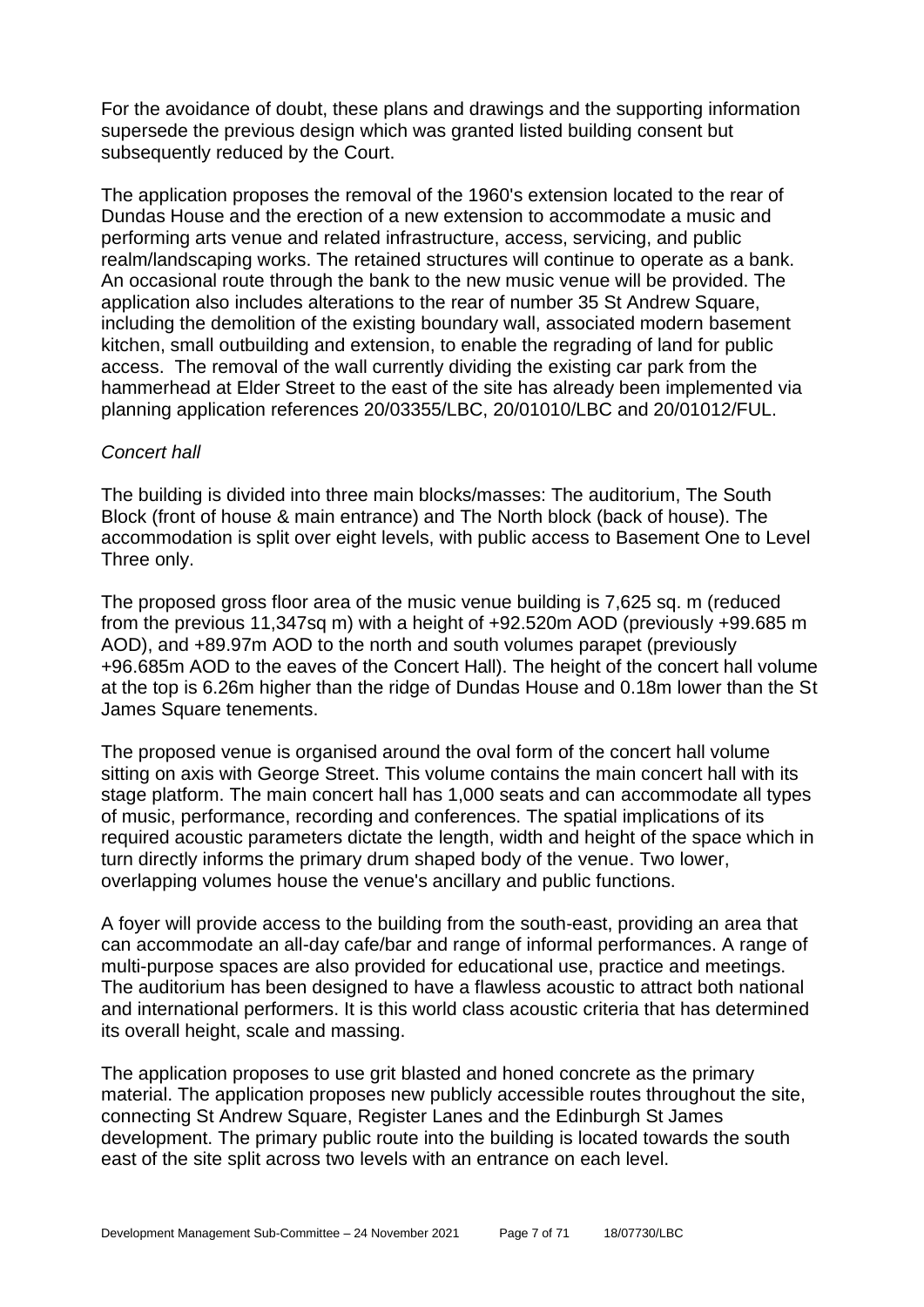For the avoidance of doubt, these plans and drawings and the supporting information supersede the previous design which was granted listed building consent but subsequently reduced by the Court.

The application proposes the removal of the 1960's extension located to the rear of Dundas House and the erection of a new extension to accommodate a music and performing arts venue and related infrastructure, access, servicing, and public realm/landscaping works. The retained structures will continue to operate as a bank. An occasional route through the bank to the new music venue will be provided. The application also includes alterations to the rear of number 35 St Andrew Square, including the demolition of the existing boundary wall, associated modern basement kitchen, small outbuilding and extension, to enable the regrading of land for public access. The removal of the wall currently dividing the existing car park from the hammerhead at Elder Street to the east of the site has already been implemented via planning application references 20/03355/LBC, 20/01010/LBC and 20/01012/FUL.

#### *Concert hall*

The building is divided into three main blocks/masses: The auditorium, The South Block (front of house & main entrance) and The North block (back of house). The accommodation is split over eight levels, with public access to Basement One to Level Three only.

The proposed gross floor area of the music venue building is 7,625 sq. m (reduced from the previous 11,347sq m) with a height of +92.520m AOD (previously +99.685 m AOD), and +89.97m AOD to the north and south volumes parapet (previously +96.685m AOD to the eaves of the Concert Hall). The height of the concert hall volume at the top is 6.26m higher than the ridge of Dundas House and 0.18m lower than the St James Square tenements.

The proposed venue is organised around the oval form of the concert hall volume sitting on axis with George Street. This volume contains the main concert hall with its stage platform. The main concert hall has 1,000 seats and can accommodate all types of music, performance, recording and conferences. The spatial implications of its required acoustic parameters dictate the length, width and height of the space which in turn directly informs the primary drum shaped body of the venue. Two lower, overlapping volumes house the venue's ancillary and public functions.

A foyer will provide access to the building from the south-east, providing an area that can accommodate an all-day cafe/bar and range of informal performances. A range of multi-purpose spaces are also provided for educational use, practice and meetings. The auditorium has been designed to have a flawless acoustic to attract both national and international performers. It is this world class acoustic criteria that has determined its overall height, scale and massing.

The application proposes to use grit blasted and honed concrete as the primary material. The application proposes new publicly accessible routes throughout the site, connecting St Andrew Square, Register Lanes and the Edinburgh St James development. The primary public route into the building is located towards the south east of the site split across two levels with an entrance on each level.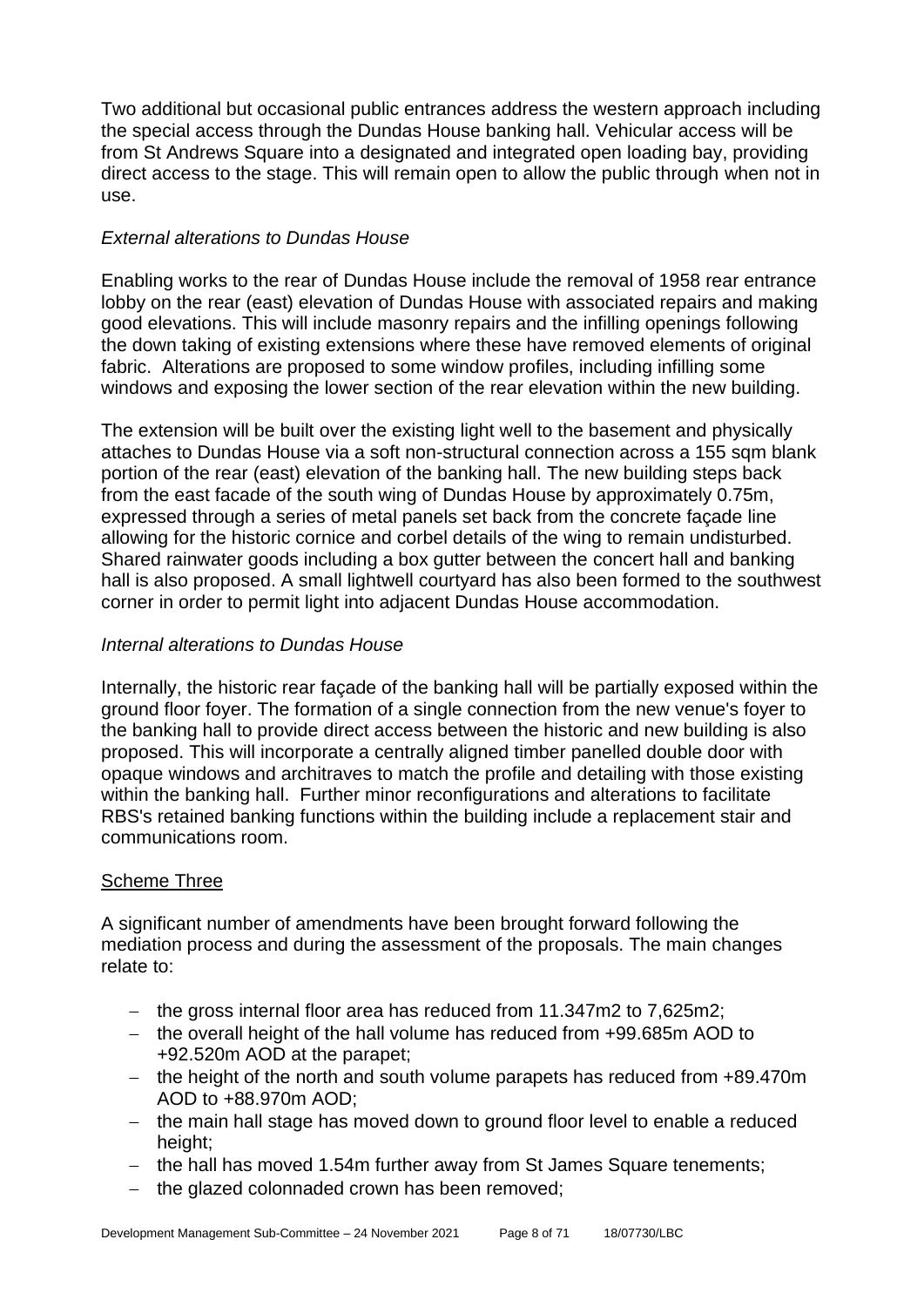Two additional but occasional public entrances address the western approach including the special access through the Dundas House banking hall. Vehicular access will be from St Andrews Square into a designated and integrated open loading bay, providing direct access to the stage. This will remain open to allow the public through when not in use.

## *External alterations to Dundas House*

Enabling works to the rear of Dundas House include the removal of 1958 rear entrance lobby on the rear (east) elevation of Dundas House with associated repairs and making good elevations. This will include masonry repairs and the infilling openings following the down taking of existing extensions where these have removed elements of original fabric. Alterations are proposed to some window profiles, including infilling some windows and exposing the lower section of the rear elevation within the new building.

The extension will be built over the existing light well to the basement and physically attaches to Dundas House via a soft non-structural connection across a 155 sqm blank portion of the rear (east) elevation of the banking hall. The new building steps back from the east facade of the south wing of Dundas House by approximately 0.75m, expressed through a series of metal panels set back from the concrete façade line allowing for the historic cornice and corbel details of the wing to remain undisturbed. Shared rainwater goods including a box gutter between the concert hall and banking hall is also proposed. A small lightwell courtyard has also been formed to the southwest corner in order to permit light into adjacent Dundas House accommodation.

## *Internal alterations to Dundas House*

Internally, the historic rear façade of the banking hall will be partially exposed within the ground floor foyer. The formation of a single connection from the new venue's foyer to the banking hall to provide direct access between the historic and new building is also proposed. This will incorporate a centrally aligned timber panelled double door with opaque windows and architraves to match the profile and detailing with those existing within the banking hall. Further minor reconfigurations and alterations to facilitate RBS's retained banking functions within the building include a replacement stair and communications room.

#### Scheme Three

A significant number of amendments have been brought forward following the mediation process and during the assessment of the proposals. The main changes relate to:

- − the gross internal floor area has reduced from 11.347m2 to 7,625m2;
- − the overall height of the hall volume has reduced from +99.685m AOD to +92.520m AOD at the parapet;
- − the height of the north and south volume parapets has reduced from +89.470m AOD to +88.970m AOD;
- − the main hall stage has moved down to ground floor level to enable a reduced height:
- − the hall has moved 1.54m further away from St James Square tenements;
- − the glazed colonnaded crown has been removed;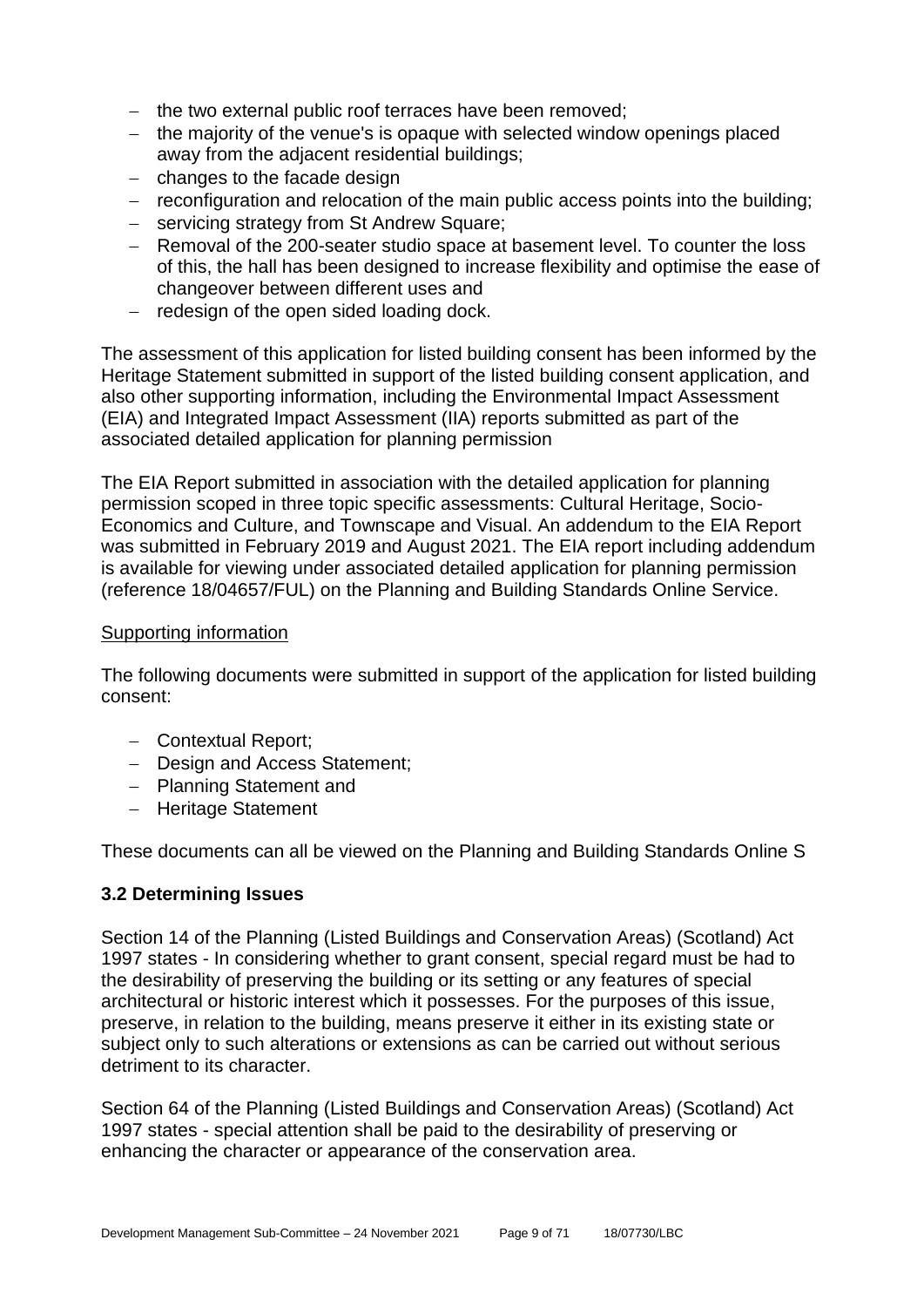- − the two external public roof terraces have been removed;
- − the majority of the venue's is opaque with selected window openings placed away from the adjacent residential buildings;
- − changes to the facade design
- − reconfiguration and relocation of the main public access points into the building;
- − servicing strategy from St Andrew Square;
- − Removal of the 200-seater studio space at basement level. To counter the loss of this, the hall has been designed to increase flexibility and optimise the ease of changeover between different uses and
- − redesign of the open sided loading dock.

The assessment of this application for listed building consent has been informed by the Heritage Statement submitted in support of the listed building consent application, and also other supporting information, including the Environmental Impact Assessment (EIA) and Integrated Impact Assessment (IIA) reports submitted as part of the associated detailed application for planning permission

The EIA Report submitted in association with the detailed application for planning permission scoped in three topic specific assessments: Cultural Heritage, Socio-Economics and Culture, and Townscape and Visual. An addendum to the EIA Report was submitted in February 2019 and August 2021. The EIA report including addendum is available for viewing under associated detailed application for planning permission (reference 18/04657/FUL) on the Planning and Building Standards Online Service.

#### Supporting information

The following documents were submitted in support of the application for listed building consent:

- − Contextual Report;
- − Design and Access Statement;
- − Planning Statement and
- − Heritage Statement

These documents can all be viewed on the Planning and Building Standards Online S

#### **3.2 Determining Issues**

Section 14 of the Planning (Listed Buildings and Conservation Areas) (Scotland) Act 1997 states - In considering whether to grant consent, special regard must be had to the desirability of preserving the building or its setting or any features of special architectural or historic interest which it possesses. For the purposes of this issue, preserve, in relation to the building, means preserve it either in its existing state or subject only to such alterations or extensions as can be carried out without serious detriment to its character.

Section 64 of the Planning (Listed Buildings and Conservation Areas) (Scotland) Act 1997 states - special attention shall be paid to the desirability of preserving or enhancing the character or appearance of the conservation area.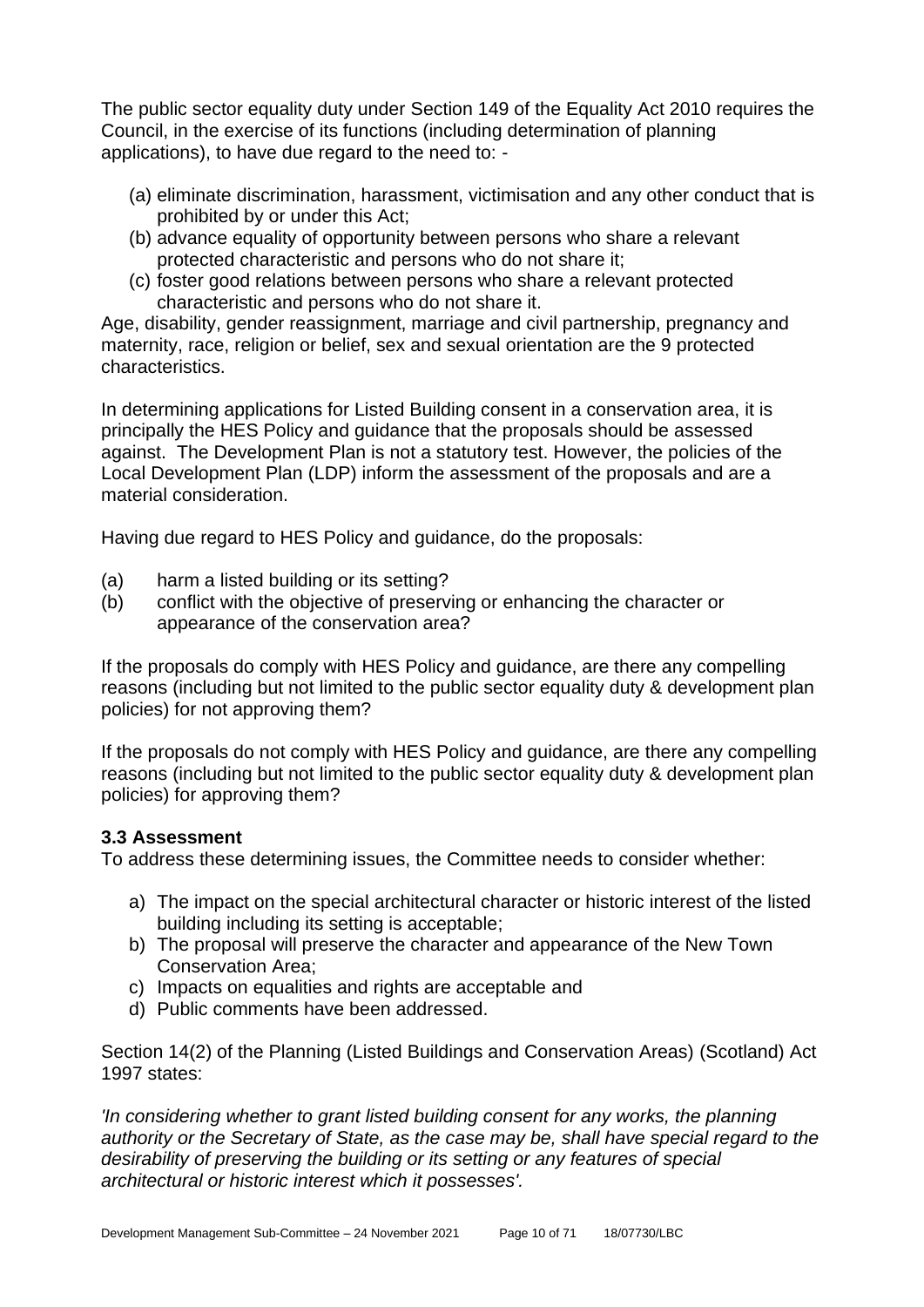The public sector equality duty under Section 149 of the Equality Act 2010 requires the Council, in the exercise of its functions (including determination of planning applications), to have due regard to the need to: -

- (a) eliminate discrimination, harassment, victimisation and any other conduct that is prohibited by or under this Act;
- (b) advance equality of opportunity between persons who share a relevant protected characteristic and persons who do not share it;
- (c) foster good relations between persons who share a relevant protected characteristic and persons who do not share it.

Age, disability, gender reassignment, marriage and civil partnership, pregnancy and maternity, race, religion or belief, sex and sexual orientation are the 9 protected characteristics.

In determining applications for Listed Building consent in a conservation area, it is principally the HES Policy and guidance that the proposals should be assessed against. The Development Plan is not a statutory test. However, the policies of the Local Development Plan (LDP) inform the assessment of the proposals and are a material consideration.

Having due regard to HES Policy and guidance, do the proposals:

- (a) harm a listed building or its setting?
- (b) conflict with the objective of preserving or enhancing the character or appearance of the conservation area?

If the proposals do comply with HES Policy and guidance, are there any compelling reasons (including but not limited to the public sector equality duty & development plan policies) for not approving them?

If the proposals do not comply with HES Policy and guidance, are there any compelling reasons (including but not limited to the public sector equality duty & development plan policies) for approving them?

## **3.3 Assessment**

To address these determining issues, the Committee needs to consider whether:

- a) The impact on the special architectural character or historic interest of the listed building including its setting is acceptable;
- b) The proposal will preserve the character and appearance of the New Town Conservation Area;
- c) Impacts on equalities and rights are acceptable and
- d) Public comments have been addressed.

Section 14(2) of the Planning (Listed Buildings and Conservation Areas) (Scotland) Act 1997 states:

*'In considering whether to grant listed building consent for any works, the planning authority or the Secretary of State, as the case may be, shall have special regard to the desirability of preserving the building or its setting or any features of special architectural or historic interest which it possesses'.*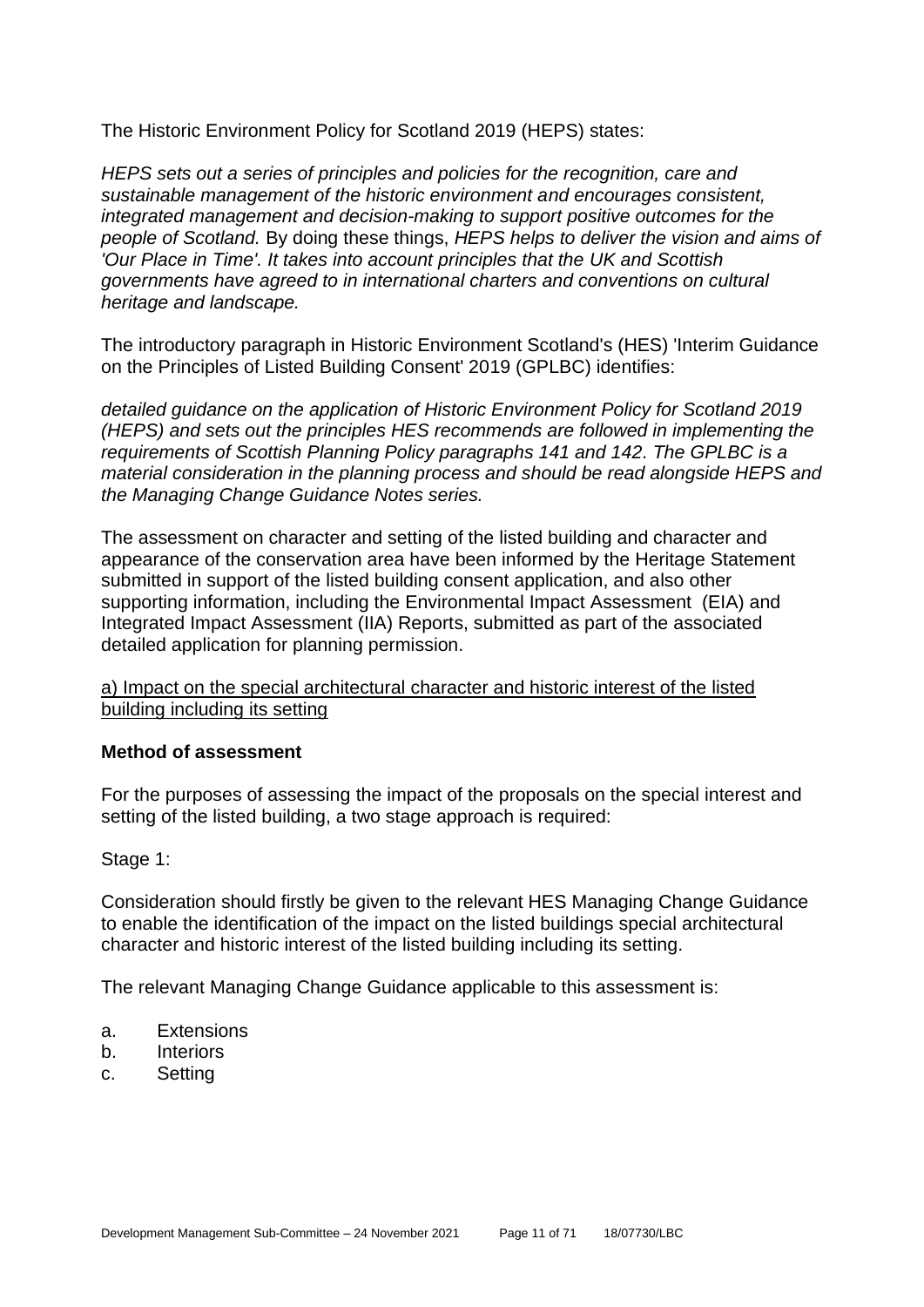The Historic Environment Policy for Scotland 2019 (HEPS) states:

*HEPS sets out a series of principles and policies for the recognition, care and sustainable management of the historic environment and encourages consistent, integrated management and decision-making to support positive outcomes for the people of Scotland.* By doing these things, *HEPS helps to deliver the vision and aims of 'Our Place in Time'. It takes into account principles that the UK and Scottish governments have agreed to in international charters and conventions on cultural heritage and landscape.*

The introductory paragraph in Historic Environment Scotland's (HES) 'Interim Guidance on the Principles of Listed Building Consent' 2019 (GPLBC) identifies:

*detailed guidance on the application of Historic Environment Policy for Scotland 2019 (HEPS) and sets out the principles HES recommends are followed in implementing the requirements of Scottish Planning Policy paragraphs 141 and 142. The GPLBC is a material consideration in the planning process and should be read alongside HEPS and the Managing Change Guidance Notes series.*

The assessment on character and setting of the listed building and character and appearance of the conservation area have been informed by the Heritage Statement submitted in support of the listed building consent application, and also other supporting information, including the Environmental Impact Assessment (EIA) and Integrated Impact Assessment (IIA) Reports, submitted as part of the associated detailed application for planning permission.

a) Impact on the special architectural character and historic interest of the listed building including its setting

#### **Method of assessment**

For the purposes of assessing the impact of the proposals on the special interest and setting of the listed building, a two stage approach is required:

Stage 1:

Consideration should firstly be given to the relevant HES Managing Change Guidance to enable the identification of the impact on the listed buildings special architectural character and historic interest of the listed building including its setting.

The relevant Managing Change Guidance applicable to this assessment is:

- a. Extensions
- b. Interiors
- c. Setting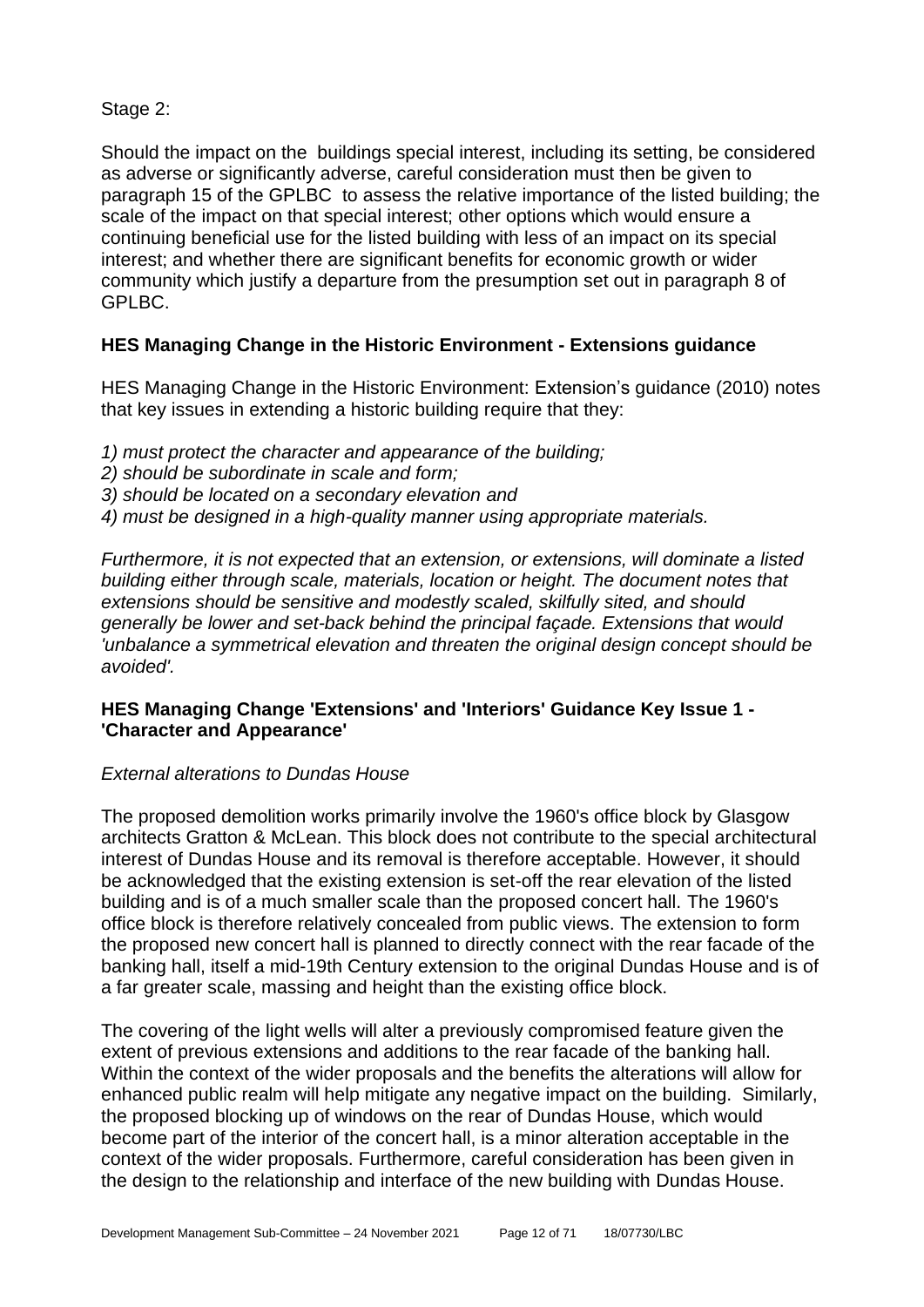Stage 2:

Should the impact on the buildings special interest, including its setting, be considered as adverse or significantly adverse, careful consideration must then be given to paragraph 15 of the GPLBC to assess the relative importance of the listed building; the scale of the impact on that special interest; other options which would ensure a continuing beneficial use for the listed building with less of an impact on its special interest; and whether there are significant benefits for economic growth or wider community which justify a departure from the presumption set out in paragraph 8 of GPLBC.

## **HES Managing Change in the Historic Environment - Extensions guidance**

HES Managing Change in the Historic Environment: Extension's guidance (2010) notes that key issues in extending a historic building require that they:

- *1) must protect the character and appearance of the building;*
- *2) should be subordinate in scale and form;*
- *3) should be located on a secondary elevation and*
- *4) must be designed in a high-quality manner using appropriate materials.*

*Furthermore, it is not expected that an extension, or extensions, will dominate a listed building either through scale, materials, location or height. The document notes that extensions should be sensitive and modestly scaled, skilfully sited, and should generally be lower and set-back behind the principal façade. Extensions that would 'unbalance a symmetrical elevation and threaten the original design concept should be avoided'.*

## **HES Managing Change 'Extensions' and 'Interiors' Guidance Key Issue 1 - 'Character and Appearance'**

#### *External alterations to Dundas House*

The proposed demolition works primarily involve the 1960's office block by Glasgow architects Gratton & McLean. This block does not contribute to the special architectural interest of Dundas House and its removal is therefore acceptable. However, it should be acknowledged that the existing extension is set-off the rear elevation of the listed building and is of a much smaller scale than the proposed concert hall. The 1960's office block is therefore relatively concealed from public views. The extension to form the proposed new concert hall is planned to directly connect with the rear facade of the banking hall, itself a mid-19th Century extension to the original Dundas House and is of a far greater scale, massing and height than the existing office block.

The covering of the light wells will alter a previously compromised feature given the extent of previous extensions and additions to the rear facade of the banking hall. Within the context of the wider proposals and the benefits the alterations will allow for enhanced public realm will help mitigate any negative impact on the building. Similarly, the proposed blocking up of windows on the rear of Dundas House, which would become part of the interior of the concert hall, is a minor alteration acceptable in the context of the wider proposals. Furthermore, careful consideration has been given in the design to the relationship and interface of the new building with Dundas House.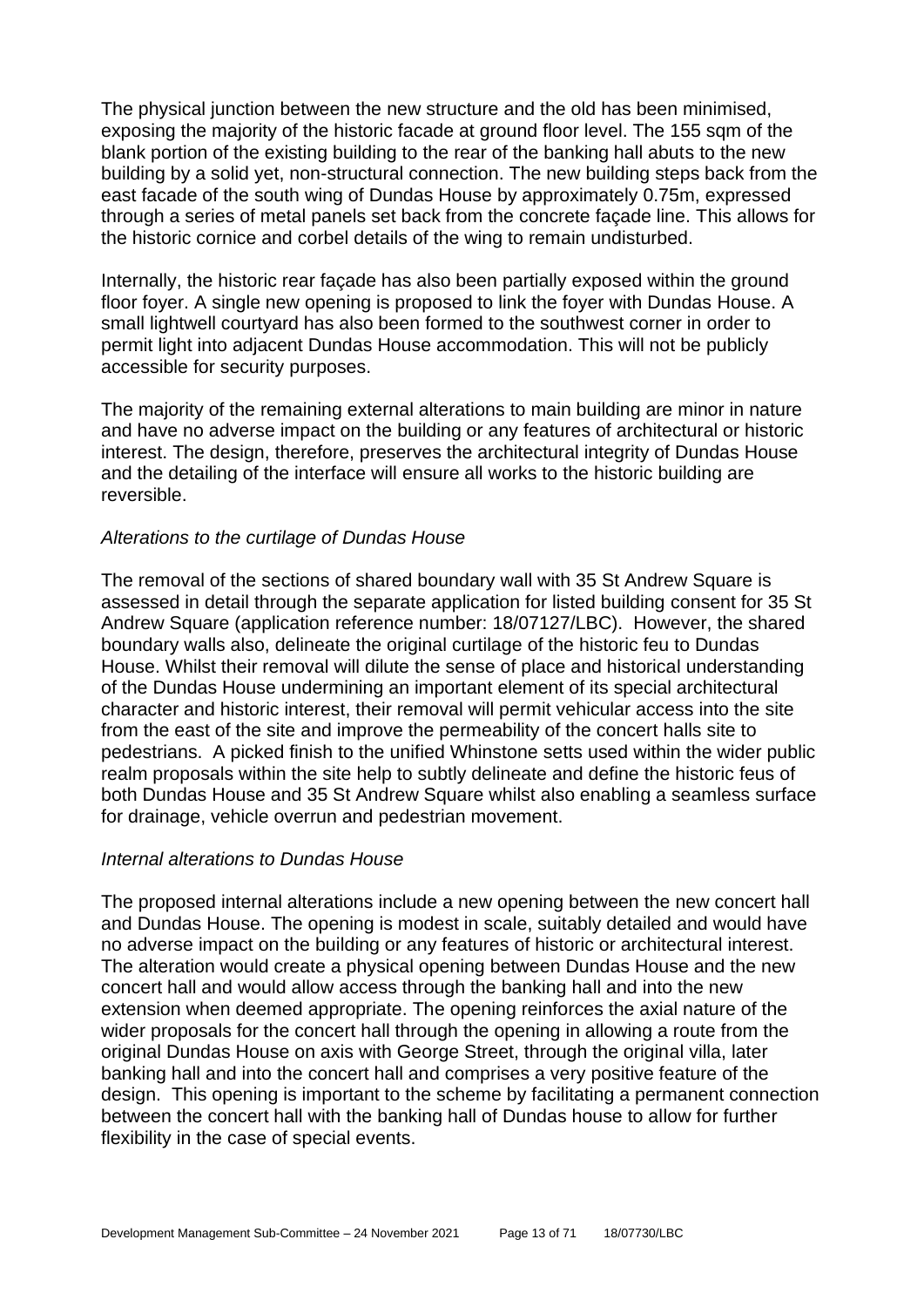The physical junction between the new structure and the old has been minimised, exposing the majority of the historic facade at ground floor level. The 155 sqm of the blank portion of the existing building to the rear of the banking hall abuts to the new building by a solid yet, non-structural connection. The new building steps back from the east facade of the south wing of Dundas House by approximately 0.75m, expressed through a series of metal panels set back from the concrete façade line. This allows for the historic cornice and corbel details of the wing to remain undisturbed.

Internally, the historic rear façade has also been partially exposed within the ground floor foyer. A single new opening is proposed to link the foyer with Dundas House. A small lightwell courtyard has also been formed to the southwest corner in order to permit light into adjacent Dundas House accommodation. This will not be publicly accessible for security purposes.

The majority of the remaining external alterations to main building are minor in nature and have no adverse impact on the building or any features of architectural or historic interest. The design, therefore, preserves the architectural integrity of Dundas House and the detailing of the interface will ensure all works to the historic building are reversible.

#### *Alterations to the curtilage of Dundas House*

The removal of the sections of shared boundary wall with 35 St Andrew Square is assessed in detail through the separate application for listed building consent for 35 St Andrew Square (application reference number: 18/07127/LBC). However, the shared boundary walls also, delineate the original curtilage of the historic feu to Dundas House. Whilst their removal will dilute the sense of place and historical understanding of the Dundas House undermining an important element of its special architectural character and historic interest, their removal will permit vehicular access into the site from the east of the site and improve the permeability of the concert halls site to pedestrians. A picked finish to the unified Whinstone setts used within the wider public realm proposals within the site help to subtly delineate and define the historic feus of both Dundas House and 35 St Andrew Square whilst also enabling a seamless surface for drainage, vehicle overrun and pedestrian movement.

#### *Internal alterations to Dundas House*

The proposed internal alterations include a new opening between the new concert hall and Dundas House. The opening is modest in scale, suitably detailed and would have no adverse impact on the building or any features of historic or architectural interest. The alteration would create a physical opening between Dundas House and the new concert hall and would allow access through the banking hall and into the new extension when deemed appropriate. The opening reinforces the axial nature of the wider proposals for the concert hall through the opening in allowing a route from the original Dundas House on axis with George Street, through the original villa, later banking hall and into the concert hall and comprises a very positive feature of the design. This opening is important to the scheme by facilitating a permanent connection between the concert hall with the banking hall of Dundas house to allow for further flexibility in the case of special events.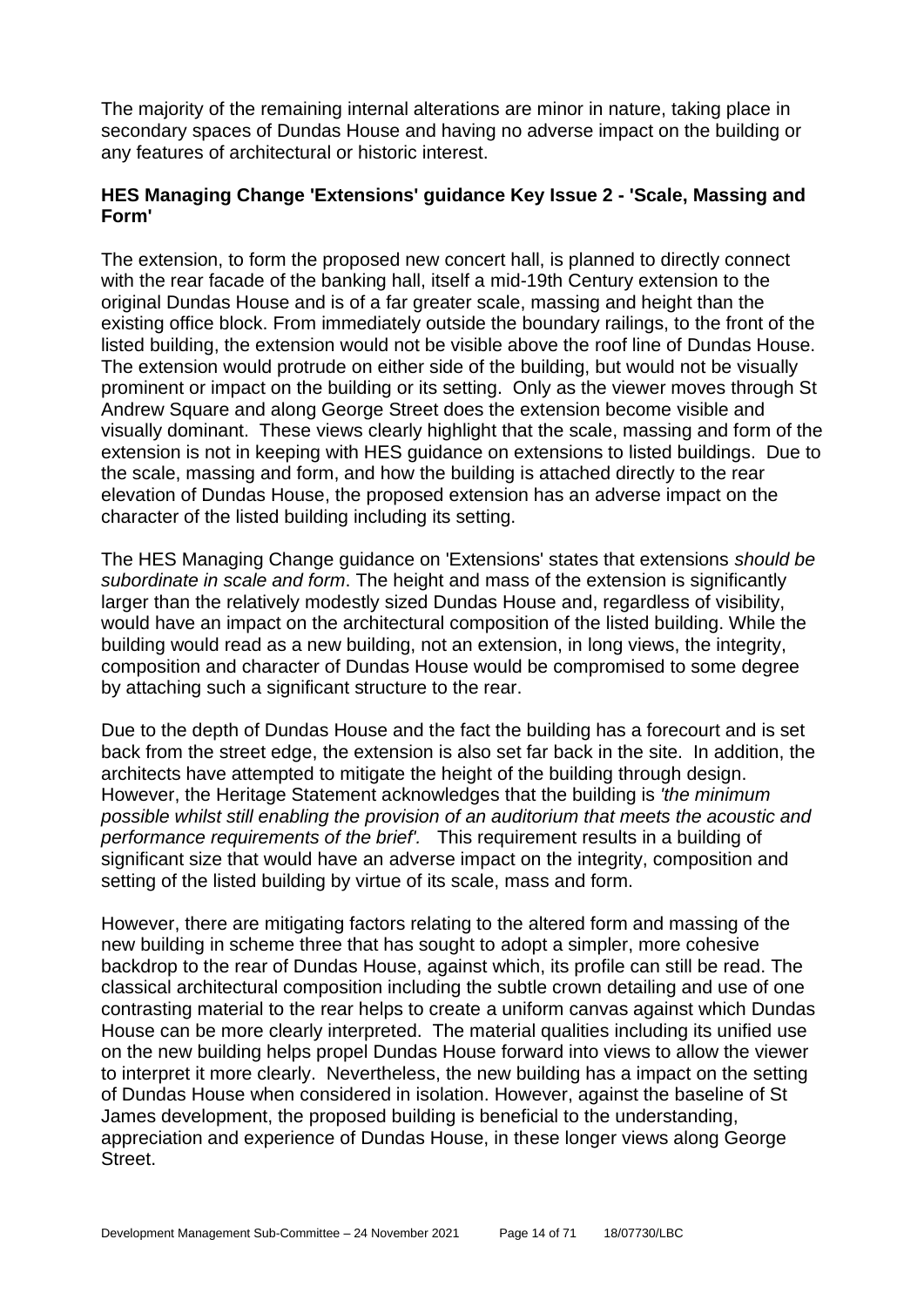The majority of the remaining internal alterations are minor in nature, taking place in secondary spaces of Dundas House and having no adverse impact on the building or any features of architectural or historic interest.

## **HES Managing Change 'Extensions' guidance Key Issue 2 - 'Scale, Massing and Form'**

The extension, to form the proposed new concert hall, is planned to directly connect with the rear facade of the banking hall, itself a mid-19th Century extension to the original Dundas House and is of a far greater scale, massing and height than the existing office block. From immediately outside the boundary railings, to the front of the listed building, the extension would not be visible above the roof line of Dundas House. The extension would protrude on either side of the building, but would not be visually prominent or impact on the building or its setting. Only as the viewer moves through St Andrew Square and along George Street does the extension become visible and visually dominant. These views clearly highlight that the scale, massing and form of the extension is not in keeping with HES guidance on extensions to listed buildings. Due to the scale, massing and form, and how the building is attached directly to the rear elevation of Dundas House, the proposed extension has an adverse impact on the character of the listed building including its setting.

The HES Managing Change guidance on 'Extensions' states that extensions *should be subordinate in scale and form*. The height and mass of the extension is significantly larger than the relatively modestly sized Dundas House and, regardless of visibility, would have an impact on the architectural composition of the listed building. While the building would read as a new building, not an extension, in long views, the integrity, composition and character of Dundas House would be compromised to some degree by attaching such a significant structure to the rear.

Due to the depth of Dundas House and the fact the building has a forecourt and is set back from the street edge, the extension is also set far back in the site. In addition, the architects have attempted to mitigate the height of the building through design. However, the Heritage Statement acknowledges that the building is *'the minimum possible whilst still enabling the provision of an auditorium that meets the acoustic and performance requirements of the brief'.* This requirement results in a building of significant size that would have an adverse impact on the integrity, composition and setting of the listed building by virtue of its scale, mass and form.

However, there are mitigating factors relating to the altered form and massing of the new building in scheme three that has sought to adopt a simpler, more cohesive backdrop to the rear of Dundas House, against which, its profile can still be read. The classical architectural composition including the subtle crown detailing and use of one contrasting material to the rear helps to create a uniform canvas against which Dundas House can be more clearly interpreted. The material qualities including its unified use on the new building helps propel Dundas House forward into views to allow the viewer to interpret it more clearly. Nevertheless, the new building has a impact on the setting of Dundas House when considered in isolation. However, against the baseline of St James development, the proposed building is beneficial to the understanding, appreciation and experience of Dundas House, in these longer views along George Street.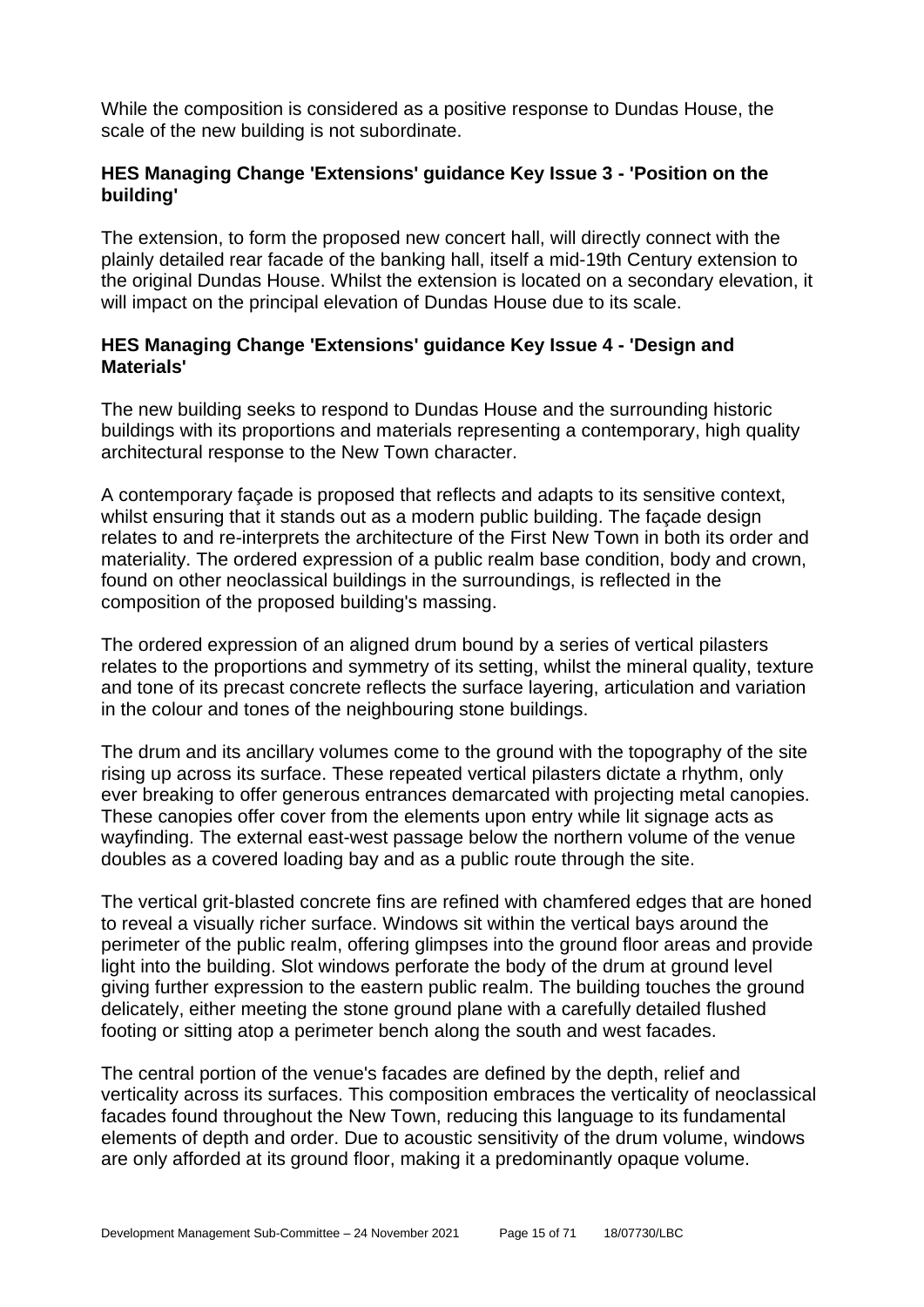While the composition is considered as a positive response to Dundas House, the scale of the new building is not subordinate.

#### **HES Managing Change 'Extensions' guidance Key Issue 3 - 'Position on the building'**

The extension, to form the proposed new concert hall, will directly connect with the plainly detailed rear facade of the banking hall, itself a mid-19th Century extension to the original Dundas House. Whilst the extension is located on a secondary elevation, it will impact on the principal elevation of Dundas House due to its scale.

#### **HES Managing Change 'Extensions' guidance Key Issue 4 - 'Design and Materials'**

The new building seeks to respond to Dundas House and the surrounding historic buildings with its proportions and materials representing a contemporary, high quality architectural response to the New Town character.

A contemporary façade is proposed that reflects and adapts to its sensitive context, whilst ensuring that it stands out as a modern public building. The façade design relates to and re-interprets the architecture of the First New Town in both its order and materiality. The ordered expression of a public realm base condition, body and crown, found on other neoclassical buildings in the surroundings, is reflected in the composition of the proposed building's massing.

The ordered expression of an aligned drum bound by a series of vertical pilasters relates to the proportions and symmetry of its setting, whilst the mineral quality, texture and tone of its precast concrete reflects the surface layering, articulation and variation in the colour and tones of the neighbouring stone buildings.

The drum and its ancillary volumes come to the ground with the topography of the site rising up across its surface. These repeated vertical pilasters dictate a rhythm, only ever breaking to offer generous entrances demarcated with projecting metal canopies. These canopies offer cover from the elements upon entry while lit signage acts as wayfinding. The external east-west passage below the northern volume of the venue doubles as a covered loading bay and as a public route through the site.

The vertical grit-blasted concrete fins are refined with chamfered edges that are honed to reveal a visually richer surface. Windows sit within the vertical bays around the perimeter of the public realm, offering glimpses into the ground floor areas and provide light into the building. Slot windows perforate the body of the drum at ground level giving further expression to the eastern public realm. The building touches the ground delicately, either meeting the stone ground plane with a carefully detailed flushed footing or sitting atop a perimeter bench along the south and west facades.

The central portion of the venue's facades are defined by the depth, relief and verticality across its surfaces. This composition embraces the verticality of neoclassical facades found throughout the New Town, reducing this language to its fundamental elements of depth and order. Due to acoustic sensitivity of the drum volume, windows are only afforded at its ground floor, making it a predominantly opaque volume.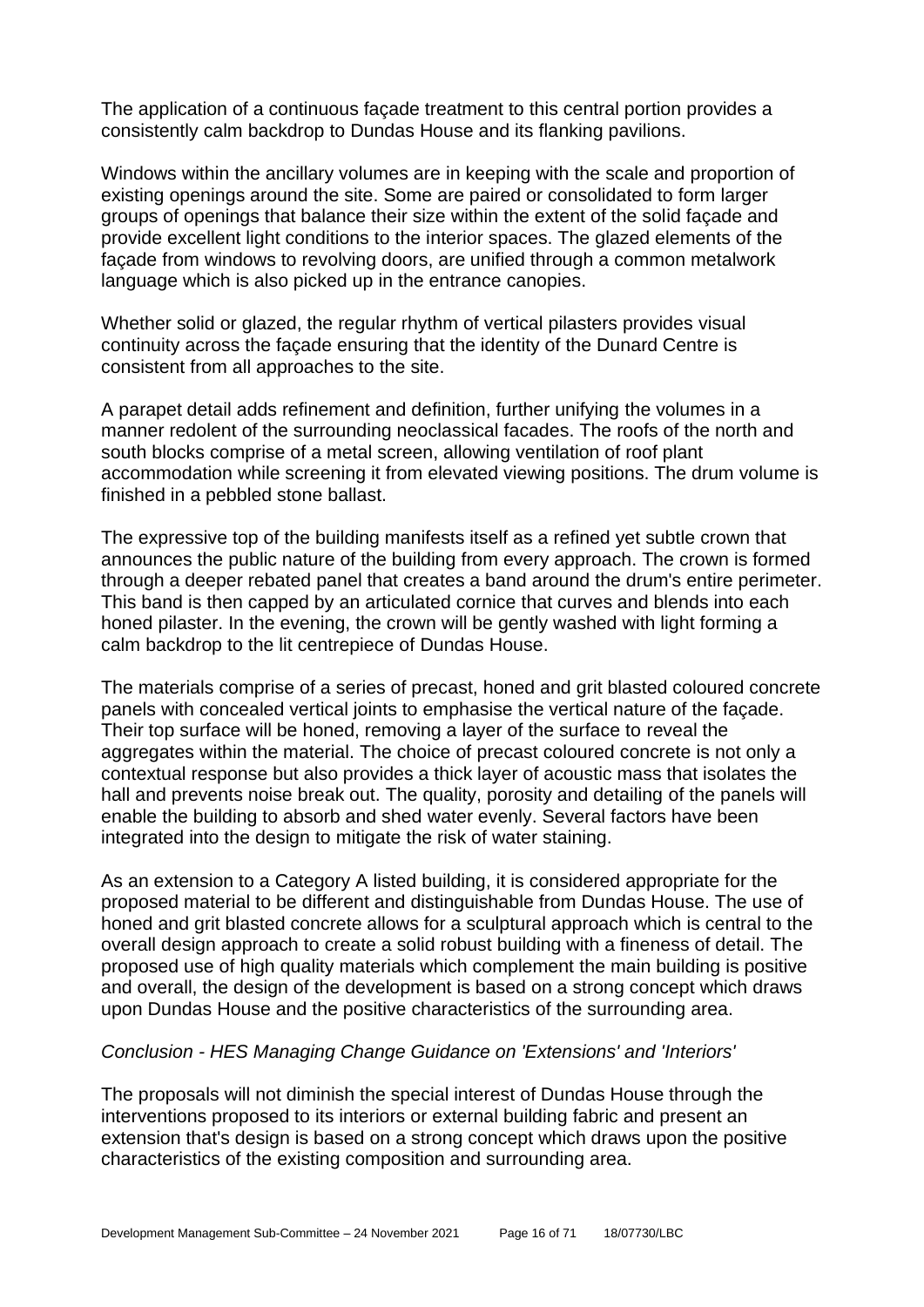The application of a continuous façade treatment to this central portion provides a consistently calm backdrop to Dundas House and its flanking pavilions.

Windows within the ancillary volumes are in keeping with the scale and proportion of existing openings around the site. Some are paired or consolidated to form larger groups of openings that balance their size within the extent of the solid façade and provide excellent light conditions to the interior spaces. The glazed elements of the façade from windows to revolving doors, are unified through a common metalwork language which is also picked up in the entrance canopies.

Whether solid or glazed, the regular rhythm of vertical pilasters provides visual continuity across the façade ensuring that the identity of the Dunard Centre is consistent from all approaches to the site.

A parapet detail adds refinement and definition, further unifying the volumes in a manner redolent of the surrounding neoclassical facades. The roofs of the north and south blocks comprise of a metal screen, allowing ventilation of roof plant accommodation while screening it from elevated viewing positions. The drum volume is finished in a pebbled stone ballast.

The expressive top of the building manifests itself as a refined yet subtle crown that announces the public nature of the building from every approach. The crown is formed through a deeper rebated panel that creates a band around the drum's entire perimeter. This band is then capped by an articulated cornice that curves and blends into each honed pilaster. In the evening, the crown will be gently washed with light forming a calm backdrop to the lit centrepiece of Dundas House.

The materials comprise of a series of precast, honed and grit blasted coloured concrete panels with concealed vertical joints to emphasise the vertical nature of the façade. Their top surface will be honed, removing a layer of the surface to reveal the aggregates within the material. The choice of precast coloured concrete is not only a contextual response but also provides a thick layer of acoustic mass that isolates the hall and prevents noise break out. The quality, porosity and detailing of the panels will enable the building to absorb and shed water evenly. Several factors have been integrated into the design to mitigate the risk of water staining.

As an extension to a Category A listed building, it is considered appropriate for the proposed material to be different and distinguishable from Dundas House. The use of honed and grit blasted concrete allows for a sculptural approach which is central to the overall design approach to create a solid robust building with a fineness of detail. The proposed use of high quality materials which complement the main building is positive and overall, the design of the development is based on a strong concept which draws upon Dundas House and the positive characteristics of the surrounding area.

#### *Conclusion - HES Managing Change Guidance on 'Extensions' and 'Interiors'*

The proposals will not diminish the special interest of Dundas House through the interventions proposed to its interiors or external building fabric and present an extension that's design is based on a strong concept which draws upon the positive characteristics of the existing composition and surrounding area.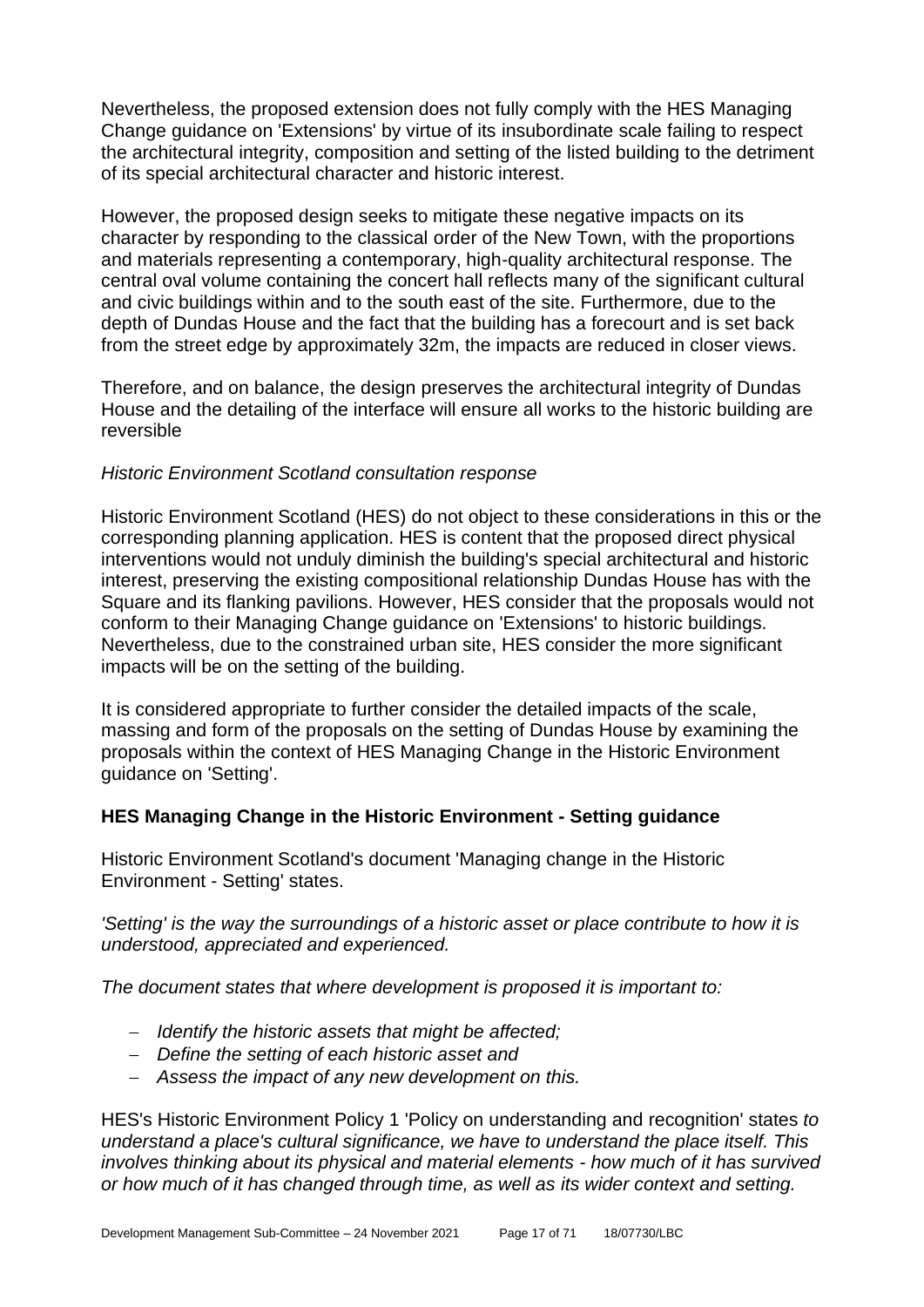Nevertheless, the proposed extension does not fully comply with the HES Managing Change guidance on 'Extensions' by virtue of its insubordinate scale failing to respect the architectural integrity, composition and setting of the listed building to the detriment of its special architectural character and historic interest.

However, the proposed design seeks to mitigate these negative impacts on its character by responding to the classical order of the New Town, with the proportions and materials representing a contemporary, high-quality architectural response. The central oval volume containing the concert hall reflects many of the significant cultural and civic buildings within and to the south east of the site. Furthermore, due to the depth of Dundas House and the fact that the building has a forecourt and is set back from the street edge by approximately 32m, the impacts are reduced in closer views.

Therefore, and on balance, the design preserves the architectural integrity of Dundas House and the detailing of the interface will ensure all works to the historic building are reversible

#### *Historic Environment Scotland consultation response*

Historic Environment Scotland (HES) do not object to these considerations in this or the corresponding planning application. HES is content that the proposed direct physical interventions would not unduly diminish the building's special architectural and historic interest, preserving the existing compositional relationship Dundas House has with the Square and its flanking pavilions. However, HES consider that the proposals would not conform to their Managing Change guidance on 'Extensions' to historic buildings. Nevertheless, due to the constrained urban site, HES consider the more significant impacts will be on the setting of the building.

It is considered appropriate to further consider the detailed impacts of the scale, massing and form of the proposals on the setting of Dundas House by examining the proposals within the context of HES Managing Change in the Historic Environment guidance on 'Setting'.

#### **HES Managing Change in the Historic Environment - Setting guidance**

Historic Environment Scotland's document 'Managing change in the Historic Environment - Setting' states.

*'Setting' is the way the surroundings of a historic asset or place contribute to how it is understood, appreciated and experienced.*

*The document states that where development is proposed it is important to:*

- − *Identify the historic assets that might be affected;*
- − *Define the setting of each historic asset and*
- − *Assess the impact of any new development on this.*

HES's Historic Environment Policy 1 'Policy on understanding and recognition' states *to understand a place's cultural significance, we have to understand the place itself. This involves thinking about its physical and material elements - how much of it has survived or how much of it has changed through time, as well as its wider context and setting.*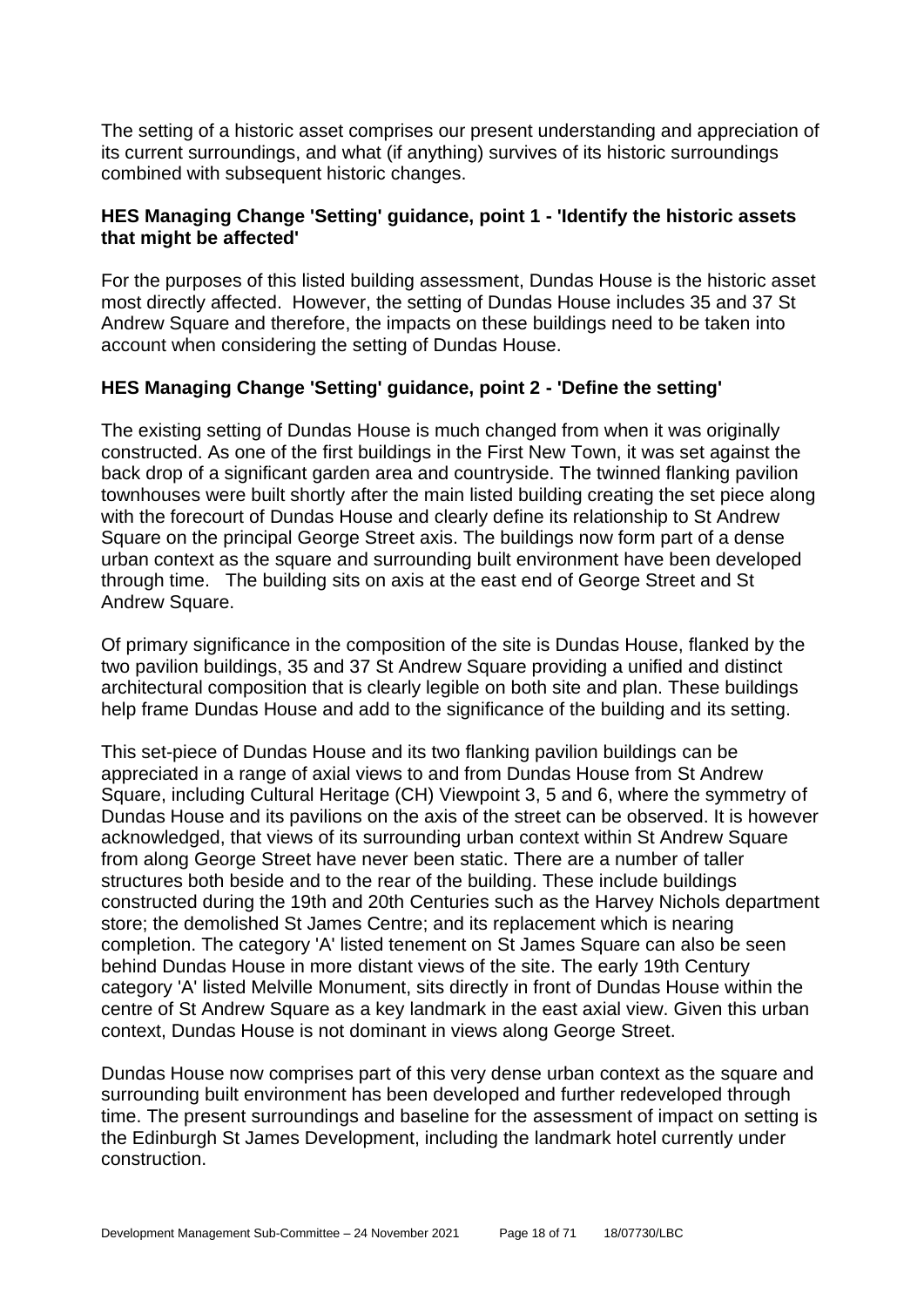The setting of a historic asset comprises our present understanding and appreciation of its current surroundings, and what (if anything) survives of its historic surroundings combined with subsequent historic changes.

#### **HES Managing Change 'Setting' guidance, point 1 - 'Identify the historic assets that might be affected'**

For the purposes of this listed building assessment, Dundas House is the historic asset most directly affected. However, the setting of Dundas House includes 35 and 37 St Andrew Square and therefore, the impacts on these buildings need to be taken into account when considering the setting of Dundas House.

## **HES Managing Change 'Setting' guidance, point 2 - 'Define the setting'**

The existing setting of Dundas House is much changed from when it was originally constructed. As one of the first buildings in the First New Town, it was set against the back drop of a significant garden area and countryside. The twinned flanking pavilion townhouses were built shortly after the main listed building creating the set piece along with the forecourt of Dundas House and clearly define its relationship to St Andrew Square on the principal George Street axis. The buildings now form part of a dense urban context as the square and surrounding built environment have been developed through time. The building sits on axis at the east end of George Street and St Andrew Square.

Of primary significance in the composition of the site is Dundas House, flanked by the two pavilion buildings, 35 and 37 St Andrew Square providing a unified and distinct architectural composition that is clearly legible on both site and plan. These buildings help frame Dundas House and add to the significance of the building and its setting.

This set-piece of Dundas House and its two flanking pavilion buildings can be appreciated in a range of axial views to and from Dundas House from St Andrew Square, including Cultural Heritage (CH) Viewpoint 3, 5 and 6, where the symmetry of Dundas House and its pavilions on the axis of the street can be observed. It is however acknowledged, that views of its surrounding urban context within St Andrew Square from along George Street have never been static. There are a number of taller structures both beside and to the rear of the building. These include buildings constructed during the 19th and 20th Centuries such as the Harvey Nichols department store; the demolished St James Centre; and its replacement which is nearing completion. The category 'A' listed tenement on St James Square can also be seen behind Dundas House in more distant views of the site. The early 19th Century category 'A' listed Melville Monument, sits directly in front of Dundas House within the centre of St Andrew Square as a key landmark in the east axial view. Given this urban context, Dundas House is not dominant in views along George Street.

Dundas House now comprises part of this very dense urban context as the square and surrounding built environment has been developed and further redeveloped through time. The present surroundings and baseline for the assessment of impact on setting is the Edinburgh St James Development, including the landmark hotel currently under construction.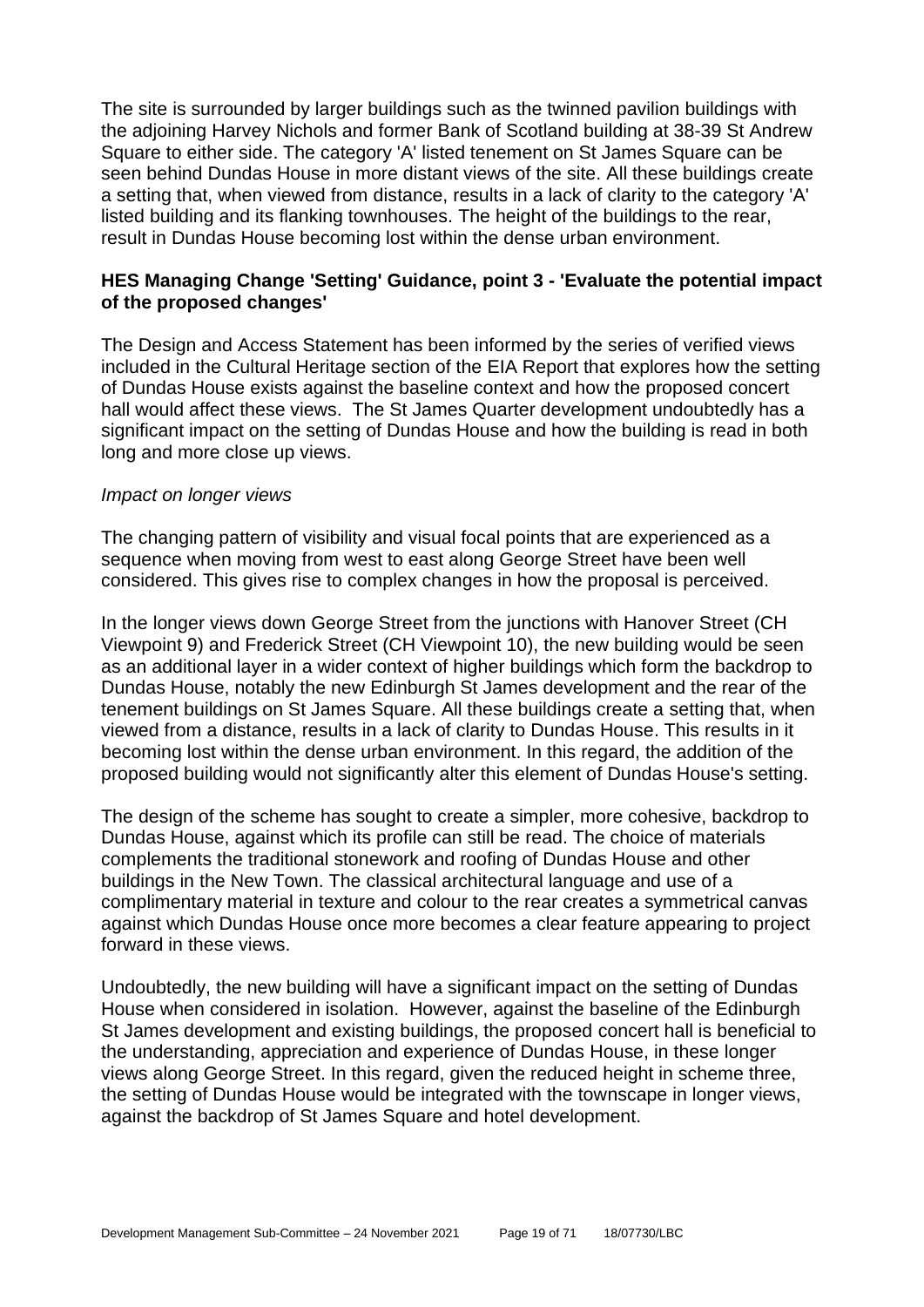The site is surrounded by larger buildings such as the twinned pavilion buildings with the adjoining Harvey Nichols and former Bank of Scotland building at 38-39 St Andrew Square to either side. The category 'A' listed tenement on St James Square can be seen behind Dundas House in more distant views of the site. All these buildings create a setting that, when viewed from distance, results in a lack of clarity to the category 'A' listed building and its flanking townhouses. The height of the buildings to the rear, result in Dundas House becoming lost within the dense urban environment.

#### **HES Managing Change 'Setting' Guidance, point 3 - 'Evaluate the potential impact of the proposed changes'**

The Design and Access Statement has been informed by the series of verified views included in the Cultural Heritage section of the EIA Report that explores how the setting of Dundas House exists against the baseline context and how the proposed concert hall would affect these views. The St James Quarter development undoubtedly has a significant impact on the setting of Dundas House and how the building is read in both long and more close up views.

#### *Impact on longer views*

The changing pattern of visibility and visual focal points that are experienced as a sequence when moving from west to east along George Street have been well considered. This gives rise to complex changes in how the proposal is perceived.

In the longer views down George Street from the junctions with Hanover Street (CH Viewpoint 9) and Frederick Street (CH Viewpoint 10), the new building would be seen as an additional layer in a wider context of higher buildings which form the backdrop to Dundas House, notably the new Edinburgh St James development and the rear of the tenement buildings on St James Square. All these buildings create a setting that, when viewed from a distance, results in a lack of clarity to Dundas House. This results in it becoming lost within the dense urban environment. In this regard, the addition of the proposed building would not significantly alter this element of Dundas House's setting.

The design of the scheme has sought to create a simpler, more cohesive, backdrop to Dundas House, against which its profile can still be read. The choice of materials complements the traditional stonework and roofing of Dundas House and other buildings in the New Town. The classical architectural language and use of a complimentary material in texture and colour to the rear creates a symmetrical canvas against which Dundas House once more becomes a clear feature appearing to project forward in these views.

Undoubtedly, the new building will have a significant impact on the setting of Dundas House when considered in isolation. However, against the baseline of the Edinburgh St James development and existing buildings, the proposed concert hall is beneficial to the understanding, appreciation and experience of Dundas House, in these longer views along George Street. In this regard, given the reduced height in scheme three, the setting of Dundas House would be integrated with the townscape in longer views, against the backdrop of St James Square and hotel development.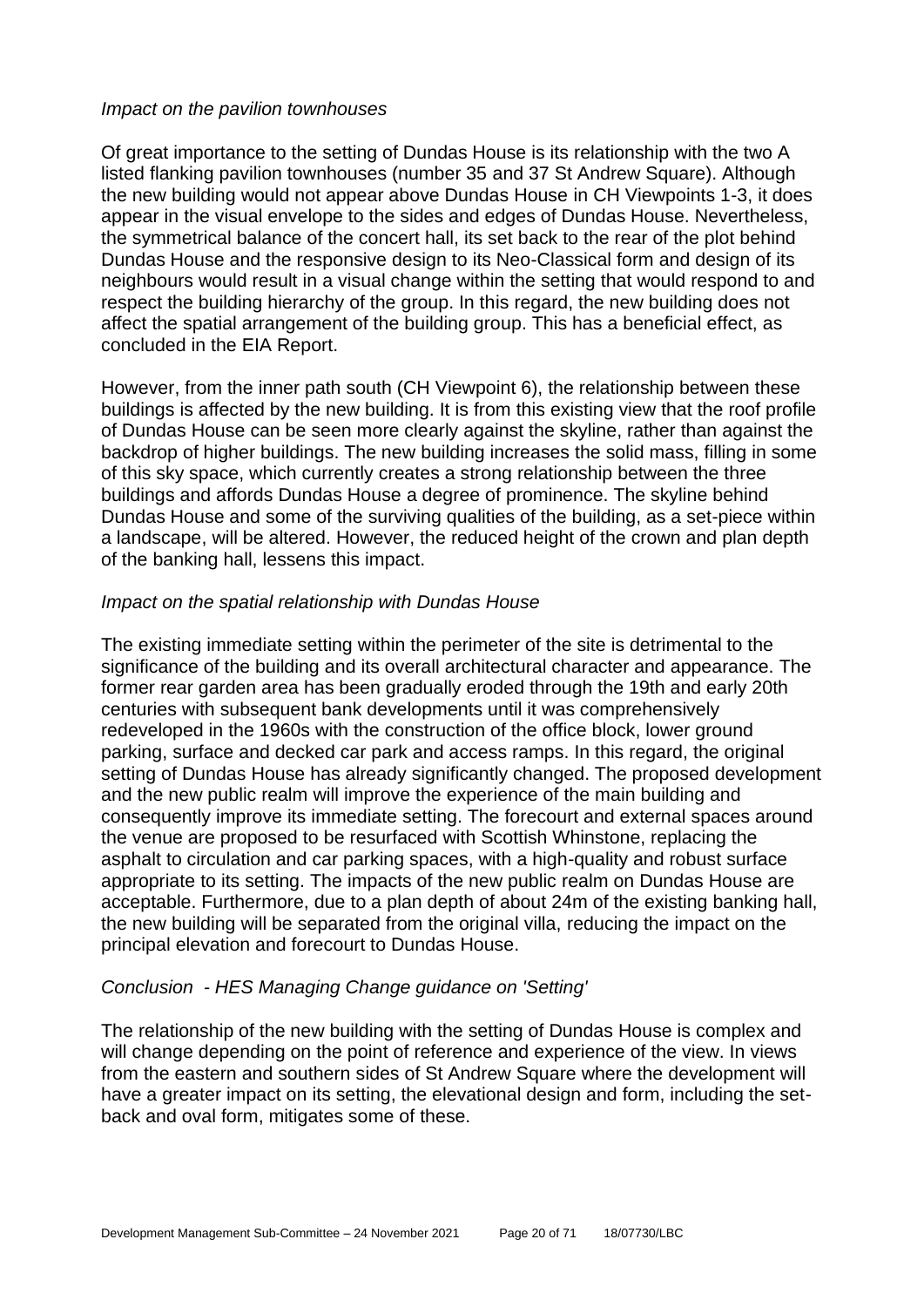#### *Impact on the pavilion townhouses*

Of great importance to the setting of Dundas House is its relationship with the two A listed flanking pavilion townhouses (number 35 and 37 St Andrew Square). Although the new building would not appear above Dundas House in CH Viewpoints 1-3, it does appear in the visual envelope to the sides and edges of Dundas House. Nevertheless, the symmetrical balance of the concert hall, its set back to the rear of the plot behind Dundas House and the responsive design to its Neo-Classical form and design of its neighbours would result in a visual change within the setting that would respond to and respect the building hierarchy of the group. In this regard, the new building does not affect the spatial arrangement of the building group. This has a beneficial effect, as concluded in the EIA Report.

However, from the inner path south (CH Viewpoint 6), the relationship between these buildings is affected by the new building. It is from this existing view that the roof profile of Dundas House can be seen more clearly against the skyline, rather than against the backdrop of higher buildings. The new building increases the solid mass, filling in some of this sky space, which currently creates a strong relationship between the three buildings and affords Dundas House a degree of prominence. The skyline behind Dundas House and some of the surviving qualities of the building, as a set-piece within a landscape, will be altered. However, the reduced height of the crown and plan depth of the banking hall, lessens this impact.

#### *Impact on the spatial relationship with Dundas House*

The existing immediate setting within the perimeter of the site is detrimental to the significance of the building and its overall architectural character and appearance. The former rear garden area has been gradually eroded through the 19th and early 20th centuries with subsequent bank developments until it was comprehensively redeveloped in the 1960s with the construction of the office block, lower ground parking, surface and decked car park and access ramps. In this regard, the original setting of Dundas House has already significantly changed. The proposed development and the new public realm will improve the experience of the main building and consequently improve its immediate setting. The forecourt and external spaces around the venue are proposed to be resurfaced with Scottish Whinstone, replacing the asphalt to circulation and car parking spaces, with a high-quality and robust surface appropriate to its setting. The impacts of the new public realm on Dundas House are acceptable. Furthermore, due to a plan depth of about 24m of the existing banking hall, the new building will be separated from the original villa, reducing the impact on the principal elevation and forecourt to Dundas House.

#### *Conclusion - HES Managing Change guidance on 'Setting'*

The relationship of the new building with the setting of Dundas House is complex and will change depending on the point of reference and experience of the view. In views from the eastern and southern sides of St Andrew Square where the development will have a greater impact on its setting, the elevational design and form, including the setback and oval form, mitigates some of these.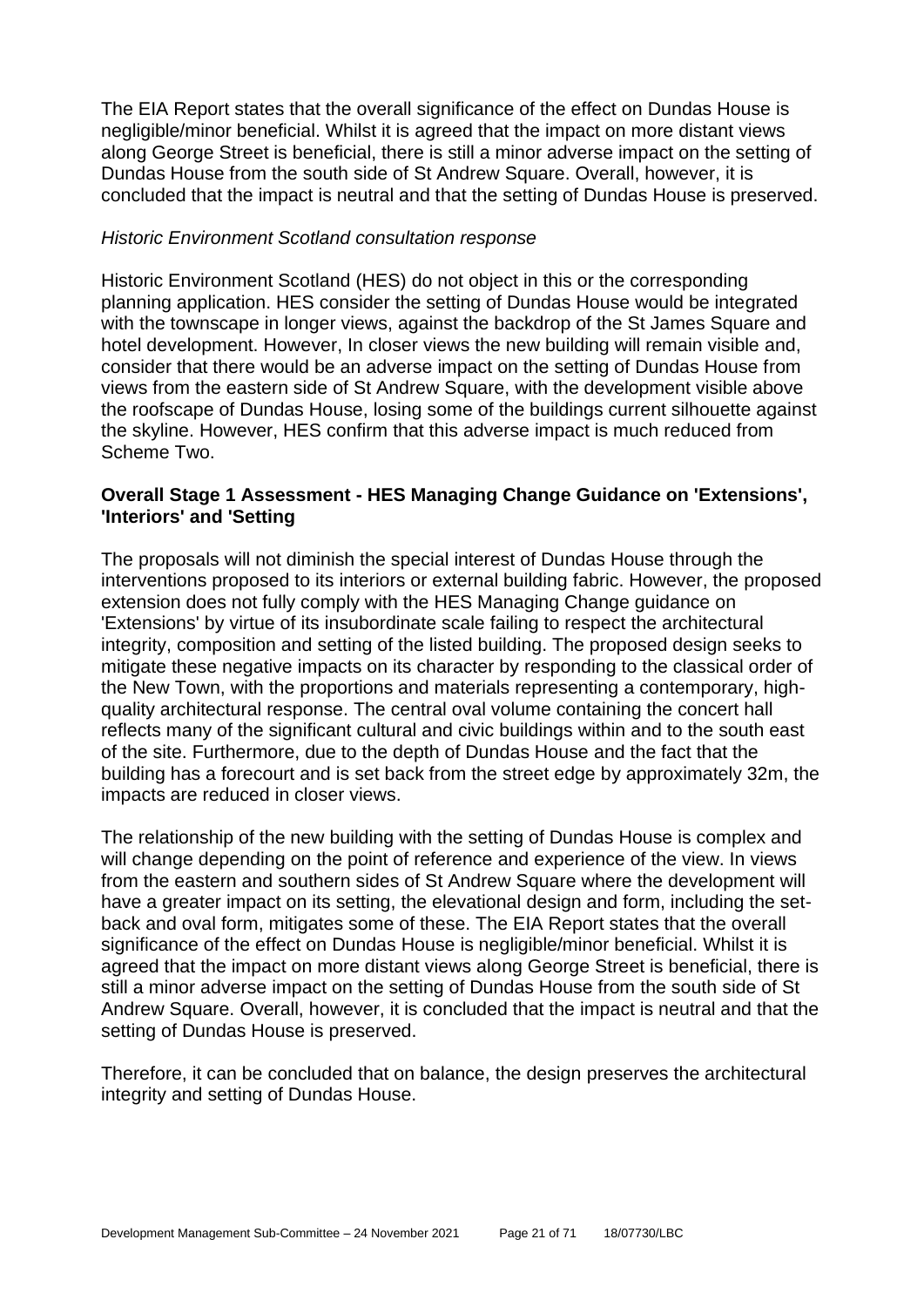The EIA Report states that the overall significance of the effect on Dundas House is negligible/minor beneficial. Whilst it is agreed that the impact on more distant views along George Street is beneficial, there is still a minor adverse impact on the setting of Dundas House from the south side of St Andrew Square. Overall, however, it is concluded that the impact is neutral and that the setting of Dundas House is preserved.

#### *Historic Environment Scotland consultation response*

Historic Environment Scotland (HES) do not object in this or the corresponding planning application. HES consider the setting of Dundas House would be integrated with the townscape in longer views, against the backdrop of the St James Square and hotel development. However, In closer views the new building will remain visible and, consider that there would be an adverse impact on the setting of Dundas House from views from the eastern side of St Andrew Square, with the development visible above the roofscape of Dundas House, losing some of the buildings current silhouette against the skyline. However, HES confirm that this adverse impact is much reduced from Scheme Two.

#### **Overall Stage 1 Assessment - HES Managing Change Guidance on 'Extensions', 'Interiors' and 'Setting**

The proposals will not diminish the special interest of Dundas House through the interventions proposed to its interiors or external building fabric. However, the proposed extension does not fully comply with the HES Managing Change guidance on 'Extensions' by virtue of its insubordinate scale failing to respect the architectural integrity, composition and setting of the listed building. The proposed design seeks to mitigate these negative impacts on its character by responding to the classical order of the New Town, with the proportions and materials representing a contemporary, highquality architectural response. The central oval volume containing the concert hall reflects many of the significant cultural and civic buildings within and to the south east of the site. Furthermore, due to the depth of Dundas House and the fact that the building has a forecourt and is set back from the street edge by approximately 32m, the impacts are reduced in closer views.

The relationship of the new building with the setting of Dundas House is complex and will change depending on the point of reference and experience of the view. In views from the eastern and southern sides of St Andrew Square where the development will have a greater impact on its setting, the elevational design and form, including the setback and oval form, mitigates some of these. The EIA Report states that the overall significance of the effect on Dundas House is negligible/minor beneficial. Whilst it is agreed that the impact on more distant views along George Street is beneficial, there is still a minor adverse impact on the setting of Dundas House from the south side of St Andrew Square. Overall, however, it is concluded that the impact is neutral and that the setting of Dundas House is preserved.

Therefore, it can be concluded that on balance, the design preserves the architectural integrity and setting of Dundas House.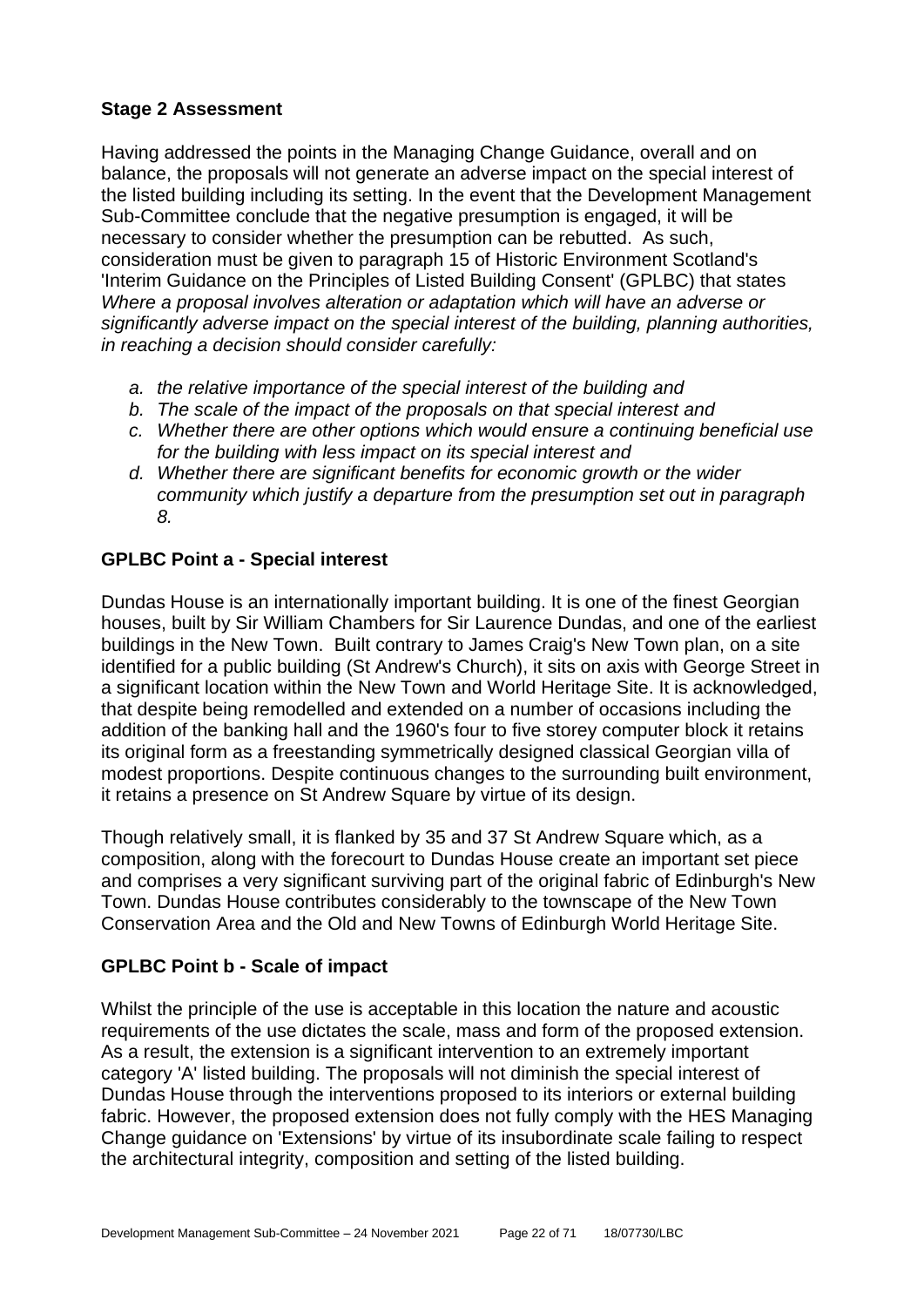## **Stage 2 Assessment**

Having addressed the points in the Managing Change Guidance, overall and on balance, the proposals will not generate an adverse impact on the special interest of the listed building including its setting. In the event that the Development Management Sub-Committee conclude that the negative presumption is engaged, it will be necessary to consider whether the presumption can be rebutted. As such, consideration must be given to paragraph 15 of Historic Environment Scotland's 'Interim Guidance on the Principles of Listed Building Consent' (GPLBC) that states *Where a proposal involves alteration or adaptation which will have an adverse or significantly adverse impact on the special interest of the building, planning authorities, in reaching a decision should consider carefully:*

- *a. the relative importance of the special interest of the building and*
- *b. The scale of the impact of the proposals on that special interest and*
- *c. Whether there are other options which would ensure a continuing beneficial use for the building with less impact on its special interest and*
- *d. Whether there are significant benefits for economic growth or the wider community which justify a departure from the presumption set out in paragraph 8.*

## **GPLBC Point a - Special interest**

Dundas House is an internationally important building. It is one of the finest Georgian houses, built by Sir William Chambers for Sir Laurence Dundas, and one of the earliest buildings in the New Town. Built contrary to James Craig's New Town plan, on a site identified for a public building (St Andrew's Church), it sits on axis with George Street in a significant location within the New Town and World Heritage Site. It is acknowledged, that despite being remodelled and extended on a number of occasions including the addition of the banking hall and the 1960's four to five storey computer block it retains its original form as a freestanding symmetrically designed classical Georgian villa of modest proportions. Despite continuous changes to the surrounding built environment, it retains a presence on St Andrew Square by virtue of its design.

Though relatively small, it is flanked by 35 and 37 St Andrew Square which, as a composition, along with the forecourt to Dundas House create an important set piece and comprises a very significant surviving part of the original fabric of Edinburgh's New Town. Dundas House contributes considerably to the townscape of the New Town Conservation Area and the Old and New Towns of Edinburgh World Heritage Site.

## **GPLBC Point b - Scale of impact**

Whilst the principle of the use is acceptable in this location the nature and acoustic requirements of the use dictates the scale, mass and form of the proposed extension. As a result, the extension is a significant intervention to an extremely important category 'A' listed building. The proposals will not diminish the special interest of Dundas House through the interventions proposed to its interiors or external building fabric. However, the proposed extension does not fully comply with the HES Managing Change guidance on 'Extensions' by virtue of its insubordinate scale failing to respect the architectural integrity, composition and setting of the listed building.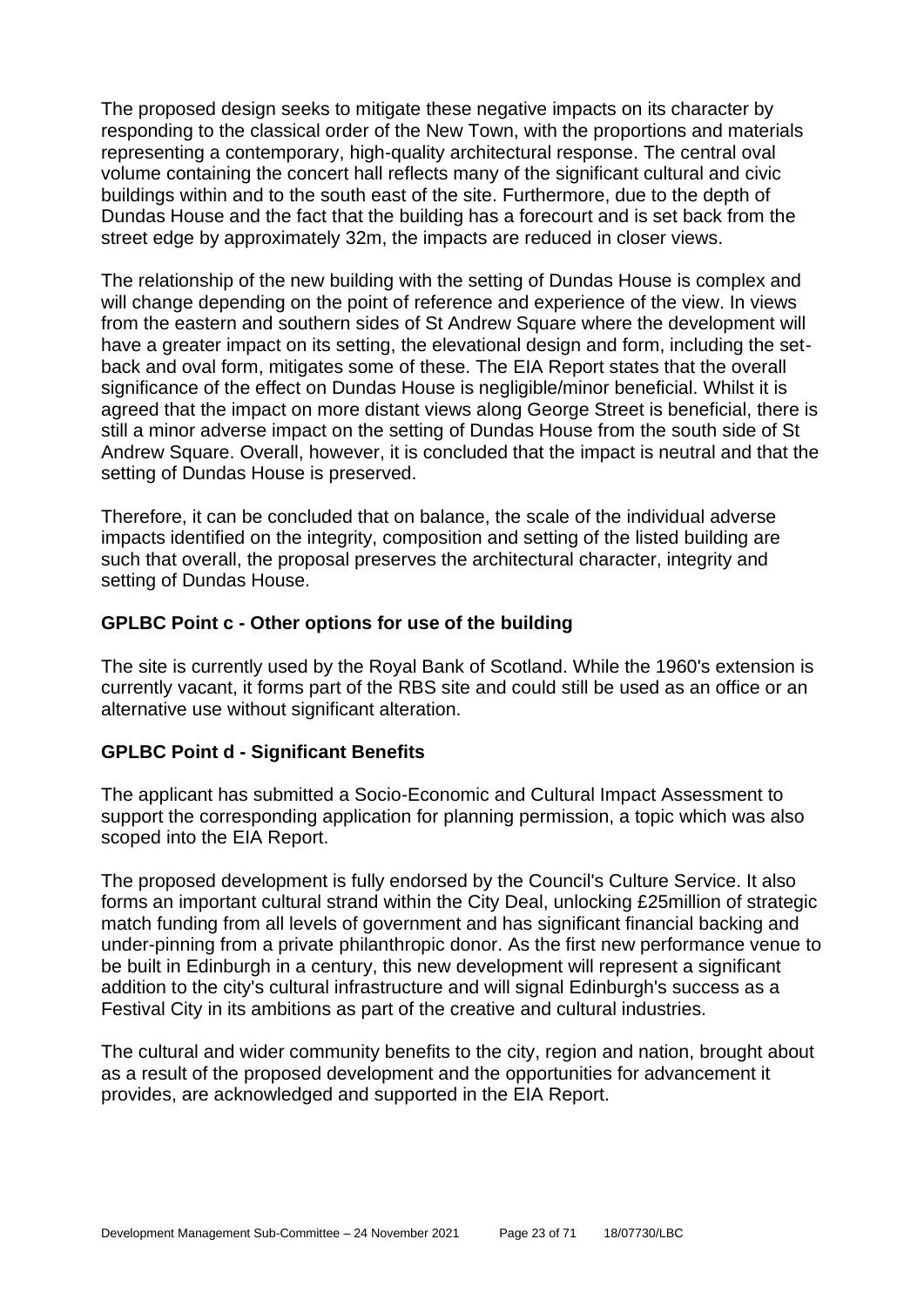The proposed design seeks to mitigate these negative impacts on its character by responding to the classical order of the New Town, with the proportions and materials representing a contemporary, high-quality architectural response. The central oval volume containing the concert hall reflects many of the significant cultural and civic buildings within and to the south east of the site. Furthermore, due to the depth of Dundas House and the fact that the building has a forecourt and is set back from the street edge by approximately 32m, the impacts are reduced in closer views.

The relationship of the new building with the setting of Dundas House is complex and will change depending on the point of reference and experience of the view. In views from the eastern and southern sides of St Andrew Square where the development will have a greater impact on its setting, the elevational design and form, including the setback and oval form, mitigates some of these. The EIA Report states that the overall significance of the effect on Dundas House is negligible/minor beneficial. Whilst it is agreed that the impact on more distant views along George Street is beneficial, there is still a minor adverse impact on the setting of Dundas House from the south side of St Andrew Square. Overall, however, it is concluded that the impact is neutral and that the setting of Dundas House is preserved.

Therefore, it can be concluded that on balance, the scale of the individual adverse impacts identified on the integrity, composition and setting of the listed building are such that overall, the proposal preserves the architectural character, integrity and setting of Dundas House.

#### **GPLBC Point c - Other options for use of the building**

The site is currently used by the Royal Bank of Scotland. While the 1960's extension is currently vacant, it forms part of the RBS site and could still be used as an office or an alternative use without significant alteration.

#### **GPLBC Point d - Significant Benefits**

The applicant has submitted a Socio-Economic and Cultural Impact Assessment to support the corresponding application for planning permission, a topic which was also scoped into the EIA Report.

The proposed development is fully endorsed by the Council's Culture Service. It also forms an important cultural strand within the City Deal, unlocking £25million of strategic match funding from all levels of government and has significant financial backing and under-pinning from a private philanthropic donor. As the first new performance venue to be built in Edinburgh in a century, this new development will represent a significant addition to the city's cultural infrastructure and will signal Edinburgh's success as a Festival City in its ambitions as part of the creative and cultural industries.

The cultural and wider community benefits to the city, region and nation, brought about as a result of the proposed development and the opportunities for advancement it provides, are acknowledged and supported in the EIA Report.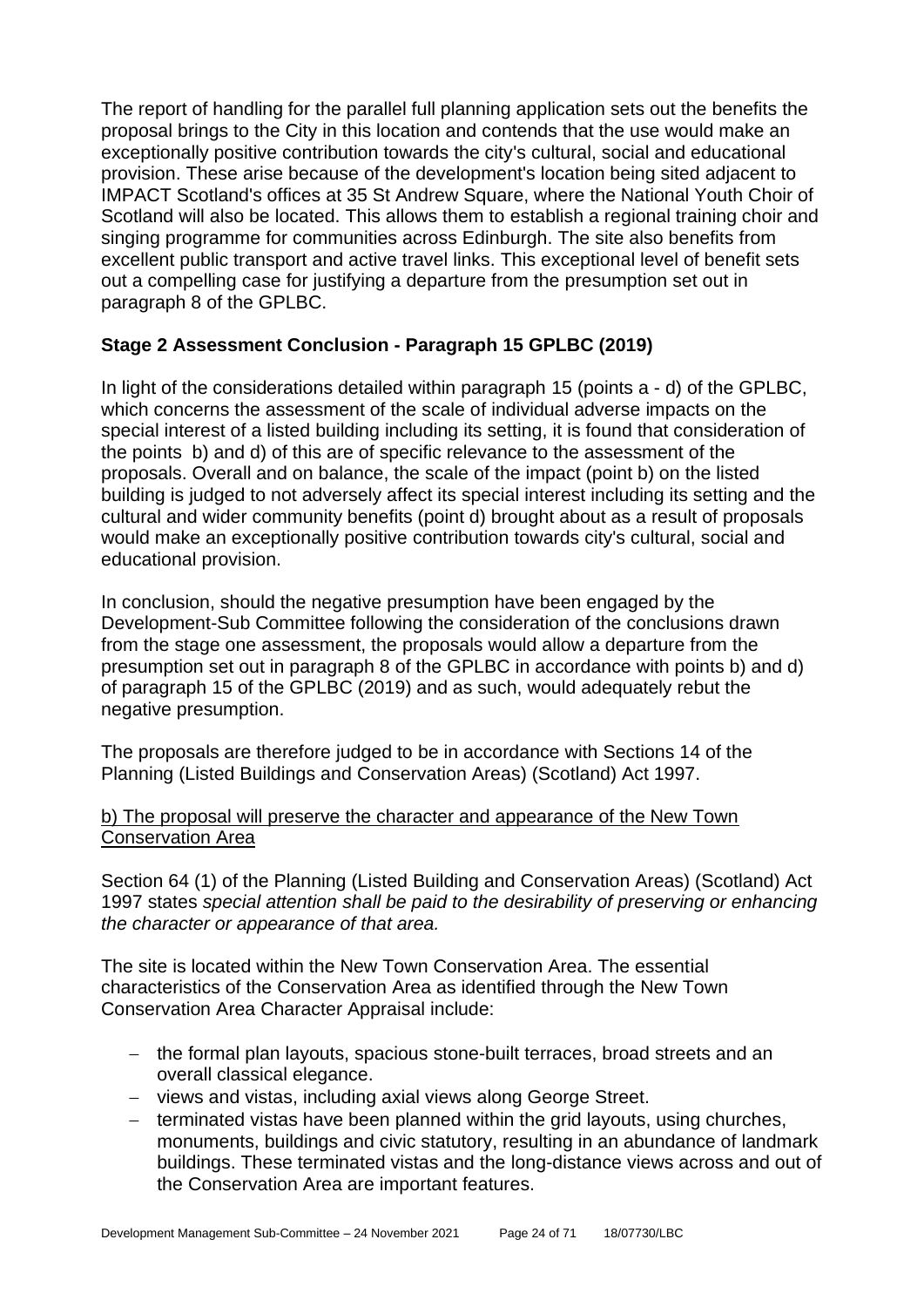The report of handling for the parallel full planning application sets out the benefits the proposal brings to the City in this location and contends that the use would make an exceptionally positive contribution towards the city's cultural, social and educational provision. These arise because of the development's location being sited adjacent to IMPACT Scotland's offices at 35 St Andrew Square, where the National Youth Choir of Scotland will also be located. This allows them to establish a regional training choir and singing programme for communities across Edinburgh. The site also benefits from excellent public transport and active travel links. This exceptional level of benefit sets out a compelling case for justifying a departure from the presumption set out in paragraph 8 of the GPLBC.

## **Stage 2 Assessment Conclusion - Paragraph 15 GPLBC (2019)**

In light of the considerations detailed within paragraph 15 (points a - d) of the GPLBC, which concerns the assessment of the scale of individual adverse impacts on the special interest of a listed building including its setting, it is found that consideration of the points b) and d) of this are of specific relevance to the assessment of the proposals. Overall and on balance, the scale of the impact (point b) on the listed building is judged to not adversely affect its special interest including its setting and the cultural and wider community benefits (point d) brought about as a result of proposals would make an exceptionally positive contribution towards city's cultural, social and educational provision.

In conclusion, should the negative presumption have been engaged by the Development-Sub Committee following the consideration of the conclusions drawn from the stage one assessment, the proposals would allow a departure from the presumption set out in paragraph 8 of the GPLBC in accordance with points b) and d) of paragraph 15 of the GPLBC (2019) and as such, would adequately rebut the negative presumption.

The proposals are therefore judged to be in accordance with Sections 14 of the Planning (Listed Buildings and Conservation Areas) (Scotland) Act 1997.

#### b) The proposal will preserve the character and appearance of the New Town Conservation Area

Section 64 (1) of the Planning (Listed Building and Conservation Areas) (Scotland) Act 1997 states *special attention shall be paid to the desirability of preserving or enhancing the character or appearance of that area.*

The site is located within the New Town Conservation Area. The essential characteristics of the Conservation Area as identified through the New Town Conservation Area Character Appraisal include:

- − the formal plan layouts, spacious stone-built terraces, broad streets and an overall classical elegance.
- − views and vistas, including axial views along George Street.
- − terminated vistas have been planned within the grid layouts, using churches, monuments, buildings and civic statutory, resulting in an abundance of landmark buildings. These terminated vistas and the long-distance views across and out of the Conservation Area are important features.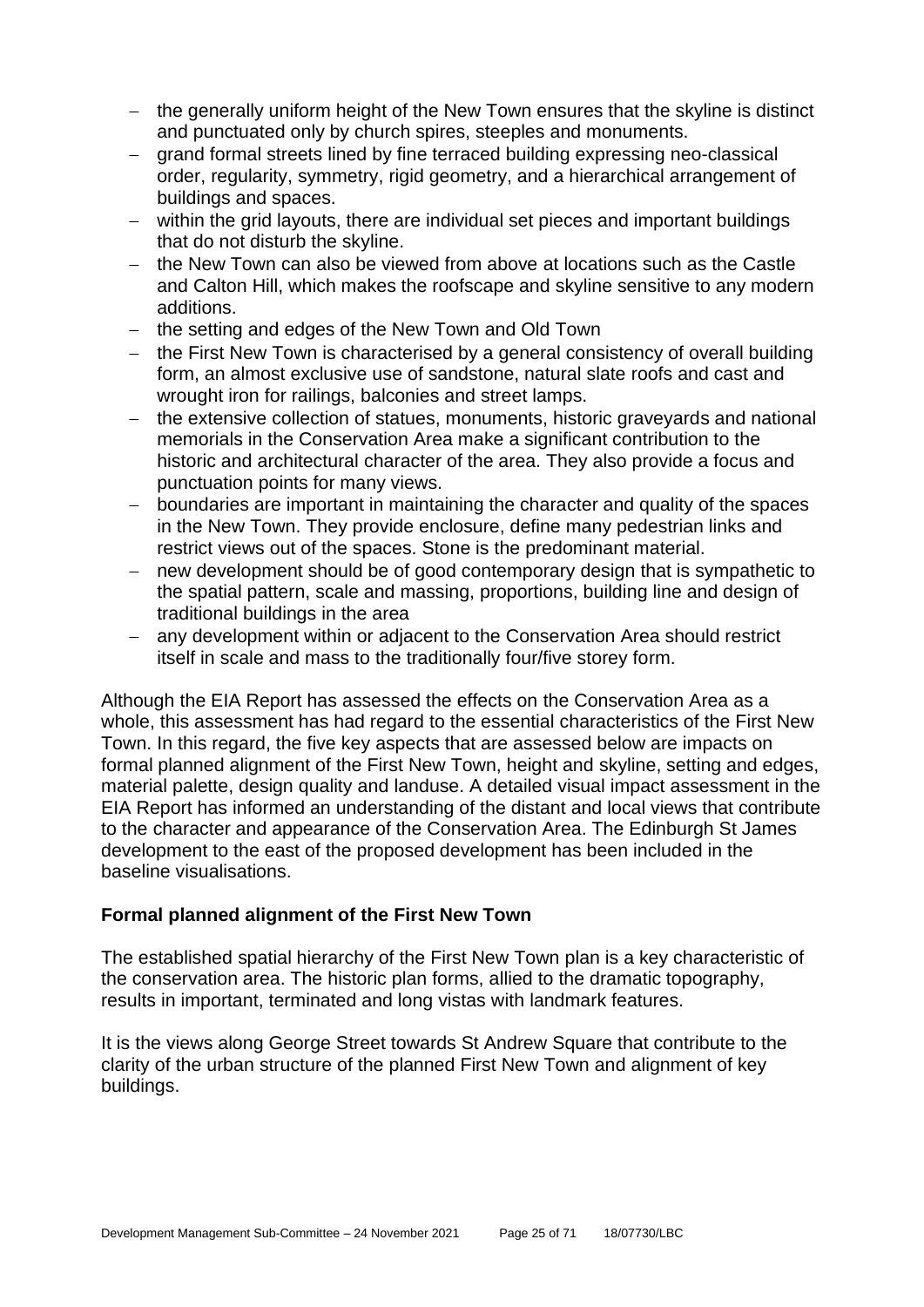- − the generally uniform height of the New Town ensures that the skyline is distinct and punctuated only by church spires, steeples and monuments.
- − grand formal streets lined by fine terraced building expressing neo-classical order, regularity, symmetry, rigid geometry, and a hierarchical arrangement of buildings and spaces.
- − within the grid layouts, there are individual set pieces and important buildings that do not disturb the skyline.
- − the New Town can also be viewed from above at locations such as the Castle and Calton Hill, which makes the roofscape and skyline sensitive to any modern additions.
- − the setting and edges of the New Town and Old Town
- − the First New Town is characterised by a general consistency of overall building form, an almost exclusive use of sandstone, natural slate roofs and cast and wrought iron for railings, balconies and street lamps.
- − the extensive collection of statues, monuments, historic graveyards and national memorials in the Conservation Area make a significant contribution to the historic and architectural character of the area. They also provide a focus and punctuation points for many views.
- − boundaries are important in maintaining the character and quality of the spaces in the New Town. They provide enclosure, define many pedestrian links and restrict views out of the spaces. Stone is the predominant material.
- − new development should be of good contemporary design that is sympathetic to the spatial pattern, scale and massing, proportions, building line and design of traditional buildings in the area
- − any development within or adjacent to the Conservation Area should restrict itself in scale and mass to the traditionally four/five storey form.

Although the EIA Report has assessed the effects on the Conservation Area as a whole, this assessment has had regard to the essential characteristics of the First New Town. In this regard, the five key aspects that are assessed below are impacts on formal planned alignment of the First New Town, height and skyline, setting and edges, material palette, design quality and landuse. A detailed visual impact assessment in the EIA Report has informed an understanding of the distant and local views that contribute to the character and appearance of the Conservation Area. The Edinburgh St James development to the east of the proposed development has been included in the baseline visualisations.

#### **Formal planned alignment of the First New Town**

The established spatial hierarchy of the First New Town plan is a key characteristic of the conservation area. The historic plan forms, allied to the dramatic topography, results in important, terminated and long vistas with landmark features.

It is the views along George Street towards St Andrew Square that contribute to the clarity of the urban structure of the planned First New Town and alignment of key buildings.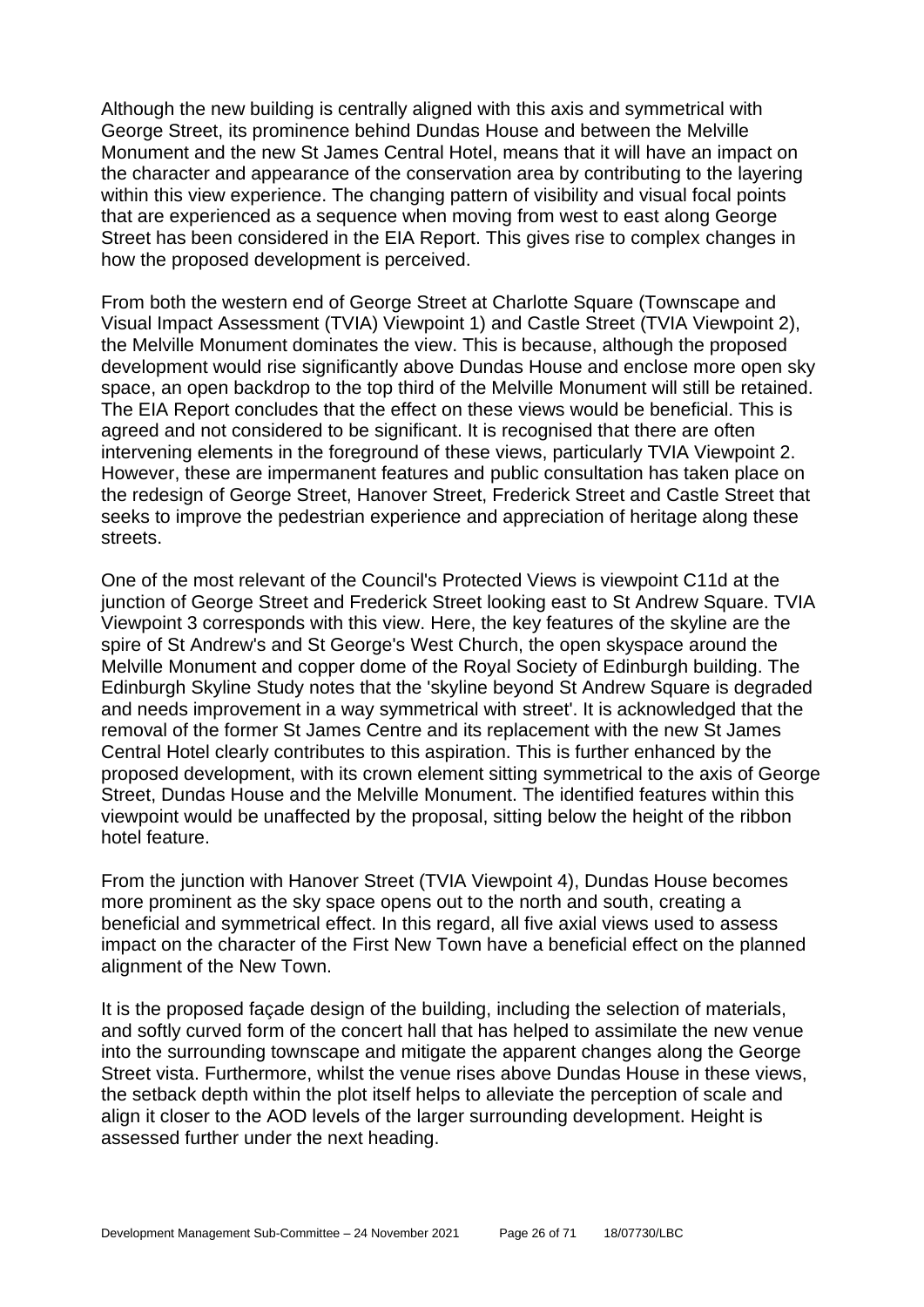Although the new building is centrally aligned with this axis and symmetrical with George Street, its prominence behind Dundas House and between the Melville Monument and the new St James Central Hotel, means that it will have an impact on the character and appearance of the conservation area by contributing to the layering within this view experience. The changing pattern of visibility and visual focal points that are experienced as a sequence when moving from west to east along George Street has been considered in the EIA Report. This gives rise to complex changes in how the proposed development is perceived.

From both the western end of George Street at Charlotte Square (Townscape and Visual Impact Assessment (TVIA) Viewpoint 1) and Castle Street (TVIA Viewpoint 2), the Melville Monument dominates the view. This is because, although the proposed development would rise significantly above Dundas House and enclose more open sky space, an open backdrop to the top third of the Melville Monument will still be retained. The EIA Report concludes that the effect on these views would be beneficial. This is agreed and not considered to be significant. It is recognised that there are often intervening elements in the foreground of these views, particularly TVIA Viewpoint 2. However, these are impermanent features and public consultation has taken place on the redesign of George Street, Hanover Street, Frederick Street and Castle Street that seeks to improve the pedestrian experience and appreciation of heritage along these streets.

One of the most relevant of the Council's Protected Views is viewpoint C11d at the junction of George Street and Frederick Street looking east to St Andrew Square. TVIA Viewpoint 3 corresponds with this view. Here, the key features of the skyline are the spire of St Andrew's and St George's West Church, the open skyspace around the Melville Monument and copper dome of the Royal Society of Edinburgh building. The Edinburgh Skyline Study notes that the 'skyline beyond St Andrew Square is degraded and needs improvement in a way symmetrical with street'. It is acknowledged that the removal of the former St James Centre and its replacement with the new St James Central Hotel clearly contributes to this aspiration. This is further enhanced by the proposed development, with its crown element sitting symmetrical to the axis of George Street, Dundas House and the Melville Monument. The identified features within this viewpoint would be unaffected by the proposal, sitting below the height of the ribbon hotel feature.

From the junction with Hanover Street (TVIA Viewpoint 4), Dundas House becomes more prominent as the sky space opens out to the north and south, creating a beneficial and symmetrical effect. In this regard, all five axial views used to assess impact on the character of the First New Town have a beneficial effect on the planned alignment of the New Town.

It is the proposed façade design of the building, including the selection of materials, and softly curved form of the concert hall that has helped to assimilate the new venue into the surrounding townscape and mitigate the apparent changes along the George Street vista. Furthermore, whilst the venue rises above Dundas House in these views, the setback depth within the plot itself helps to alleviate the perception of scale and align it closer to the AOD levels of the larger surrounding development. Height is assessed further under the next heading.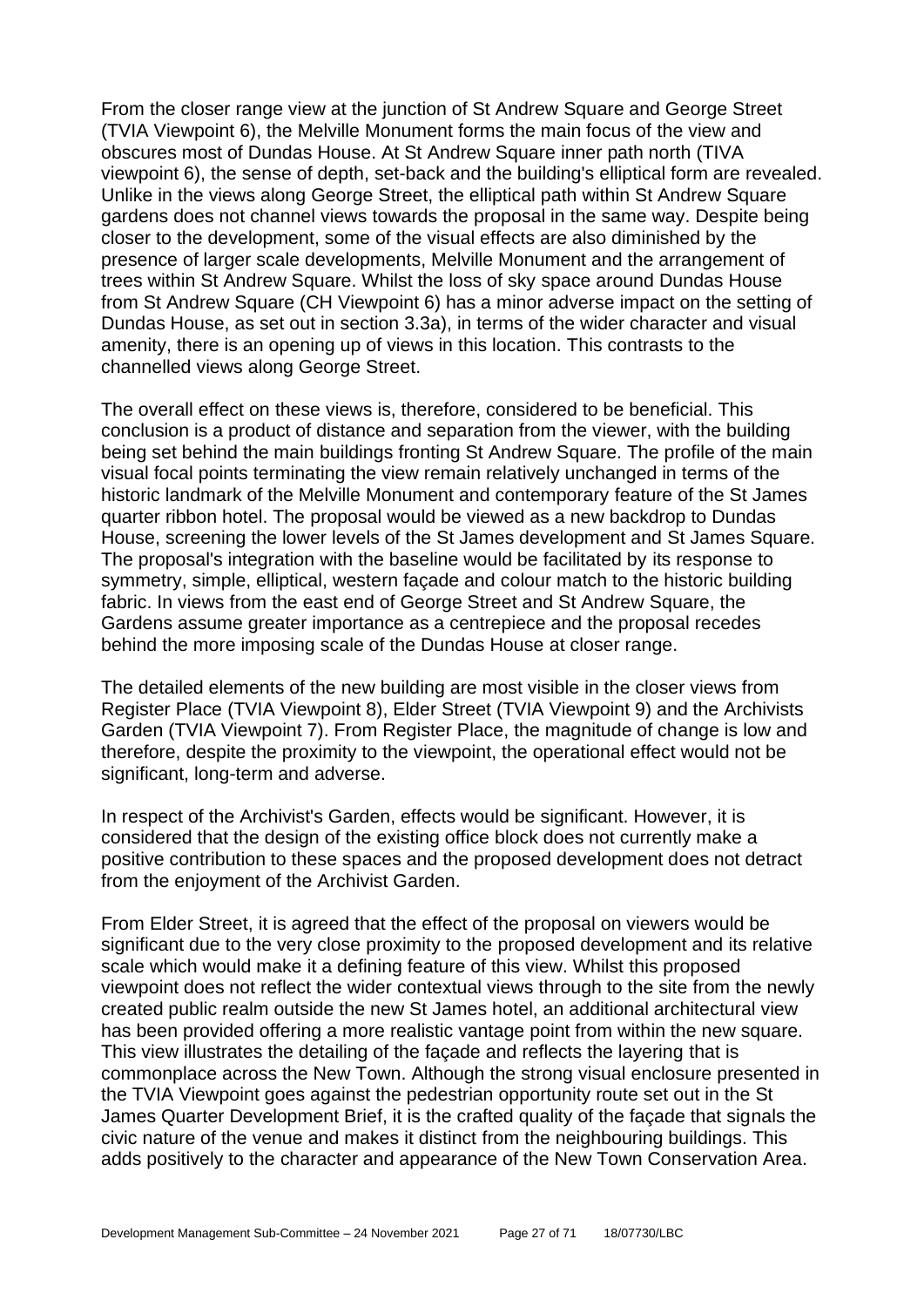From the closer range view at the junction of St Andrew Square and George Street (TVIA Viewpoint 6), the Melville Monument forms the main focus of the view and obscures most of Dundas House. At St Andrew Square inner path north (TIVA viewpoint 6), the sense of depth, set-back and the building's elliptical form are revealed. Unlike in the views along George Street, the elliptical path within St Andrew Square gardens does not channel views towards the proposal in the same way. Despite being closer to the development, some of the visual effects are also diminished by the presence of larger scale developments, Melville Monument and the arrangement of trees within St Andrew Square. Whilst the loss of sky space around Dundas House from St Andrew Square (CH Viewpoint 6) has a minor adverse impact on the setting of Dundas House, as set out in section 3.3a), in terms of the wider character and visual amenity, there is an opening up of views in this location. This contrasts to the channelled views along George Street.

The overall effect on these views is, therefore, considered to be beneficial. This conclusion is a product of distance and separation from the viewer, with the building being set behind the main buildings fronting St Andrew Square. The profile of the main visual focal points terminating the view remain relatively unchanged in terms of the historic landmark of the Melville Monument and contemporary feature of the St James quarter ribbon hotel. The proposal would be viewed as a new backdrop to Dundas House, screening the lower levels of the St James development and St James Square. The proposal's integration with the baseline would be facilitated by its response to symmetry, simple, elliptical, western façade and colour match to the historic building fabric. In views from the east end of George Street and St Andrew Square, the Gardens assume greater importance as a centrepiece and the proposal recedes behind the more imposing scale of the Dundas House at closer range.

The detailed elements of the new building are most visible in the closer views from Register Place (TVIA Viewpoint 8), Elder Street (TVIA Viewpoint 9) and the Archivists Garden (TVIA Viewpoint 7). From Register Place, the magnitude of change is low and therefore, despite the proximity to the viewpoint, the operational effect would not be significant, long-term and adverse.

In respect of the Archivist's Garden, effects would be significant. However, it is considered that the design of the existing office block does not currently make a positive contribution to these spaces and the proposed development does not detract from the enjoyment of the Archivist Garden.

From Elder Street, it is agreed that the effect of the proposal on viewers would be significant due to the very close proximity to the proposed development and its relative scale which would make it a defining feature of this view. Whilst this proposed viewpoint does not reflect the wider contextual views through to the site from the newly created public realm outside the new St James hotel, an additional architectural view has been provided offering a more realistic vantage point from within the new square. This view illustrates the detailing of the façade and reflects the layering that is commonplace across the New Town. Although the strong visual enclosure presented in the TVIA Viewpoint goes against the pedestrian opportunity route set out in the St James Quarter Development Brief, it is the crafted quality of the façade that signals the civic nature of the venue and makes it distinct from the neighbouring buildings. This adds positively to the character and appearance of the New Town Conservation Area.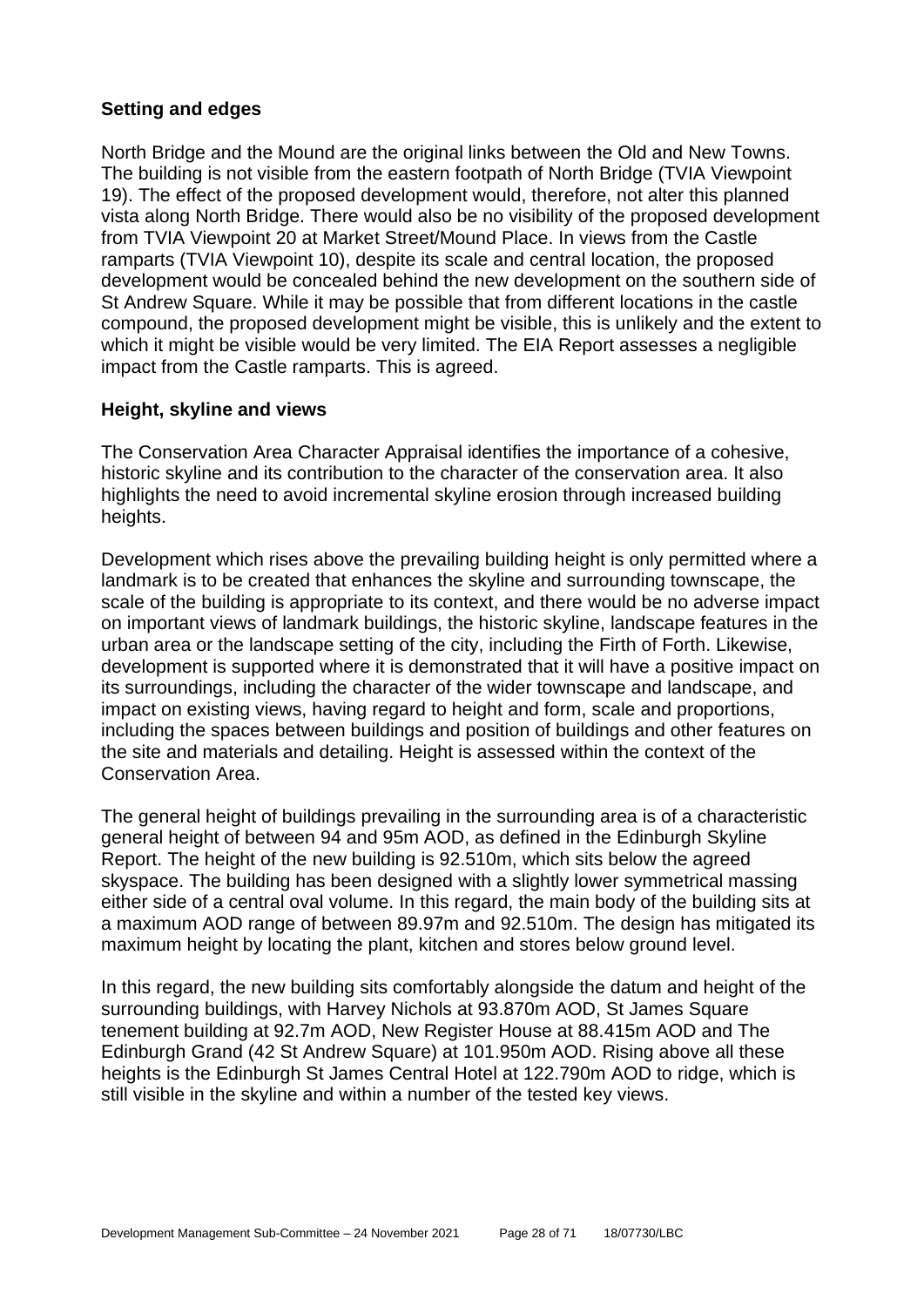## **Setting and edges**

North Bridge and the Mound are the original links between the Old and New Towns. The building is not visible from the eastern footpath of North Bridge (TVIA Viewpoint 19). The effect of the proposed development would, therefore, not alter this planned vista along North Bridge. There would also be no visibility of the proposed development from TVIA Viewpoint 20 at Market Street/Mound Place. In views from the Castle ramparts (TVIA Viewpoint 10), despite its scale and central location, the proposed development would be concealed behind the new development on the southern side of St Andrew Square. While it may be possible that from different locations in the castle compound, the proposed development might be visible, this is unlikely and the extent to which it might be visible would be very limited. The EIA Report assesses a negligible impact from the Castle ramparts. This is agreed.

#### **Height, skyline and views**

The Conservation Area Character Appraisal identifies the importance of a cohesive, historic skyline and its contribution to the character of the conservation area. It also highlights the need to avoid incremental skyline erosion through increased building heights.

Development which rises above the prevailing building height is only permitted where a landmark is to be created that enhances the skyline and surrounding townscape, the scale of the building is appropriate to its context, and there would be no adverse impact on important views of landmark buildings, the historic skyline, landscape features in the urban area or the landscape setting of the city, including the Firth of Forth. Likewise, development is supported where it is demonstrated that it will have a positive impact on its surroundings, including the character of the wider townscape and landscape, and impact on existing views, having regard to height and form, scale and proportions, including the spaces between buildings and position of buildings and other features on the site and materials and detailing. Height is assessed within the context of the Conservation Area.

The general height of buildings prevailing in the surrounding area is of a characteristic general height of between 94 and 95m AOD, as defined in the Edinburgh Skyline Report. The height of the new building is 92.510m, which sits below the agreed skyspace. The building has been designed with a slightly lower symmetrical massing either side of a central oval volume. In this regard, the main body of the building sits at a maximum AOD range of between 89.97m and 92.510m. The design has mitigated its maximum height by locating the plant, kitchen and stores below ground level.

In this regard, the new building sits comfortably alongside the datum and height of the surrounding buildings, with Harvey Nichols at 93.870m AOD, St James Square tenement building at 92.7m AOD, New Register House at 88.415m AOD and The Edinburgh Grand (42 St Andrew Square) at 101.950m AOD. Rising above all these heights is the Edinburgh St James Central Hotel at 122.790m AOD to ridge, which is still visible in the skyline and within a number of the tested key views.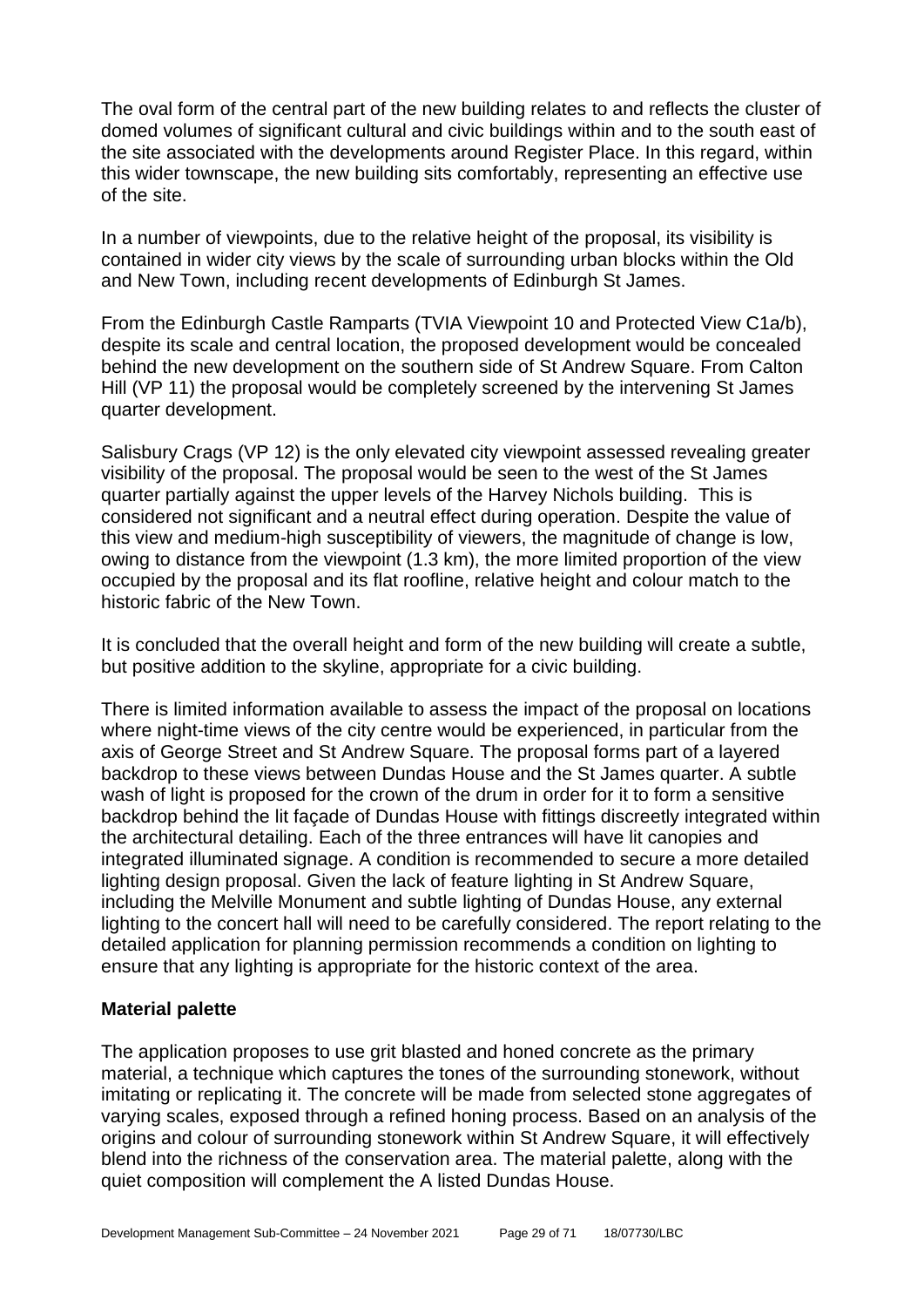The oval form of the central part of the new building relates to and reflects the cluster of domed volumes of significant cultural and civic buildings within and to the south east of the site associated with the developments around Register Place. In this regard, within this wider townscape, the new building sits comfortably, representing an effective use of the site.

In a number of viewpoints, due to the relative height of the proposal, its visibility is contained in wider city views by the scale of surrounding urban blocks within the Old and New Town, including recent developments of Edinburgh St James.

From the Edinburgh Castle Ramparts (TVIA Viewpoint 10 and Protected View C1a/b), despite its scale and central location, the proposed development would be concealed behind the new development on the southern side of St Andrew Square. From Calton Hill (VP 11) the proposal would be completely screened by the intervening St James quarter development.

Salisbury Crags (VP 12) is the only elevated city viewpoint assessed revealing greater visibility of the proposal. The proposal would be seen to the west of the St James quarter partially against the upper levels of the Harvey Nichols building. This is considered not significant and a neutral effect during operation. Despite the value of this view and medium-high susceptibility of viewers, the magnitude of change is low, owing to distance from the viewpoint (1.3 km), the more limited proportion of the view occupied by the proposal and its flat roofline, relative height and colour match to the historic fabric of the New Town.

It is concluded that the overall height and form of the new building will create a subtle, but positive addition to the skyline, appropriate for a civic building.

There is limited information available to assess the impact of the proposal on locations where night-time views of the city centre would be experienced, in particular from the axis of George Street and St Andrew Square. The proposal forms part of a layered backdrop to these views between Dundas House and the St James quarter. A subtle wash of light is proposed for the crown of the drum in order for it to form a sensitive backdrop behind the lit façade of Dundas House with fittings discreetly integrated within the architectural detailing. Each of the three entrances will have lit canopies and integrated illuminated signage. A condition is recommended to secure a more detailed lighting design proposal. Given the lack of feature lighting in St Andrew Square, including the Melville Monument and subtle lighting of Dundas House, any external lighting to the concert hall will need to be carefully considered. The report relating to the detailed application for planning permission recommends a condition on lighting to ensure that any lighting is appropriate for the historic context of the area.

#### **Material palette**

The application proposes to use grit blasted and honed concrete as the primary material, a technique which captures the tones of the surrounding stonework, without imitating or replicating it. The concrete will be made from selected stone aggregates of varying scales, exposed through a refined honing process. Based on an analysis of the origins and colour of surrounding stonework within St Andrew Square, it will effectively blend into the richness of the conservation area. The material palette, along with the quiet composition will complement the A listed Dundas House.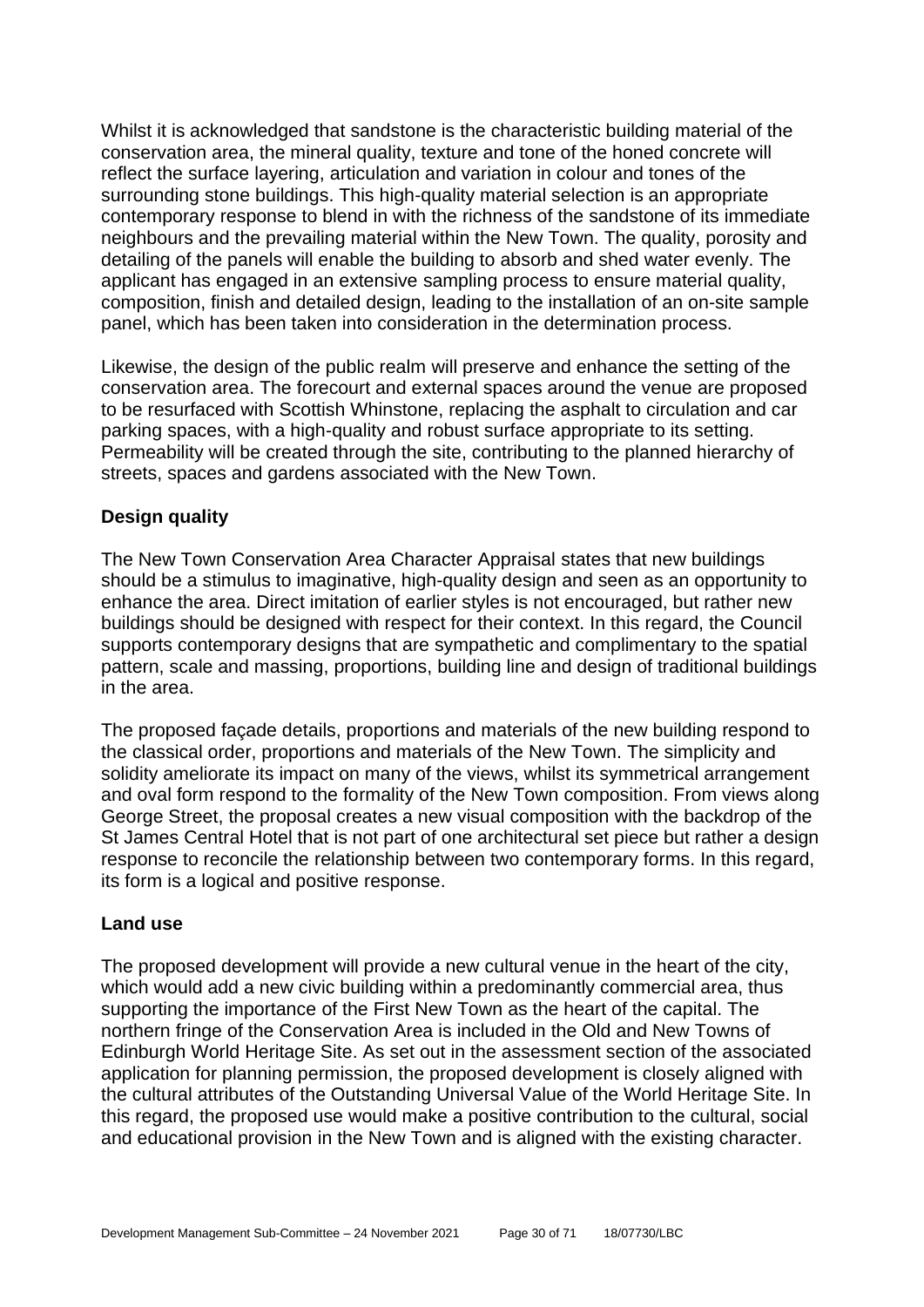Whilst it is acknowledged that sandstone is the characteristic building material of the conservation area, the mineral quality, texture and tone of the honed concrete will reflect the surface layering, articulation and variation in colour and tones of the surrounding stone buildings. This high-quality material selection is an appropriate contemporary response to blend in with the richness of the sandstone of its immediate neighbours and the prevailing material within the New Town. The quality, porosity and detailing of the panels will enable the building to absorb and shed water evenly. The applicant has engaged in an extensive sampling process to ensure material quality, composition, finish and detailed design, leading to the installation of an on-site sample panel, which has been taken into consideration in the determination process.

Likewise, the design of the public realm will preserve and enhance the setting of the conservation area. The forecourt and external spaces around the venue are proposed to be resurfaced with Scottish Whinstone, replacing the asphalt to circulation and car parking spaces, with a high-quality and robust surface appropriate to its setting. Permeability will be created through the site, contributing to the planned hierarchy of streets, spaces and gardens associated with the New Town.

## **Design quality**

The New Town Conservation Area Character Appraisal states that new buildings should be a stimulus to imaginative, high-quality design and seen as an opportunity to enhance the area. Direct imitation of earlier styles is not encouraged, but rather new buildings should be designed with respect for their context. In this regard, the Council supports contemporary designs that are sympathetic and complimentary to the spatial pattern, scale and massing, proportions, building line and design of traditional buildings in the area.

The proposed façade details, proportions and materials of the new building respond to the classical order, proportions and materials of the New Town. The simplicity and solidity ameliorate its impact on many of the views, whilst its symmetrical arrangement and oval form respond to the formality of the New Town composition. From views along George Street, the proposal creates a new visual composition with the backdrop of the St James Central Hotel that is not part of one architectural set piece but rather a design response to reconcile the relationship between two contemporary forms. In this regard, its form is a logical and positive response.

#### **Land use**

The proposed development will provide a new cultural venue in the heart of the city, which would add a new civic building within a predominantly commercial area, thus supporting the importance of the First New Town as the heart of the capital. The northern fringe of the Conservation Area is included in the Old and New Towns of Edinburgh World Heritage Site. As set out in the assessment section of the associated application for planning permission, the proposed development is closely aligned with the cultural attributes of the Outstanding Universal Value of the World Heritage Site. In this regard, the proposed use would make a positive contribution to the cultural, social and educational provision in the New Town and is aligned with the existing character.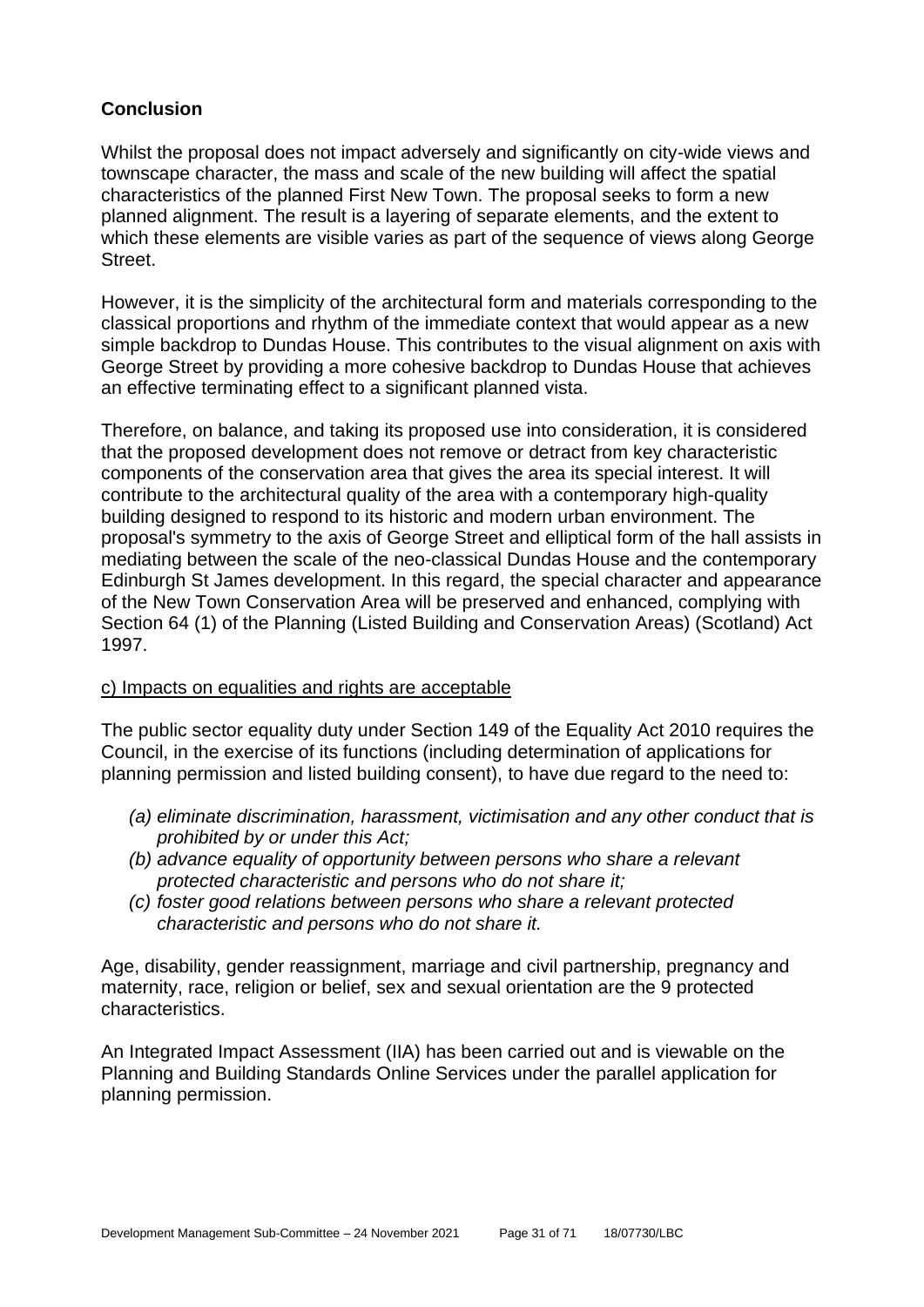## **Conclusion**

Whilst the proposal does not impact adversely and significantly on city-wide views and townscape character, the mass and scale of the new building will affect the spatial characteristics of the planned First New Town. The proposal seeks to form a new planned alignment. The result is a layering of separate elements, and the extent to which these elements are visible varies as part of the sequence of views along George Street.

However, it is the simplicity of the architectural form and materials corresponding to the classical proportions and rhythm of the immediate context that would appear as a new simple backdrop to Dundas House. This contributes to the visual alignment on axis with George Street by providing a more cohesive backdrop to Dundas House that achieves an effective terminating effect to a significant planned vista.

Therefore, on balance, and taking its proposed use into consideration, it is considered that the proposed development does not remove or detract from key characteristic components of the conservation area that gives the area its special interest. It will contribute to the architectural quality of the area with a contemporary high-quality building designed to respond to its historic and modern urban environment. The proposal's symmetry to the axis of George Street and elliptical form of the hall assists in mediating between the scale of the neo-classical Dundas House and the contemporary Edinburgh St James development. In this regard, the special character and appearance of the New Town Conservation Area will be preserved and enhanced, complying with Section 64 (1) of the Planning (Listed Building and Conservation Areas) (Scotland) Act 1997.

#### c) Impacts on equalities and rights are acceptable

The public sector equality duty under Section 149 of the Equality Act 2010 requires the Council, in the exercise of its functions (including determination of applications for planning permission and listed building consent), to have due regard to the need to:

- *(a) eliminate discrimination, harassment, victimisation and any other conduct that is prohibited by or under this Act;*
- *(b) advance equality of opportunity between persons who share a relevant protected characteristic and persons who do not share it;*
- *(c) foster good relations between persons who share a relevant protected characteristic and persons who do not share it.*

Age, disability, gender reassignment, marriage and civil partnership, pregnancy and maternity, race, religion or belief, sex and sexual orientation are the 9 protected characteristics.

An Integrated Impact Assessment (IIA) has been carried out and is viewable on the Planning and Building Standards Online Services under the parallel application for planning permission.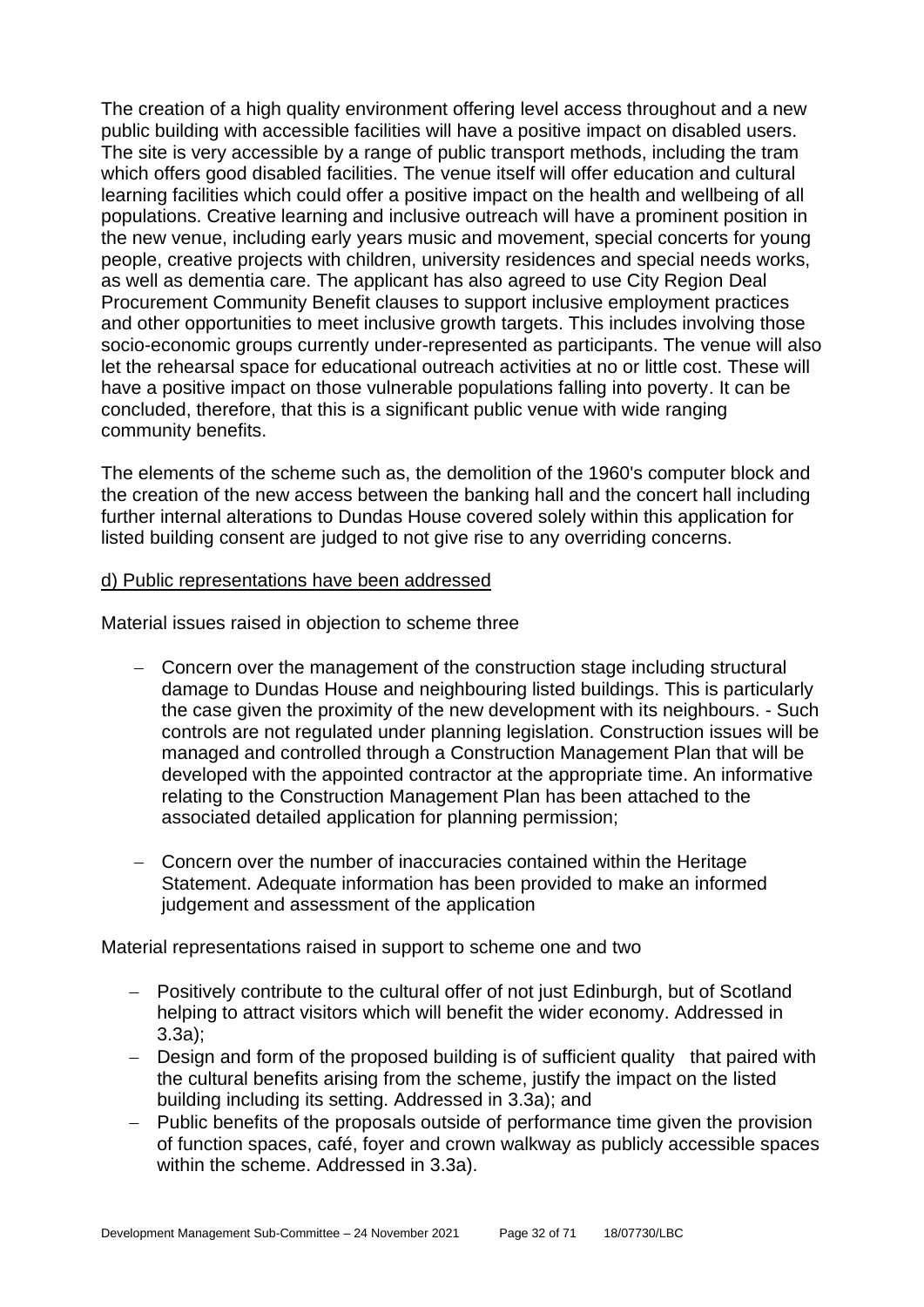The creation of a high quality environment offering level access throughout and a new public building with accessible facilities will have a positive impact on disabled users. The site is very accessible by a range of public transport methods, including the tram which offers good disabled facilities. The venue itself will offer education and cultural learning facilities which could offer a positive impact on the health and wellbeing of all populations. Creative learning and inclusive outreach will have a prominent position in the new venue, including early years music and movement, special concerts for young people, creative projects with children, university residences and special needs works, as well as dementia care. The applicant has also agreed to use City Region Deal Procurement Community Benefit clauses to support inclusive employment practices and other opportunities to meet inclusive growth targets. This includes involving those socio-economic groups currently under-represented as participants. The venue will also let the rehearsal space for educational outreach activities at no or little cost. These will have a positive impact on those vulnerable populations falling into poverty. It can be concluded, therefore, that this is a significant public venue with wide ranging community benefits.

The elements of the scheme such as, the demolition of the 1960's computer block and the creation of the new access between the banking hall and the concert hall including further internal alterations to Dundas House covered solely within this application for listed building consent are judged to not give rise to any overriding concerns.

#### d) Public representations have been addressed

Material issues raised in objection to scheme three

- − Concern over the management of the construction stage including structural damage to Dundas House and neighbouring listed buildings. This is particularly the case given the proximity of the new development with its neighbours. - Such controls are not regulated under planning legislation. Construction issues will be managed and controlled through a Construction Management Plan that will be developed with the appointed contractor at the appropriate time. An informative relating to the Construction Management Plan has been attached to the associated detailed application for planning permission;
- − Concern over the number of inaccuracies contained within the Heritage Statement. Adequate information has been provided to make an informed judgement and assessment of the application

Material representations raised in support to scheme one and two

- − Positively contribute to the cultural offer of not just Edinburgh, but of Scotland helping to attract visitors which will benefit the wider economy. Addressed in 3.3a);
- − Design and form of the proposed building is of sufficient quality that paired with the cultural benefits arising from the scheme, justify the impact on the listed building including its setting. Addressed in 3.3a); and
- − Public benefits of the proposals outside of performance time given the provision of function spaces, café, foyer and crown walkway as publicly accessible spaces within the scheme. Addressed in 3.3a).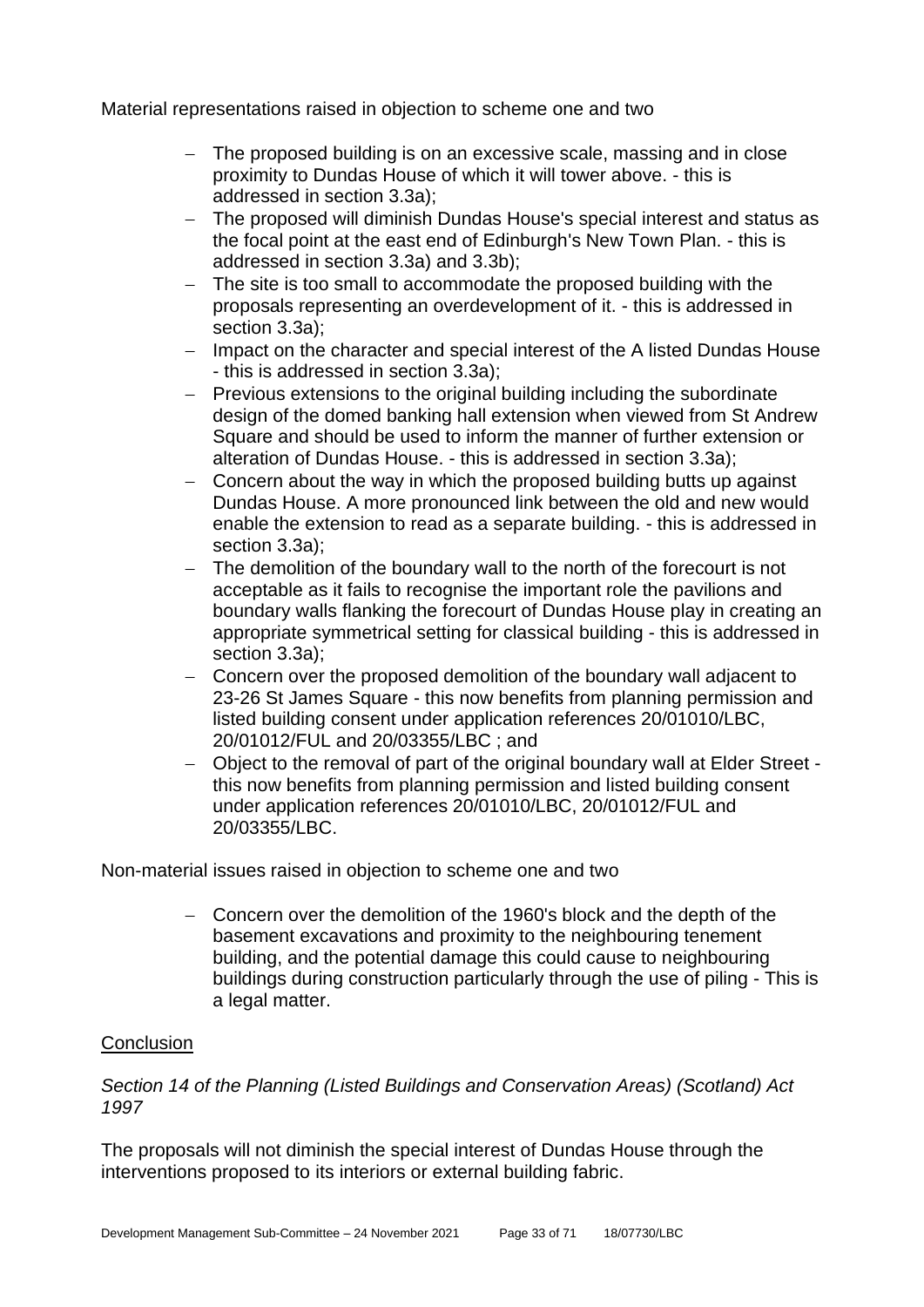Material representations raised in objection to scheme one and two

- − The proposed building is on an excessive scale, massing and in close proximity to Dundas House of which it will tower above. - this is addressed in section 3.3a);
- − The proposed will diminish Dundas House's special interest and status as the focal point at the east end of Edinburgh's New Town Plan. - this is addressed in section 3.3a) and 3.3b);
- − The site is too small to accommodate the proposed building with the proposals representing an overdevelopment of it. - this is addressed in section 3.3a);
- − Impact on the character and special interest of the A listed Dundas House - this is addressed in section 3.3a);
- − Previous extensions to the original building including the subordinate design of the domed banking hall extension when viewed from St Andrew Square and should be used to inform the manner of further extension or alteration of Dundas House. - this is addressed in section 3.3a);
- − Concern about the way in which the proposed building butts up against Dundas House. A more pronounced link between the old and new would enable the extension to read as a separate building. - this is addressed in section 3.3a);
- − The demolition of the boundary wall to the north of the forecourt is not acceptable as it fails to recognise the important role the pavilions and boundary walls flanking the forecourt of Dundas House play in creating an appropriate symmetrical setting for classical building - this is addressed in section 3.3a);
- − Concern over the proposed demolition of the boundary wall adjacent to 23-26 St James Square - this now benefits from planning permission and listed building consent under application references 20/01010/LBC, 20/01012/FUL and 20/03355/LBC ; and
- − Object to the removal of part of the original boundary wall at Elder Street this now benefits from planning permission and listed building consent under application references 20/01010/LBC, 20/01012/FUL and 20/03355/LBC.

Non-material issues raised in objection to scheme one and two

− Concern over the demolition of the 1960's block and the depth of the basement excavations and proximity to the neighbouring tenement building, and the potential damage this could cause to neighbouring buildings during construction particularly through the use of piling - This is a legal matter.

#### **Conclusion**

*Section 14 of the Planning (Listed Buildings and Conservation Areas) (Scotland) Act 1997*

The proposals will not diminish the special interest of Dundas House through the interventions proposed to its interiors or external building fabric.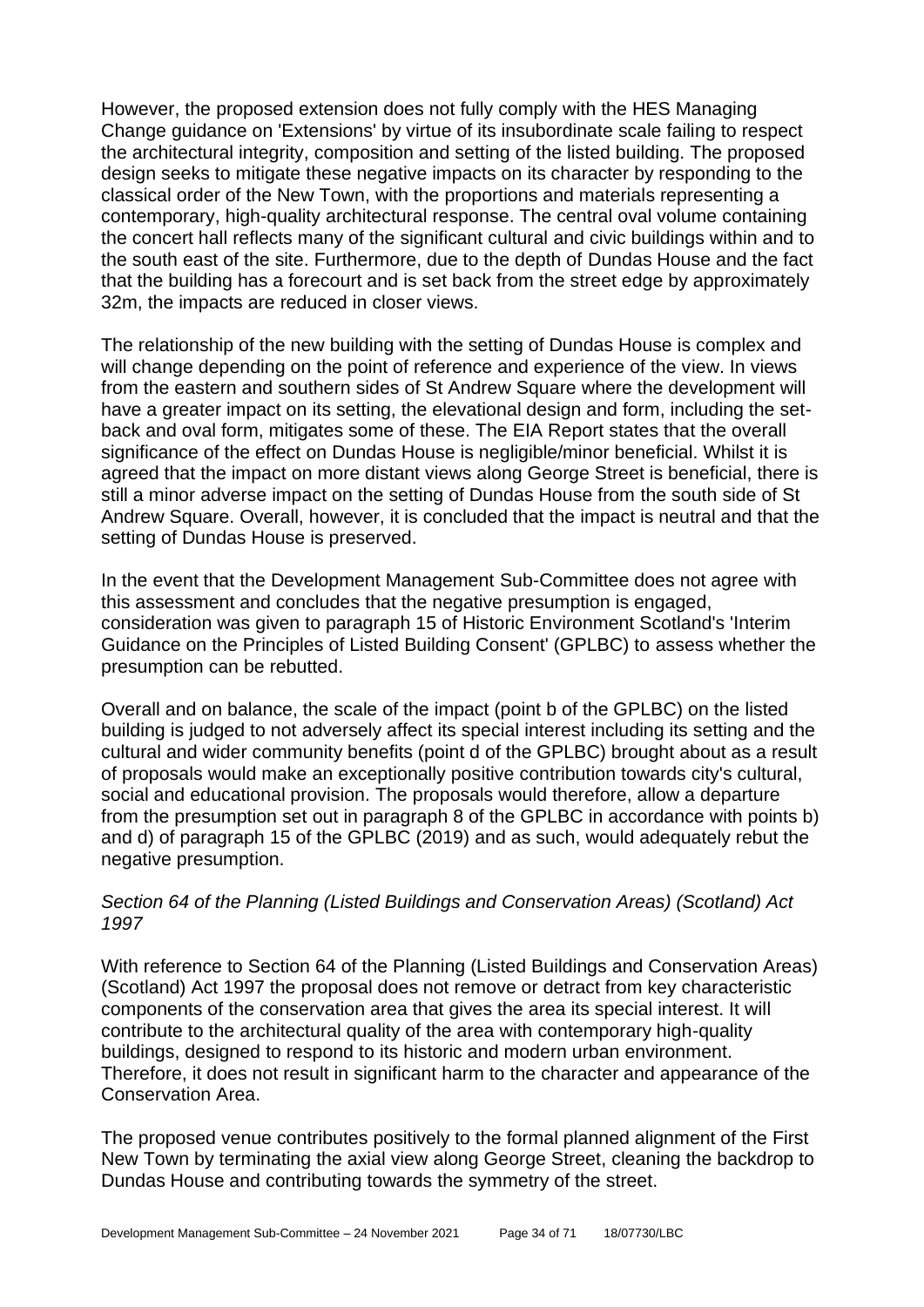However, the proposed extension does not fully comply with the HES Managing Change guidance on 'Extensions' by virtue of its insubordinate scale failing to respect the architectural integrity, composition and setting of the listed building. The proposed design seeks to mitigate these negative impacts on its character by responding to the classical order of the New Town, with the proportions and materials representing a contemporary, high-quality architectural response. The central oval volume containing the concert hall reflects many of the significant cultural and civic buildings within and to the south east of the site. Furthermore, due to the depth of Dundas House and the fact that the building has a forecourt and is set back from the street edge by approximately 32m, the impacts are reduced in closer views.

The relationship of the new building with the setting of Dundas House is complex and will change depending on the point of reference and experience of the view. In views from the eastern and southern sides of St Andrew Square where the development will have a greater impact on its setting, the elevational design and form, including the setback and oval form, mitigates some of these. The EIA Report states that the overall significance of the effect on Dundas House is negligible/minor beneficial. Whilst it is agreed that the impact on more distant views along George Street is beneficial, there is still a minor adverse impact on the setting of Dundas House from the south side of St Andrew Square. Overall, however, it is concluded that the impact is neutral and that the setting of Dundas House is preserved.

In the event that the Development Management Sub-Committee does not agree with this assessment and concludes that the negative presumption is engaged, consideration was given to paragraph 15 of Historic Environment Scotland's 'Interim Guidance on the Principles of Listed Building Consent' (GPLBC) to assess whether the presumption can be rebutted.

Overall and on balance, the scale of the impact (point b of the GPLBC) on the listed building is judged to not adversely affect its special interest including its setting and the cultural and wider community benefits (point d of the GPLBC) brought about as a result of proposals would make an exceptionally positive contribution towards city's cultural, social and educational provision. The proposals would therefore, allow a departure from the presumption set out in paragraph 8 of the GPLBC in accordance with points b) and d) of paragraph 15 of the GPLBC (2019) and as such, would adequately rebut the negative presumption.

#### *Section 64 of the Planning (Listed Buildings and Conservation Areas) (Scotland) Act 1997*

With reference to Section 64 of the Planning (Listed Buildings and Conservation Areas) (Scotland) Act 1997 the proposal does not remove or detract from key characteristic components of the conservation area that gives the area its special interest. It will contribute to the architectural quality of the area with contemporary high-quality buildings, designed to respond to its historic and modern urban environment. Therefore, it does not result in significant harm to the character and appearance of the Conservation Area.

The proposed venue contributes positively to the formal planned alignment of the First New Town by terminating the axial view along George Street, cleaning the backdrop to Dundas House and contributing towards the symmetry of the street.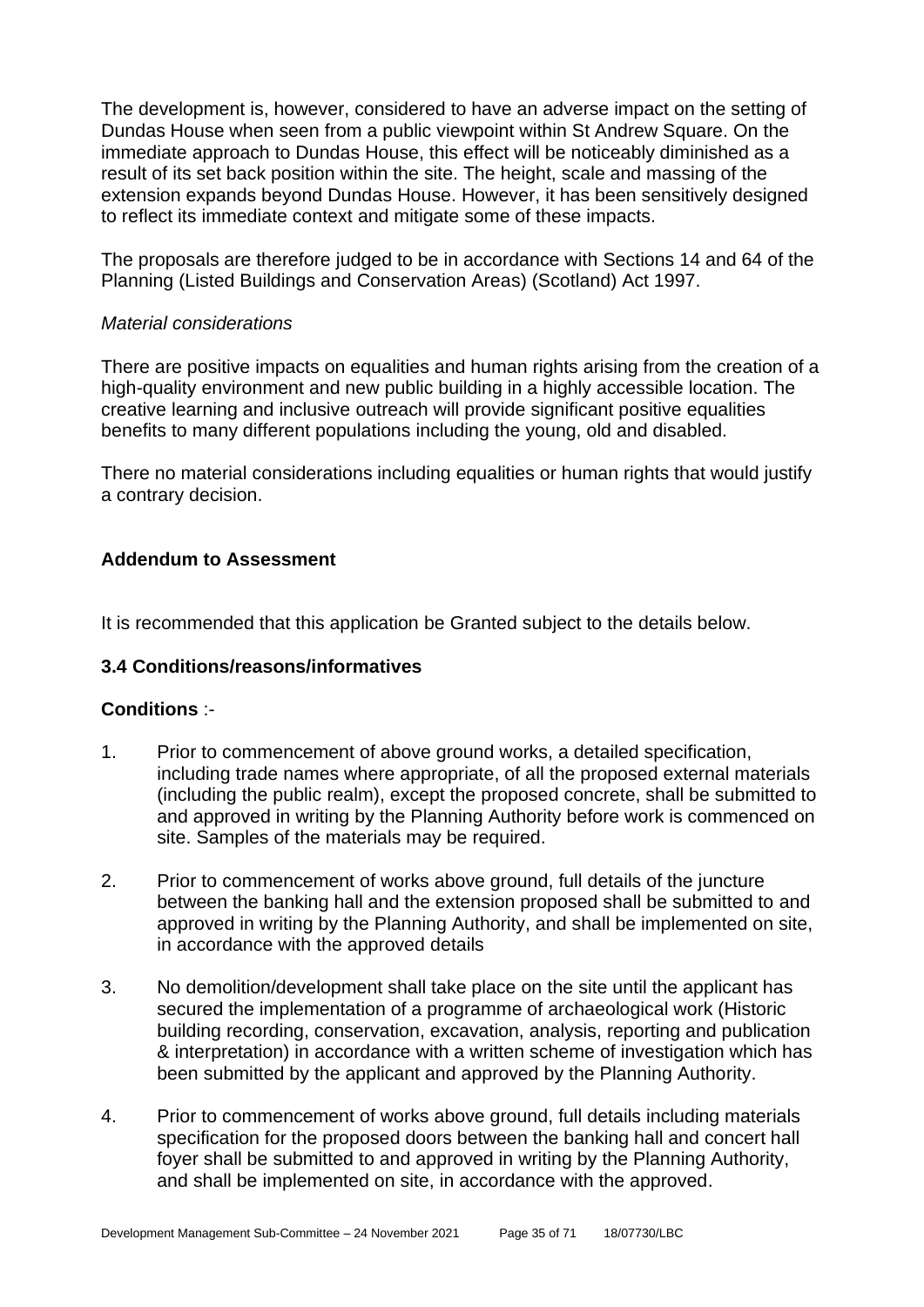The development is, however, considered to have an adverse impact on the setting of Dundas House when seen from a public viewpoint within St Andrew Square. On the immediate approach to Dundas House, this effect will be noticeably diminished as a result of its set back position within the site. The height, scale and massing of the extension expands beyond Dundas House. However, it has been sensitively designed to reflect its immediate context and mitigate some of these impacts.

The proposals are therefore judged to be in accordance with Sections 14 and 64 of the Planning (Listed Buildings and Conservation Areas) (Scotland) Act 1997.

#### *Material considerations*

There are positive impacts on equalities and human rights arising from the creation of a high-quality environment and new public building in a highly accessible location. The creative learning and inclusive outreach will provide significant positive equalities benefits to many different populations including the young, old and disabled.

There no material considerations including equalities or human rights that would justify a contrary decision.

## **Addendum to Assessment**

It is recommended that this application be Granted subject to the details below.

#### **3.4 Conditions/reasons/informatives**

#### **Conditions** :-

- 1. Prior to commencement of above ground works, a detailed specification, including trade names where appropriate, of all the proposed external materials (including the public realm), except the proposed concrete, shall be submitted to and approved in writing by the Planning Authority before work is commenced on site. Samples of the materials may be required.
- 2. Prior to commencement of works above ground, full details of the juncture between the banking hall and the extension proposed shall be submitted to and approved in writing by the Planning Authority, and shall be implemented on site, in accordance with the approved details
- 3. No demolition/development shall take place on the site until the applicant has secured the implementation of a programme of archaeological work (Historic building recording, conservation, excavation, analysis, reporting and publication & interpretation) in accordance with a written scheme of investigation which has been submitted by the applicant and approved by the Planning Authority.
- 4. Prior to commencement of works above ground, full details including materials specification for the proposed doors between the banking hall and concert hall foyer shall be submitted to and approved in writing by the Planning Authority, and shall be implemented on site, in accordance with the approved.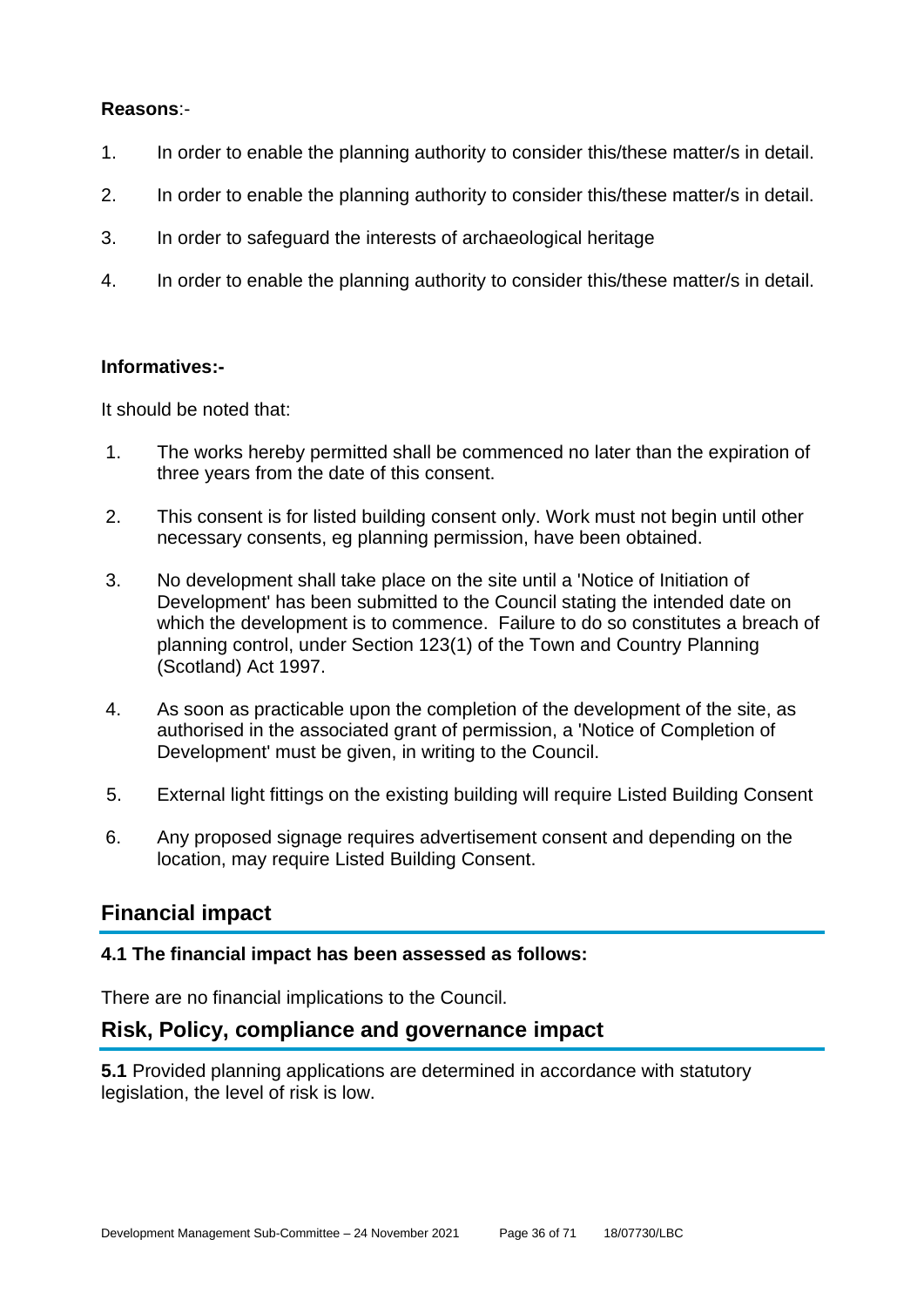#### **Reasons**:-

- 1. In order to enable the planning authority to consider this/these matter/s in detail.
- 2. In order to enable the planning authority to consider this/these matter/s in detail.
- 3. In order to safeguard the interests of archaeological heritage
- 4. In order to enable the planning authority to consider this/these matter/s in detail.

#### **Informatives:-**

It should be noted that:

- 1. The works hereby permitted shall be commenced no later than the expiration of three years from the date of this consent.
- 2. This consent is for listed building consent only. Work must not begin until other necessary consents, eg planning permission, have been obtained.
- 3. No development shall take place on the site until a 'Notice of Initiation of Development' has been submitted to the Council stating the intended date on which the development is to commence. Failure to do so constitutes a breach of planning control, under Section 123(1) of the Town and Country Planning (Scotland) Act 1997.
- 4. As soon as practicable upon the completion of the development of the site, as authorised in the associated grant of permission, a 'Notice of Completion of Development' must be given, in writing to the Council.
- 5. External light fittings on the existing building will require Listed Building Consent
- 6. Any proposed signage requires advertisement consent and depending on the location, may require Listed Building Consent.

## **Financial impact**

#### **4.1 The financial impact has been assessed as follows:**

There are no financial implications to the Council.

## **Risk, Policy, compliance and governance impact**

**5.1** Provided planning applications are determined in accordance with statutory legislation, the level of risk is low.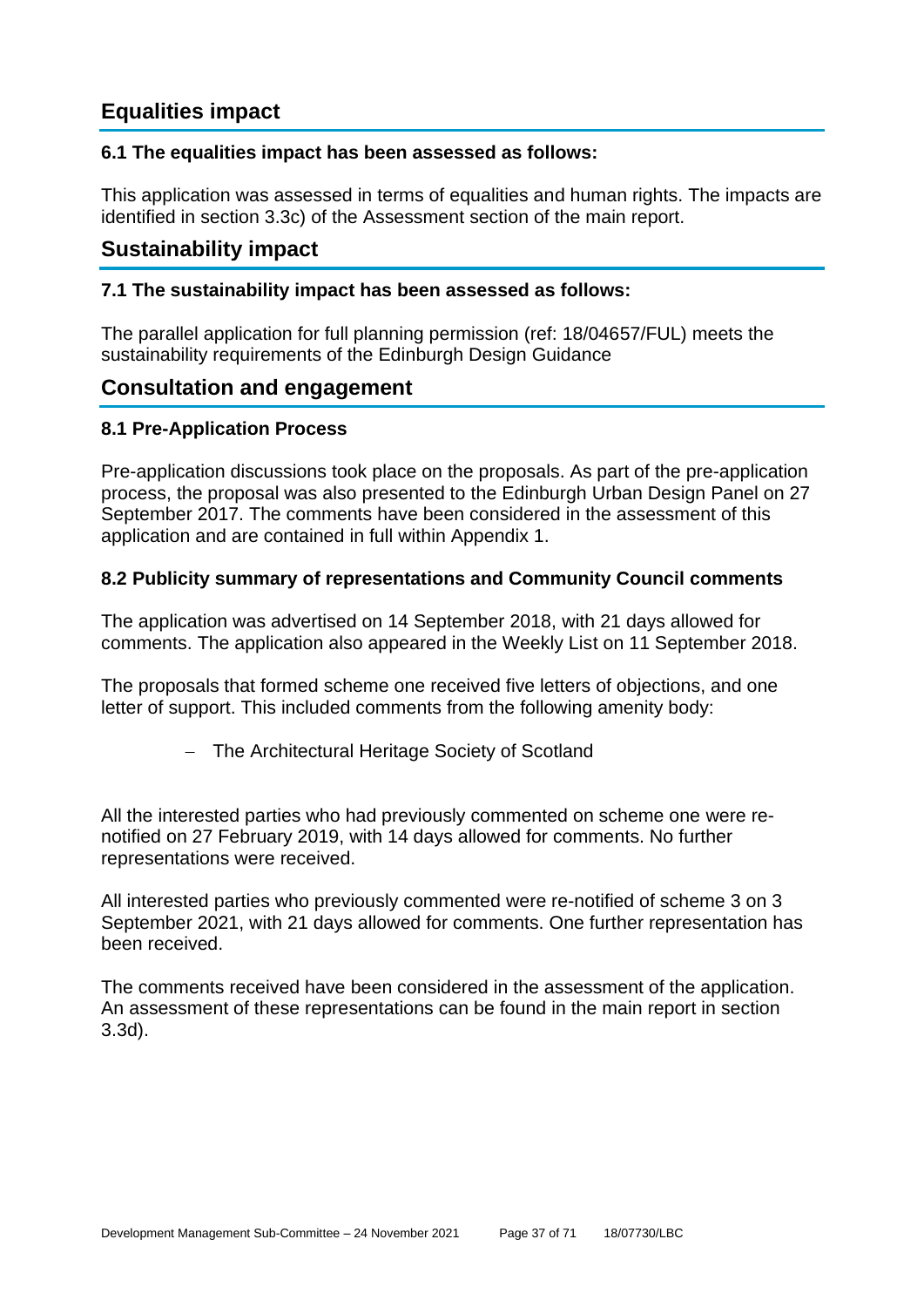## **Equalities impact**

## **6.1 The equalities impact has been assessed as follows:**

This application was assessed in terms of equalities and human rights. The impacts are identified in section 3.3c) of the Assessment section of the main report.

## **Sustainability impact**

#### **7.1 The sustainability impact has been assessed as follows:**

The parallel application for full planning permission (ref: 18/04657/FUL) meets the sustainability requirements of the Edinburgh Design Guidance

## **Consultation and engagement**

## **8.1 Pre-Application Process**

Pre-application discussions took place on the proposals. As part of the pre-application process, the proposal was also presented to the Edinburgh Urban Design Panel on 27 September 2017. The comments have been considered in the assessment of this application and are contained in full within Appendix 1.

#### **8.2 Publicity summary of representations and Community Council comments**

The application was advertised on 14 September 2018, with 21 days allowed for comments. The application also appeared in the Weekly List on 11 September 2018.

The proposals that formed scheme one received five letters of objections, and one letter of support. This included comments from the following amenity body:

− The Architectural Heritage Society of Scotland

All the interested parties who had previously commented on scheme one were renotified on 27 February 2019, with 14 days allowed for comments. No further representations were received.

All interested parties who previously commented were re-notified of scheme 3 on 3 September 2021, with 21 days allowed for comments. One further representation has been received.

The comments received have been considered in the assessment of the application. An assessment of these representations can be found in the main report in section 3.3d).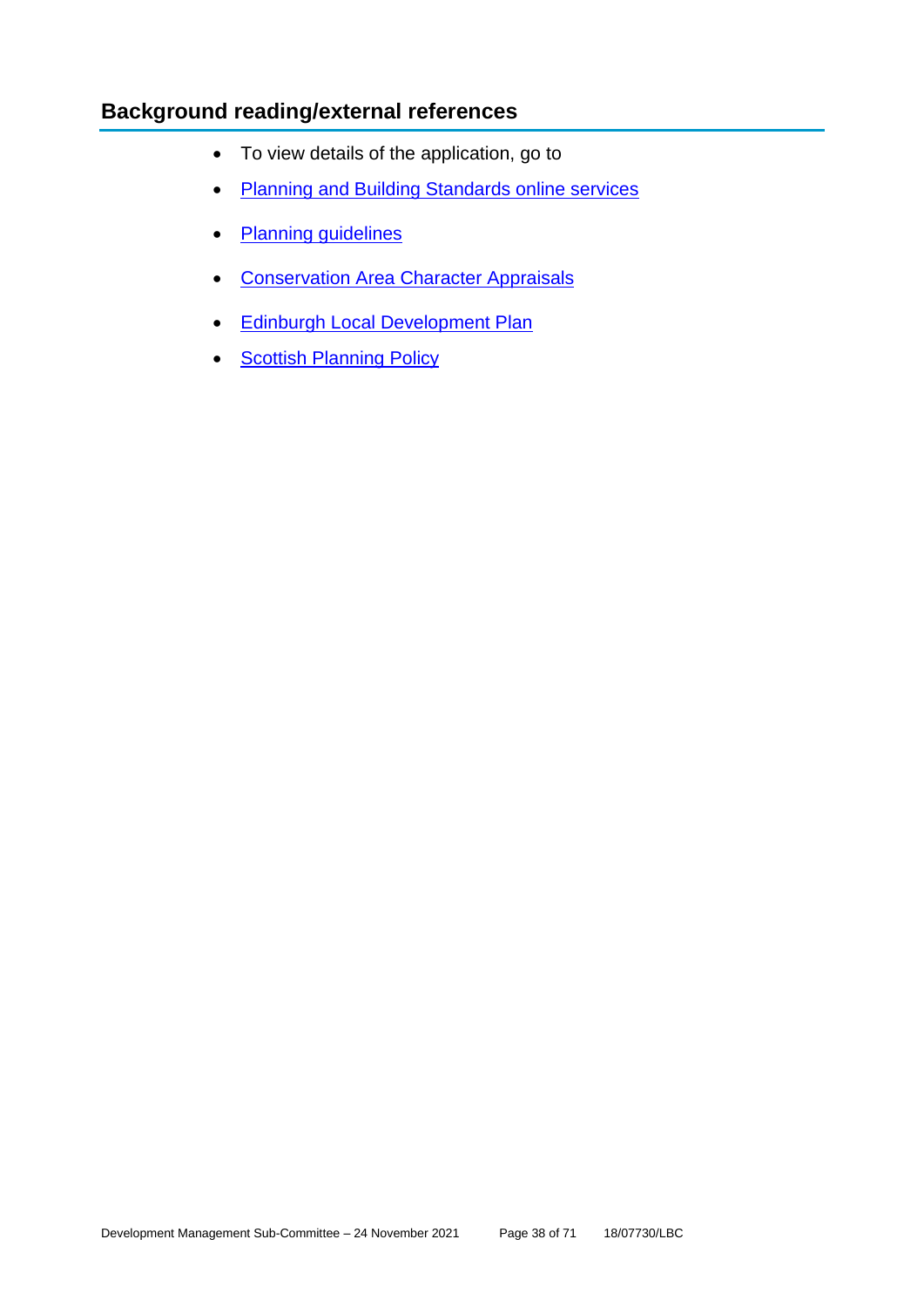## **Background reading/external references**

- To view details of the application, go to
- [Planning and Building Standards online services](https://citydev-portal.edinburgh.gov.uk/idoxpa-web/search.do?action=simple&searchType=Application)
- [Planning guidelines](http://www.edinburgh.gov.uk/planningguidelines)
- [Conservation Area Character Appraisals](http://www.edinburgh.gov.uk/characterappraisals)
- [Edinburgh Local Development Plan](http://www.edinburgh.gov.uk/localdevelopmentplan)
- **[Scottish Planning](http://www.scotland.gov.uk/Topics/Built-Environment/planning/Policy) Policy**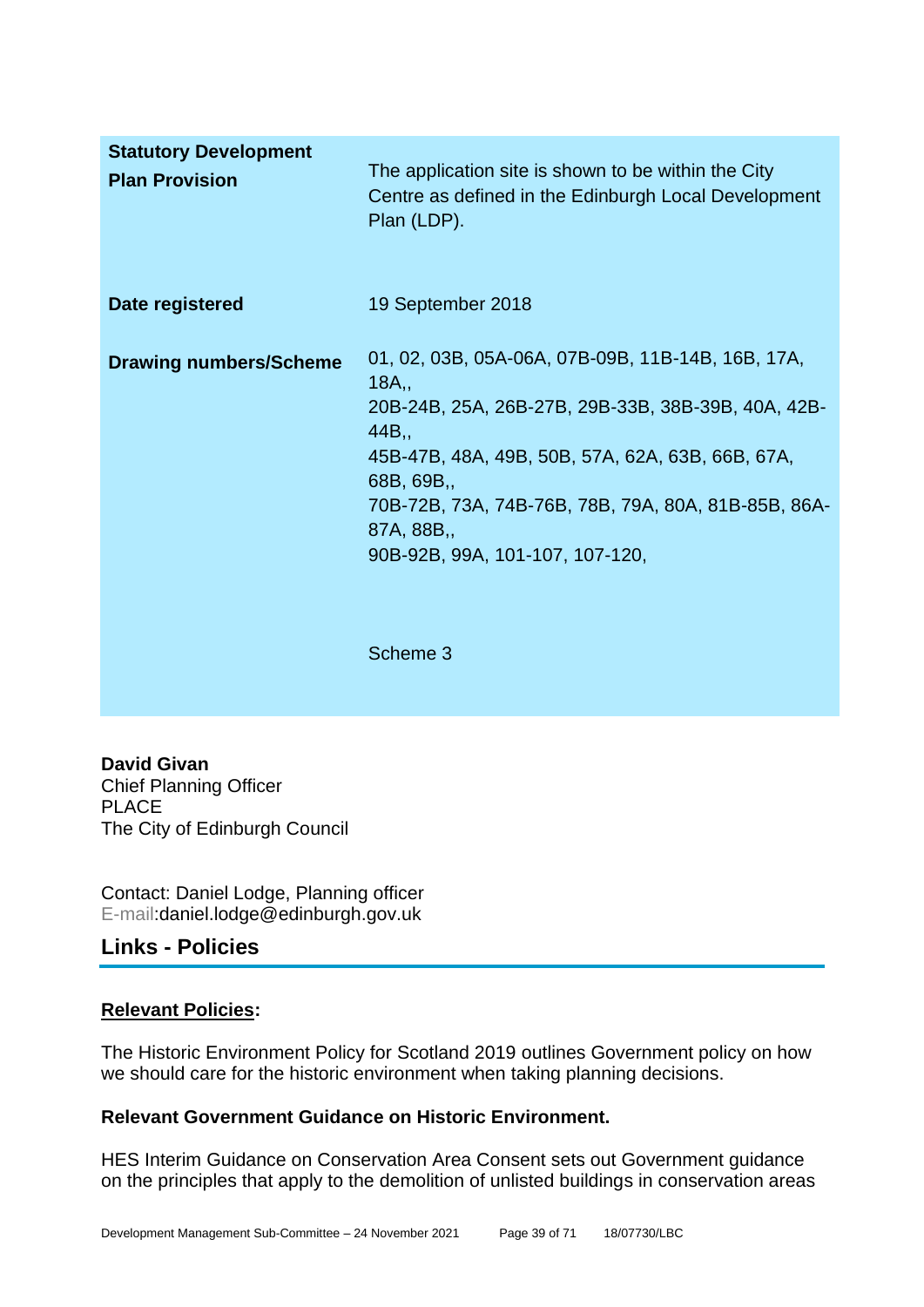| <b>Statutory Development</b><br><b>Plan Provision</b> | The application site is shown to be within the City<br>Centre as defined in the Edinburgh Local Development<br>Plan (LDP).                                                                                                                                                                      |
|-------------------------------------------------------|-------------------------------------------------------------------------------------------------------------------------------------------------------------------------------------------------------------------------------------------------------------------------------------------------|
| Date registered                                       | 19 September 2018                                                                                                                                                                                                                                                                               |
| <b>Drawing numbers/Scheme</b>                         | 01, 02, 03B, 05A-06A, 07B-09B, 11B-14B, 16B, 17A,<br>18A,<br>20B-24B, 25A, 26B-27B, 29B-33B, 38B-39B, 40A, 42B-<br>44B,<br>45B-47B, 48A, 49B, 50B, 57A, 62A, 63B, 66B, 67A,<br>68B, 69B,<br>70B-72B, 73A, 74B-76B, 78B, 79A, 80A, 81B-85B, 86A-<br>87A, 88B,<br>90B-92B, 99A, 101-107, 107-120, |
|                                                       | Scheme 3                                                                                                                                                                                                                                                                                        |

**David Givan** Chief Planning Officer PLACE The City of Edinburgh Council

Contact: Daniel Lodge, Planning officer E-mail:daniel.lodge@edinburgh.gov.uk

## **Links - Policies**

#### **Relevant Policies:**

The Historic Environment Policy for Scotland 2019 outlines Government policy on how we should care for the historic environment when taking planning decisions.

## **Relevant Government Guidance on Historic Environment.**

HES Interim Guidance on Conservation Area Consent sets out Government guidance on the principles that apply to the demolition of unlisted buildings in conservation areas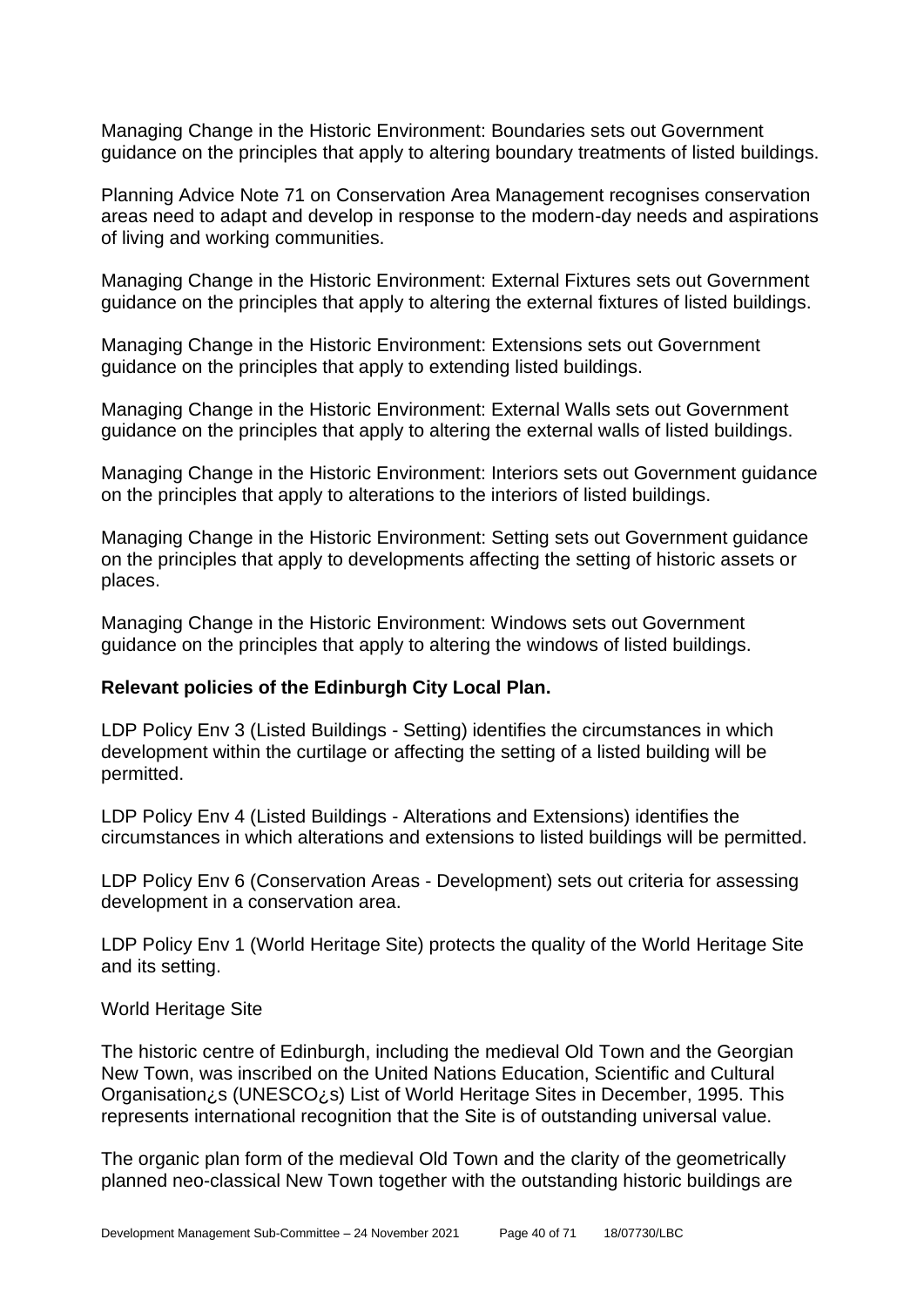Managing Change in the Historic Environment: Boundaries sets out Government guidance on the principles that apply to altering boundary treatments of listed buildings.

Planning Advice Note 71 on Conservation Area Management recognises conservation areas need to adapt and develop in response to the modern-day needs and aspirations of living and working communities.

Managing Change in the Historic Environment: External Fixtures sets out Government guidance on the principles that apply to altering the external fixtures of listed buildings.

Managing Change in the Historic Environment: Extensions sets out Government guidance on the principles that apply to extending listed buildings.

Managing Change in the Historic Environment: External Walls sets out Government guidance on the principles that apply to altering the external walls of listed buildings.

Managing Change in the Historic Environment: Interiors sets out Government guidance on the principles that apply to alterations to the interiors of listed buildings.

Managing Change in the Historic Environment: Setting sets out Government guidance on the principles that apply to developments affecting the setting of historic assets or places.

Managing Change in the Historic Environment: Windows sets out Government guidance on the principles that apply to altering the windows of listed buildings.

#### **Relevant policies of the Edinburgh City Local Plan.**

LDP Policy Env 3 (Listed Buildings - Setting) identifies the circumstances in which development within the curtilage or affecting the setting of a listed building will be permitted.

LDP Policy Env 4 (Listed Buildings - Alterations and Extensions) identifies the circumstances in which alterations and extensions to listed buildings will be permitted.

LDP Policy Env 6 (Conservation Areas - Development) sets out criteria for assessing development in a conservation area.

LDP Policy Env 1 (World Heritage Site) protects the quality of the World Heritage Site and its setting.

#### World Heritage Site

The historic centre of Edinburgh, including the medieval Old Town and the Georgian New Town, was inscribed on the United Nations Education, Scientific and Cultural Organisation¿s (UNESCO¿s) List of World Heritage Sites in December, 1995. This represents international recognition that the Site is of outstanding universal value.

The organic plan form of the medieval Old Town and the clarity of the geometrically planned neo-classical New Town together with the outstanding historic buildings are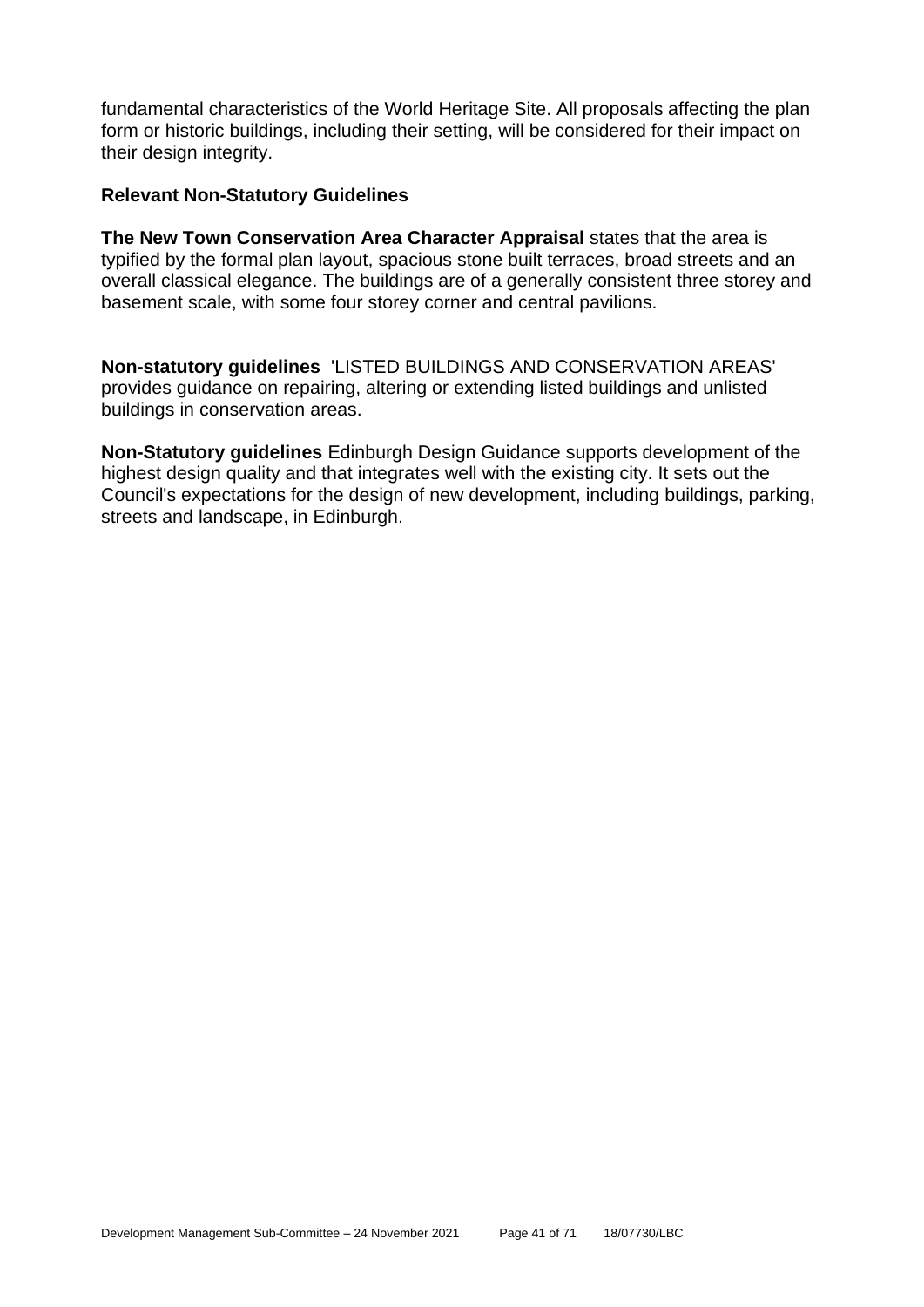fundamental characteristics of the World Heritage Site. All proposals affecting the plan form or historic buildings, including their setting, will be considered for their impact on their design integrity.

#### **Relevant Non-Statutory Guidelines**

**The New Town Conservation Area Character Appraisal** states that the area is typified by the formal plan layout, spacious stone built terraces, broad streets and an overall classical elegance. The buildings are of a generally consistent three storey and basement scale, with some four storey corner and central pavilions.

**Non-statutory guidelines** 'LISTED BUILDINGS AND CONSERVATION AREAS' provides guidance on repairing, altering or extending listed buildings and unlisted buildings in conservation areas.

**Non-Statutory guidelines** Edinburgh Design Guidance supports development of the highest design quality and that integrates well with the existing city. It sets out the Council's expectations for the design of new development, including buildings, parking, streets and landscape, in Edinburgh.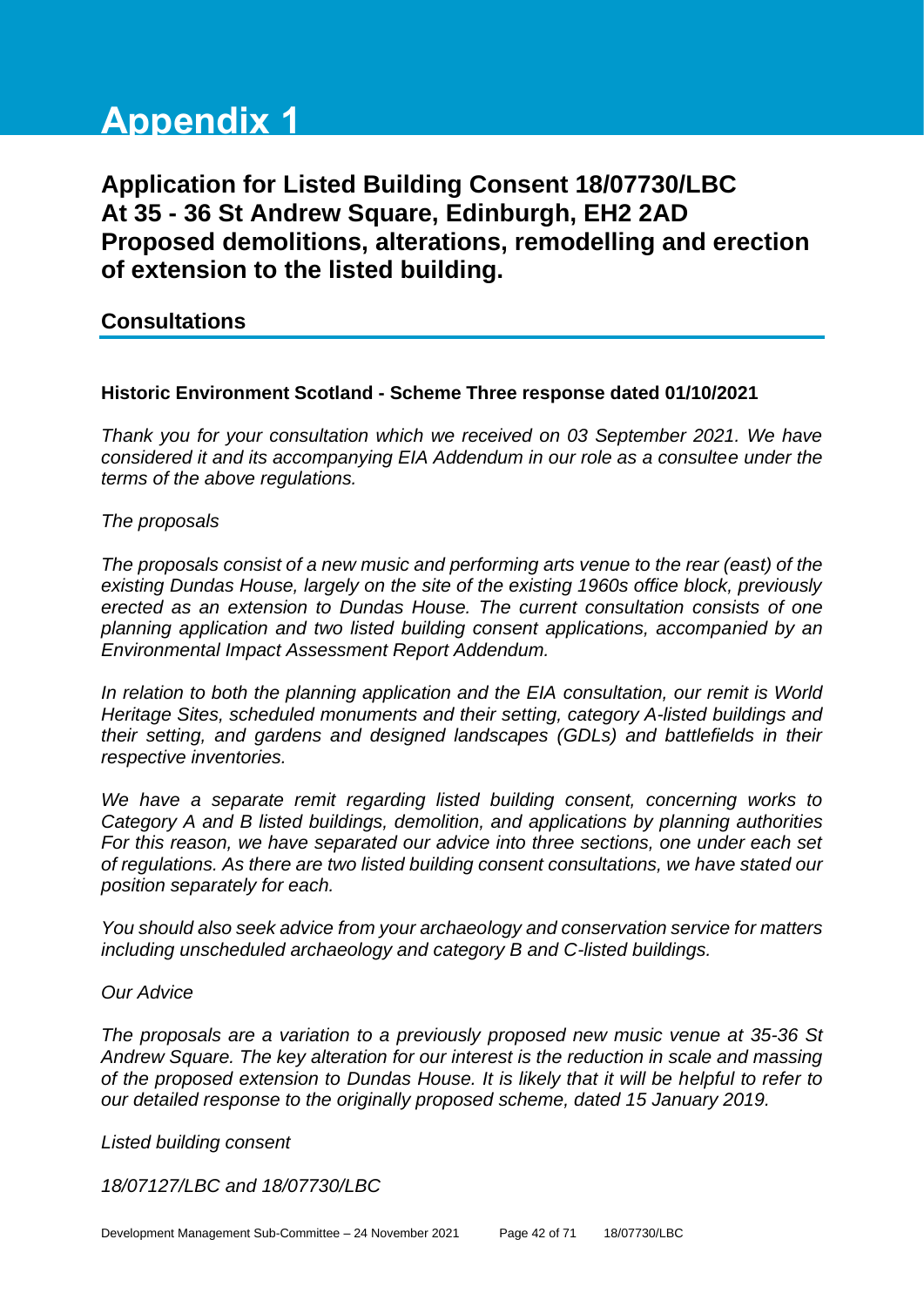# **Appendix 1**

# **Application for Listed Building Consent 18/07730/LBC At 35 - 36 St Andrew Square, Edinburgh, EH2 2AD Proposed demolitions, alterations, remodelling and erection of extension to the listed building.**

## **Consultations**

#### **Historic Environment Scotland - Scheme Three response dated 01/10/2021**

*Thank you for your consultation which we received on 03 September 2021. We have considered it and its accompanying EIA Addendum in our role as a consultee under the terms of the above regulations.*

#### *The proposals*

*The proposals consist of a new music and performing arts venue to the rear (east) of the existing Dundas House, largely on the site of the existing 1960s office block, previously erected as an extension to Dundas House. The current consultation consists of one planning application and two listed building consent applications, accompanied by an Environmental Impact Assessment Report Addendum.*

*In relation to both the planning application and the EIA consultation, our remit is World Heritage Sites, scheduled monuments and their setting, category A-listed buildings and their setting, and gardens and designed landscapes (GDLs) and battlefields in their respective inventories.*

*We have a separate remit regarding listed building consent, concerning works to Category A and B listed buildings, demolition, and applications by planning authorities For this reason, we have separated our advice into three sections, one under each set of regulations. As there are two listed building consent consultations, we have stated our position separately for each.*

*You should also seek advice from your archaeology and conservation service for matters including unscheduled archaeology and category B and C-listed buildings.*

#### *Our Advice*

*The proposals are a variation to a previously proposed new music venue at 35-36 St Andrew Square. The key alteration for our interest is the reduction in scale and massing of the proposed extension to Dundas House. It is likely that it will be helpful to refer to our detailed response to the originally proposed scheme, dated 15 January 2019.*

*Listed building consent*

*18/07127/LBC and 18/07730/LBC*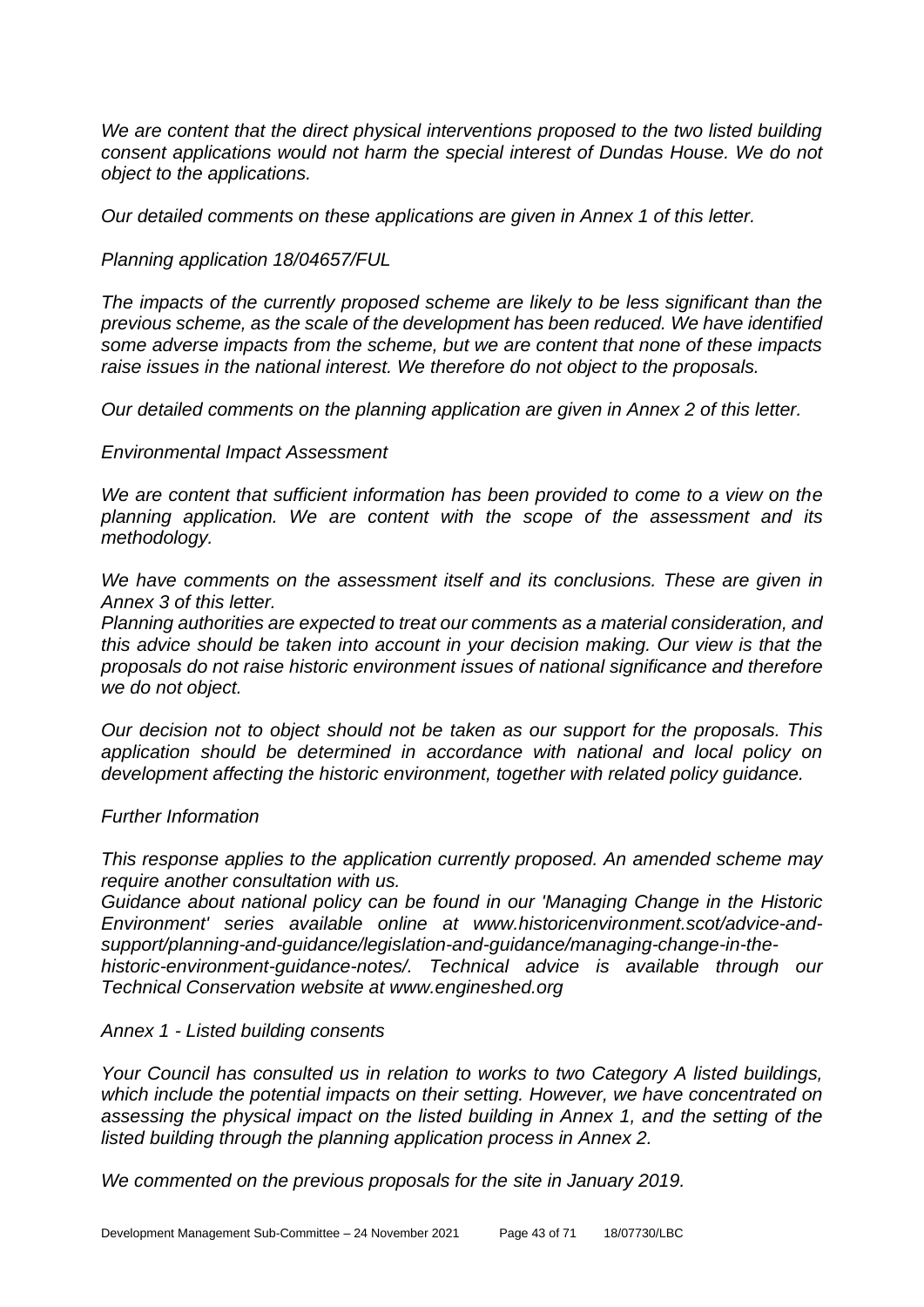*We are content that the direct physical interventions proposed to the two listed building consent applications would not harm the special interest of Dundas House. We do not object to the applications.*

*Our detailed comments on these applications are given in Annex 1 of this letter.*

#### *Planning application 18/04657/FUL*

*The impacts of the currently proposed scheme are likely to be less significant than the previous scheme, as the scale of the development has been reduced. We have identified some adverse impacts from the scheme, but we are content that none of these impacts raise issues in the national interest. We therefore do not object to the proposals.*

*Our detailed comments on the planning application are given in Annex 2 of this letter.*

#### *Environmental Impact Assessment*

*We are content that sufficient information has been provided to come to a view on the planning application. We are content with the scope of the assessment and its methodology.*

*We have comments on the assessment itself and its conclusions. These are given in Annex 3 of this letter.*

*Planning authorities are expected to treat our comments as a material consideration, and this advice should be taken into account in your decision making. Our view is that the proposals do not raise historic environment issues of national significance and therefore we do not object.*

*Our decision not to object should not be taken as our support for the proposals. This application should be determined in accordance with national and local policy on development affecting the historic environment, together with related policy guidance.*

#### *Further Information*

*This response applies to the application currently proposed. An amended scheme may require another consultation with us.*

*Guidance about national policy can be found in our 'Managing Change in the Historic Environment' series available online at www.historicenvironment.scot/advice-andsupport/planning-and-guidance/legislation-and-guidance/managing-change-in-thehistoric-environment-guidance-notes/. Technical advice is available through our Technical Conservation website at www.engineshed.org*

#### *Annex 1 - Listed building consents*

*Your Council has consulted us in relation to works to two Category A listed buildings, which include the potential impacts on their setting. However, we have concentrated on assessing the physical impact on the listed building in Annex 1, and the setting of the listed building through the planning application process in Annex 2.*

*We commented on the previous proposals for the site in January 2019.*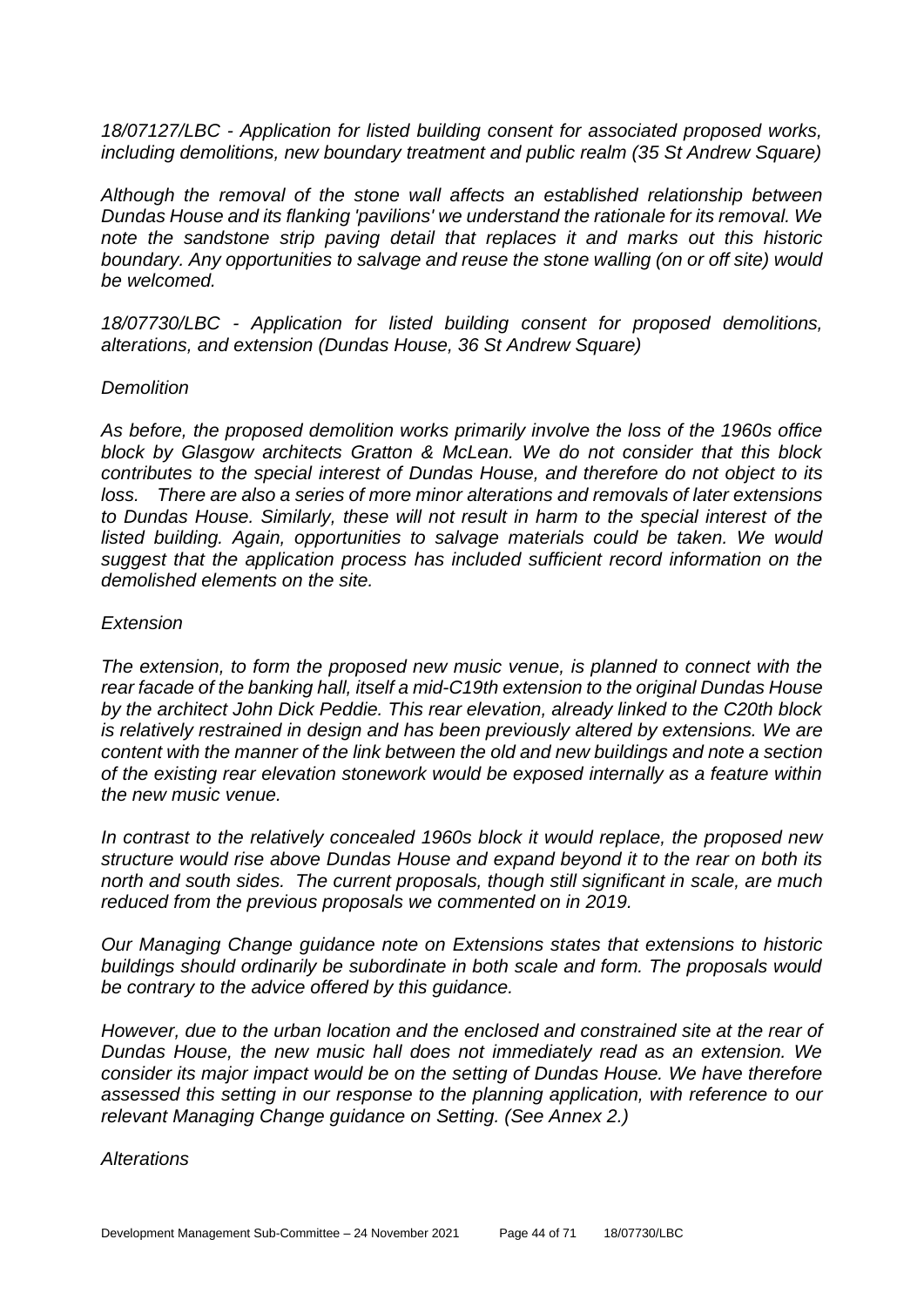*18/07127/LBC - Application for listed building consent for associated proposed works, including demolitions, new boundary treatment and public realm (35 St Andrew Square)*

*Although the removal of the stone wall affects an established relationship between Dundas House and its flanking 'pavilions' we understand the rationale for its removal. We note the sandstone strip paving detail that replaces it and marks out this historic boundary. Any opportunities to salvage and reuse the stone walling (on or off site) would be welcomed.*

*18/07730/LBC - Application for listed building consent for proposed demolitions, alterations, and extension (Dundas House, 36 St Andrew Square)*

#### *Demolition*

*As before, the proposed demolition works primarily involve the loss of the 1960s office block by Glasgow architects Gratton & McLean. We do not consider that this block contributes to the special interest of Dundas House, and therefore do not object to its loss. There are also a series of more minor alterations and removals of later extensions to Dundas House. Similarly, these will not result in harm to the special interest of the*  listed building. Again, opportunities to salvage materials could be taken. We would *suggest that the application process has included sufficient record information on the demolished elements on the site.*

#### *Extension*

*The extension, to form the proposed new music venue, is planned to connect with the rear facade of the banking hall, itself a mid-C19th extension to the original Dundas House by the architect John Dick Peddie. This rear elevation, already linked to the C20th block is relatively restrained in design and has been previously altered by extensions. We are content with the manner of the link between the old and new buildings and note a section of the existing rear elevation stonework would be exposed internally as a feature within the new music venue.*

*In contrast to the relatively concealed 1960s block it would replace, the proposed new structure would rise above Dundas House and expand beyond it to the rear on both its north and south sides. The current proposals, though still significant in scale, are much reduced from the previous proposals we commented on in 2019.*

*Our Managing Change guidance note on Extensions states that extensions to historic buildings should ordinarily be subordinate in both scale and form. The proposals would be contrary to the advice offered by this guidance.*

*However, due to the urban location and the enclosed and constrained site at the rear of Dundas House, the new music hall does not immediately read as an extension. We consider its major impact would be on the setting of Dundas House. We have therefore assessed this setting in our response to the planning application, with reference to our relevant Managing Change guidance on Setting. (See Annex 2.)*

*Alterations*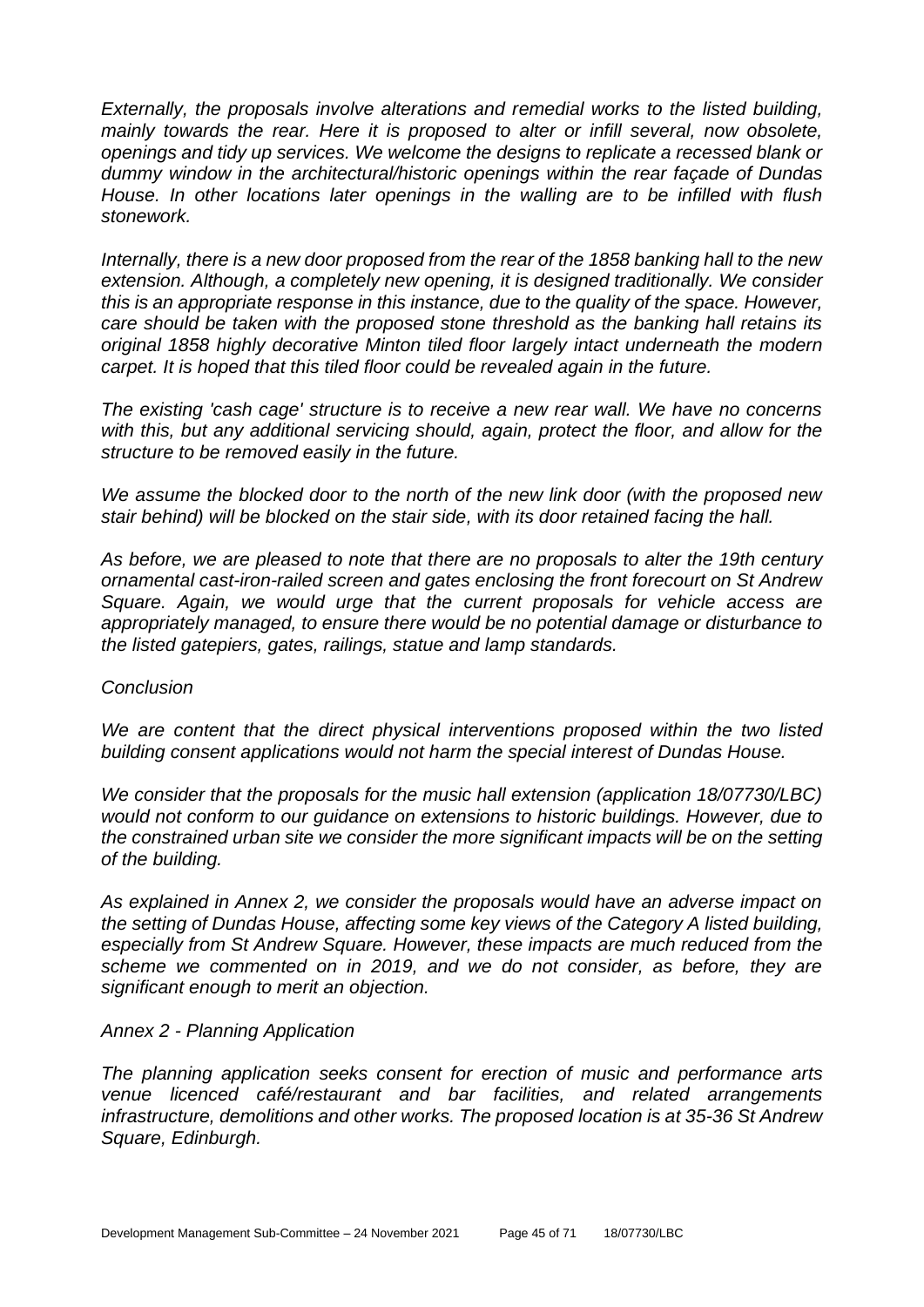*Externally, the proposals involve alterations and remedial works to the listed building, mainly towards the rear. Here it is proposed to alter or infill several, now obsolete, openings and tidy up services. We welcome the designs to replicate a recessed blank or dummy window in the architectural/historic openings within the rear façade of Dundas House. In other locations later openings in the walling are to be infilled with flush stonework.*

*Internally, there is a new door proposed from the rear of the 1858 banking hall to the new extension. Although, a completely new opening, it is designed traditionally. We consider this is an appropriate response in this instance, due to the quality of the space. However, care should be taken with the proposed stone threshold as the banking hall retains its original 1858 highly decorative Minton tiled floor largely intact underneath the modern carpet. It is hoped that this tiled floor could be revealed again in the future.*

*The existing 'cash cage' structure is to receive a new rear wall. We have no concerns with this, but any additional servicing should, again, protect the floor, and allow for the structure to be removed easily in the future.*

*We assume the blocked door to the north of the new link door (with the proposed new stair behind) will be blocked on the stair side, with its door retained facing the hall.*

*As before, we are pleased to note that there are no proposals to alter the 19th century ornamental cast-iron-railed screen and gates enclosing the front forecourt on St Andrew Square. Again, we would urge that the current proposals for vehicle access are appropriately managed, to ensure there would be no potential damage or disturbance to the listed gatepiers, gates, railings, statue and lamp standards.*

#### *Conclusion*

*We are content that the direct physical interventions proposed within the two listed building consent applications would not harm the special interest of Dundas House.*

*We consider that the proposals for the music hall extension (application 18/07730/LBC) would not conform to our guidance on extensions to historic buildings. However, due to the constrained urban site we consider the more significant impacts will be on the setting of the building.*

*As explained in Annex 2, we consider the proposals would have an adverse impact on the setting of Dundas House, affecting some key views of the Category A listed building, especially from St Andrew Square. However, these impacts are much reduced from the scheme we commented on in 2019, and we do not consider, as before, they are significant enough to merit an objection.*

#### *Annex 2 - Planning Application*

*The planning application seeks consent for erection of music and performance arts venue licenced café/restaurant and bar facilities, and related arrangements infrastructure, demolitions and other works. The proposed location is at 35-36 St Andrew Square, Edinburgh.*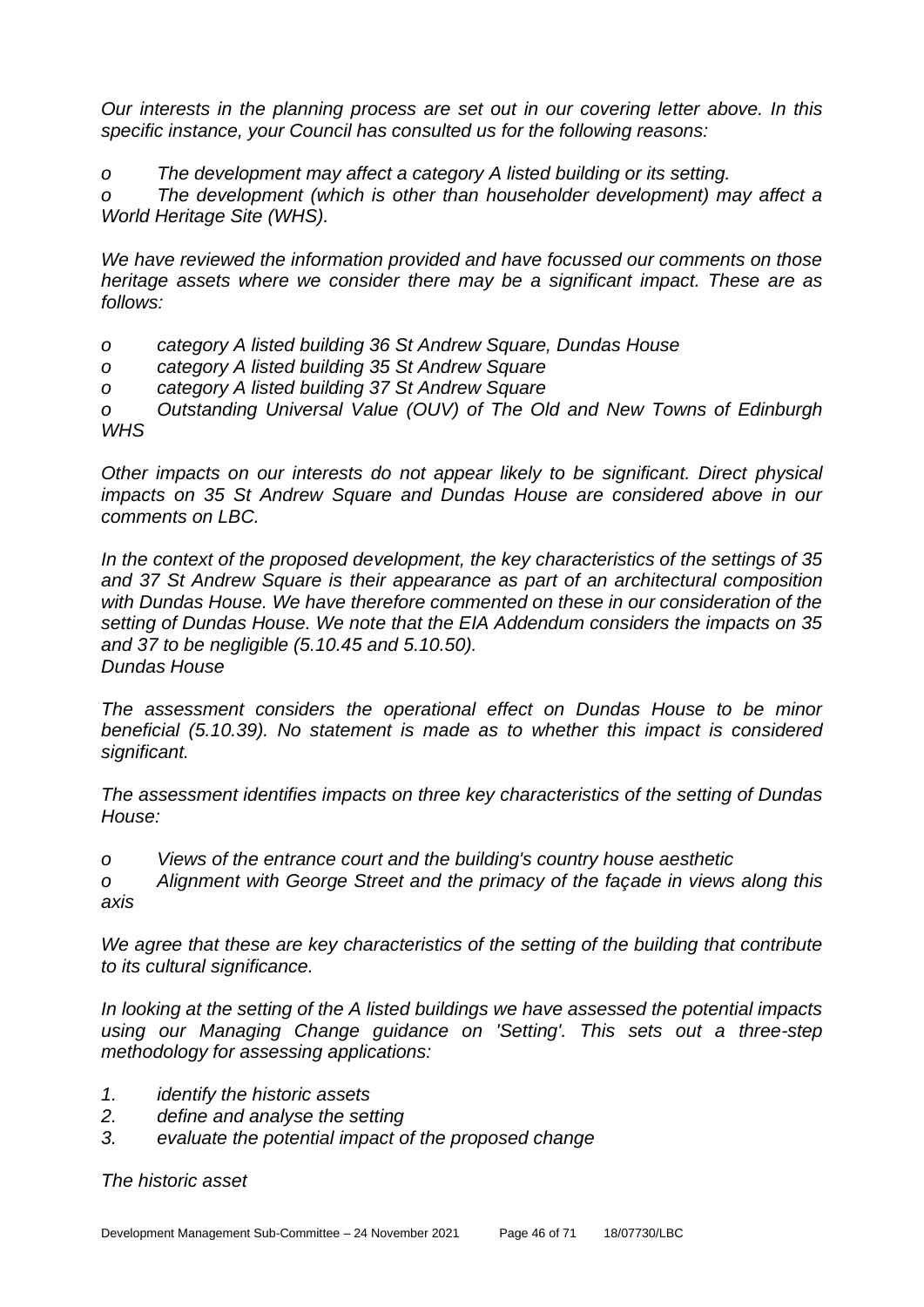*Our interests in the planning process are set out in our covering letter above. In this specific instance, your Council has consulted us for the following reasons:*

*o The development may affect a category A listed building or its setting.*

*o The development (which is other than householder development) may affect a World Heritage Site (WHS).*

*We have reviewed the information provided and have focussed our comments on those heritage assets where we consider there may be a significant impact. These are as follows:*

- *o category A listed building 36 St Andrew Square, Dundas House*
- *o category A listed building 35 St Andrew Square*
- *o category A listed building 37 St Andrew Square*

*o Outstanding Universal Value (OUV) of The Old and New Towns of Edinburgh WHS*

*Other impacts on our interests do not appear likely to be significant. Direct physical impacts on 35 St Andrew Square and Dundas House are considered above in our comments on LBC.*

*In the context of the proposed development, the key characteristics of the settings of 35 and 37 St Andrew Square is their appearance as part of an architectural composition with Dundas House. We have therefore commented on these in our consideration of the setting of Dundas House. We note that the EIA Addendum considers the impacts on 35 and 37 to be negligible (5.10.45 and 5.10.50). Dundas House*

*The assessment considers the operational effect on Dundas House to be minor beneficial (5.10.39). No statement is made as to whether this impact is considered significant.*

*The assessment identifies impacts on three key characteristics of the setting of Dundas House:*

*o Views of the entrance court and the building's country house aesthetic*

*o Alignment with George Street and the primacy of the façade in views along this axis*

*We agree that these are key characteristics of the setting of the building that contribute to its cultural significance.*

*In looking at the setting of the A listed buildings we have assessed the potential impacts using our Managing Change guidance on 'Setting'. This sets out a three-step methodology for assessing applications:*

- *1. identify the historic assets*
- *2. define and analyse the setting*
- *3. evaluate the potential impact of the proposed change*

*The historic asset*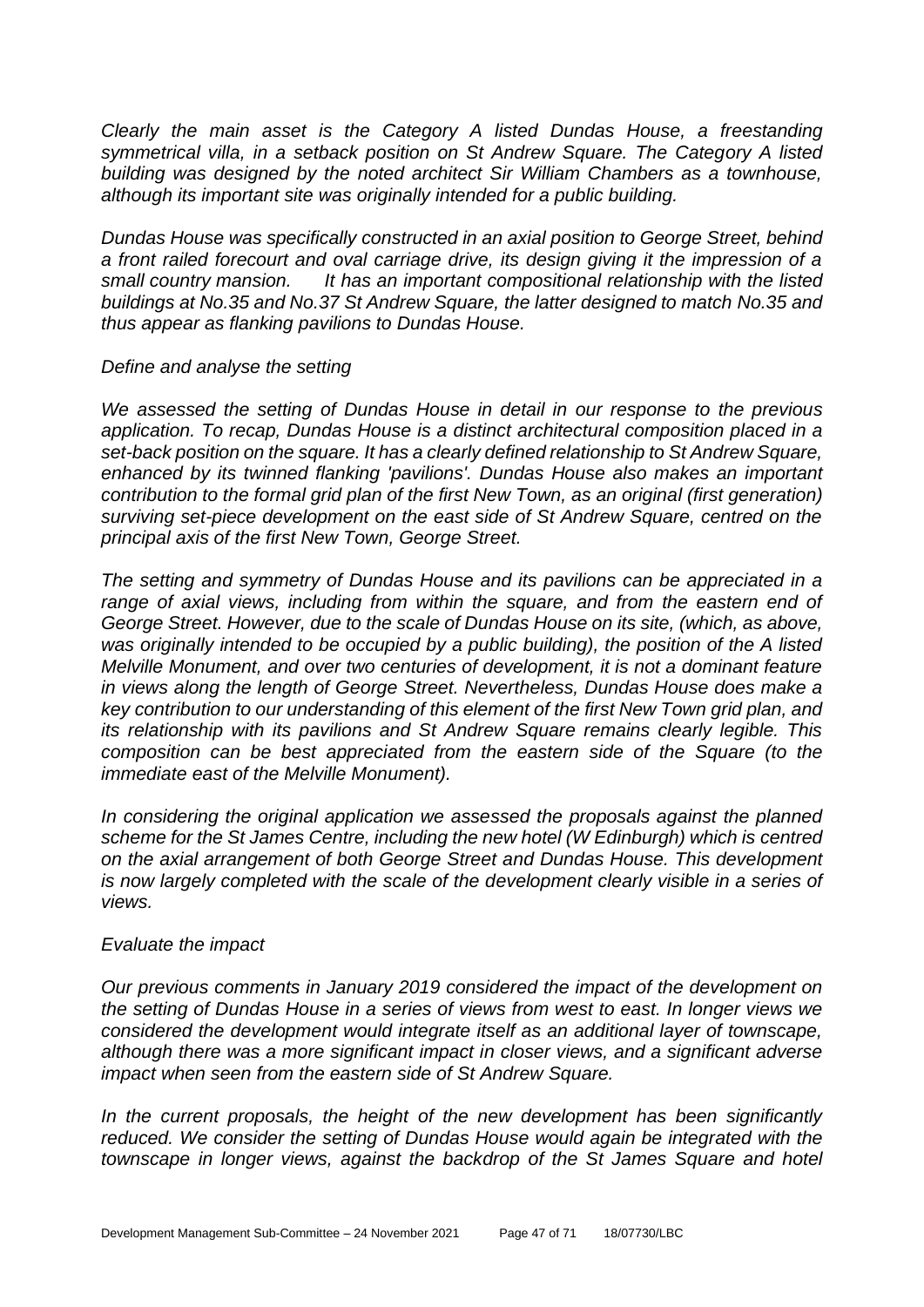*Clearly the main asset is the Category A listed Dundas House, a freestanding symmetrical villa, in a setback position on St Andrew Square. The Category A listed building was designed by the noted architect Sir William Chambers as a townhouse, although its important site was originally intended for a public building.*

*Dundas House was specifically constructed in an axial position to George Street, behind a front railed forecourt and oval carriage drive, its design giving it the impression of a small country mansion. It has an important compositional relationship with the listed buildings at No.35 and No.37 St Andrew Square, the latter designed to match No.35 and thus appear as flanking pavilions to Dundas House.*

#### *Define and analyse the setting*

*We assessed the setting of Dundas House in detail in our response to the previous application. To recap, Dundas House is a distinct architectural composition placed in a set-back position on the square. It has a clearly defined relationship to St Andrew Square, enhanced by its twinned flanking 'pavilions'. Dundas House also makes an important contribution to the formal grid plan of the first New Town, as an original (first generation) surviving set-piece development on the east side of St Andrew Square, centred on the principal axis of the first New Town, George Street.*

*The setting and symmetry of Dundas House and its pavilions can be appreciated in a*  range of axial views, including from within the square, and from the eastern end of *George Street. However, due to the scale of Dundas House on its site, (which, as above, was originally intended to be occupied by a public building), the position of the A listed Melville Monument, and over two centuries of development, it is not a dominant feature in views along the length of George Street. Nevertheless, Dundas House does make a key contribution to our understanding of this element of the first New Town grid plan, and its relationship with its pavilions and St Andrew Square remains clearly legible. This composition can be best appreciated from the eastern side of the Square (to the immediate east of the Melville Monument).*

*In considering the original application we assessed the proposals against the planned scheme for the St James Centre, including the new hotel (W Edinburgh) which is centred on the axial arrangement of both George Street and Dundas House. This development*  is now largely completed with the scale of the development clearly visible in a series of *views.*

#### *Evaluate the impact*

*Our previous comments in January 2019 considered the impact of the development on the setting of Dundas House in a series of views from west to east. In longer views we considered the development would integrate itself as an additional layer of townscape, although there was a more significant impact in closer views, and a significant adverse impact when seen from the eastern side of St Andrew Square.*

*In the current proposals, the height of the new development has been significantly reduced. We consider the setting of Dundas House would again be integrated with the townscape in longer views, against the backdrop of the St James Square and hotel*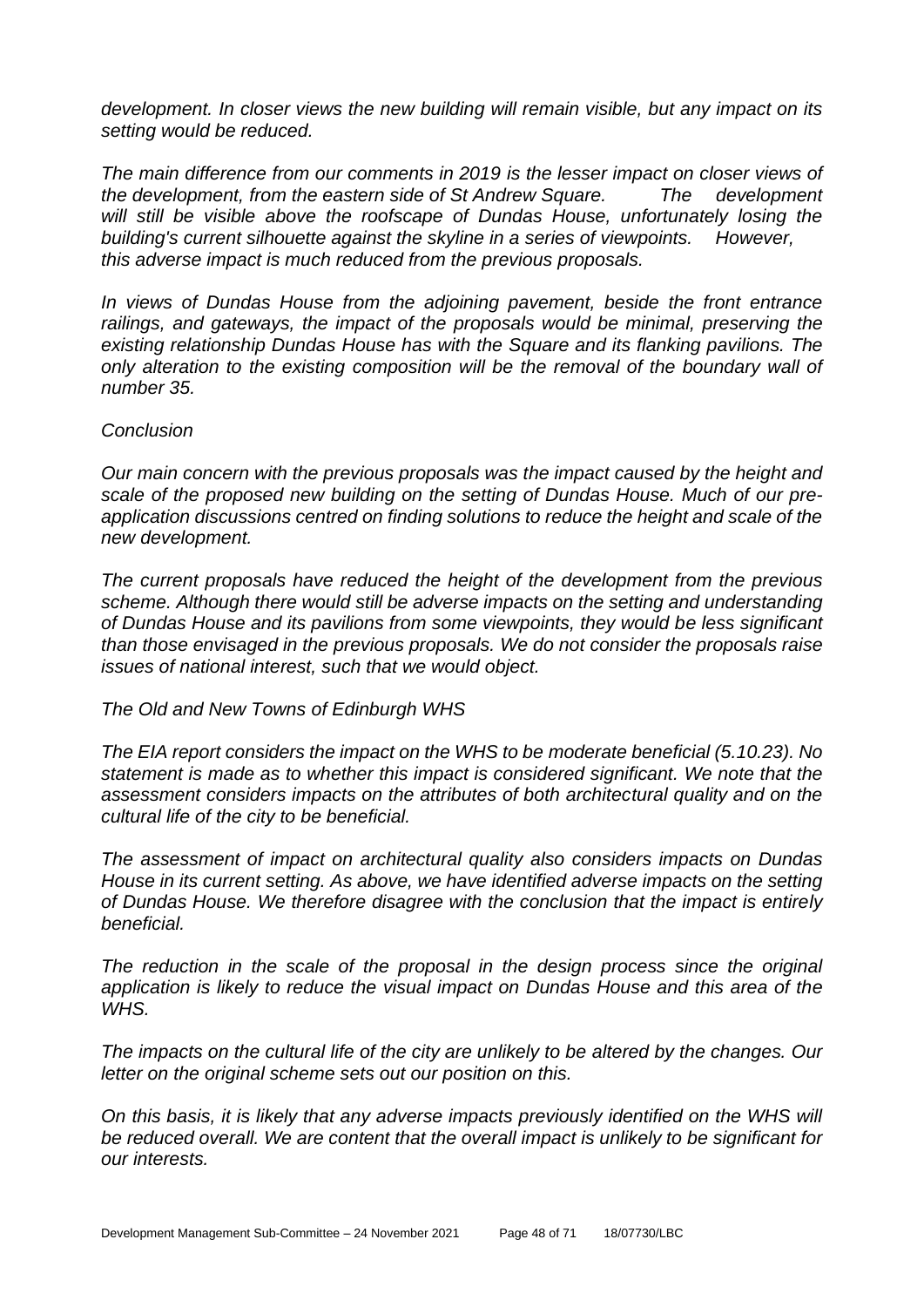*development. In closer views the new building will remain visible, but any impact on its setting would be reduced.*

*The main difference from our comments in 2019 is the lesser impact on closer views of the development, from the eastern side of St Andrew Square. The development will still be visible above the roofscape of Dundas House, unfortunately losing the building's current silhouette against the skyline in a series of viewpoints. However, this adverse impact is much reduced from the previous proposals.*

*In views of Dundas House from the adjoining pavement, beside the front entrance railings, and gateways, the impact of the proposals would be minimal, preserving the existing relationship Dundas House has with the Square and its flanking pavilions. The only alteration to the existing composition will be the removal of the boundary wall of number 35.*

#### *Conclusion*

*Our main concern with the previous proposals was the impact caused by the height and scale of the proposed new building on the setting of Dundas House. Much of our preapplication discussions centred on finding solutions to reduce the height and scale of the new development.*

*The current proposals have reduced the height of the development from the previous scheme. Although there would still be adverse impacts on the setting and understanding of Dundas House and its pavilions from some viewpoints, they would be less significant than those envisaged in the previous proposals. We do not consider the proposals raise issues of national interest, such that we would object.*

*The Old and New Towns of Edinburgh WHS*

*The EIA report considers the impact on the WHS to be moderate beneficial (5.10.23). No statement is made as to whether this impact is considered significant. We note that the assessment considers impacts on the attributes of both architectural quality and on the cultural life of the city to be beneficial.*

*The assessment of impact on architectural quality also considers impacts on Dundas House in its current setting. As above, we have identified adverse impacts on the setting of Dundas House. We therefore disagree with the conclusion that the impact is entirely beneficial.*

*The reduction in the scale of the proposal in the design process since the original application is likely to reduce the visual impact on Dundas House and this area of the WHS.*

*The impacts on the cultural life of the city are unlikely to be altered by the changes. Our letter on the original scheme sets out our position on this.*

*On this basis, it is likely that any adverse impacts previously identified on the WHS will be reduced overall. We are content that the overall impact is unlikely to be significant for our interests.*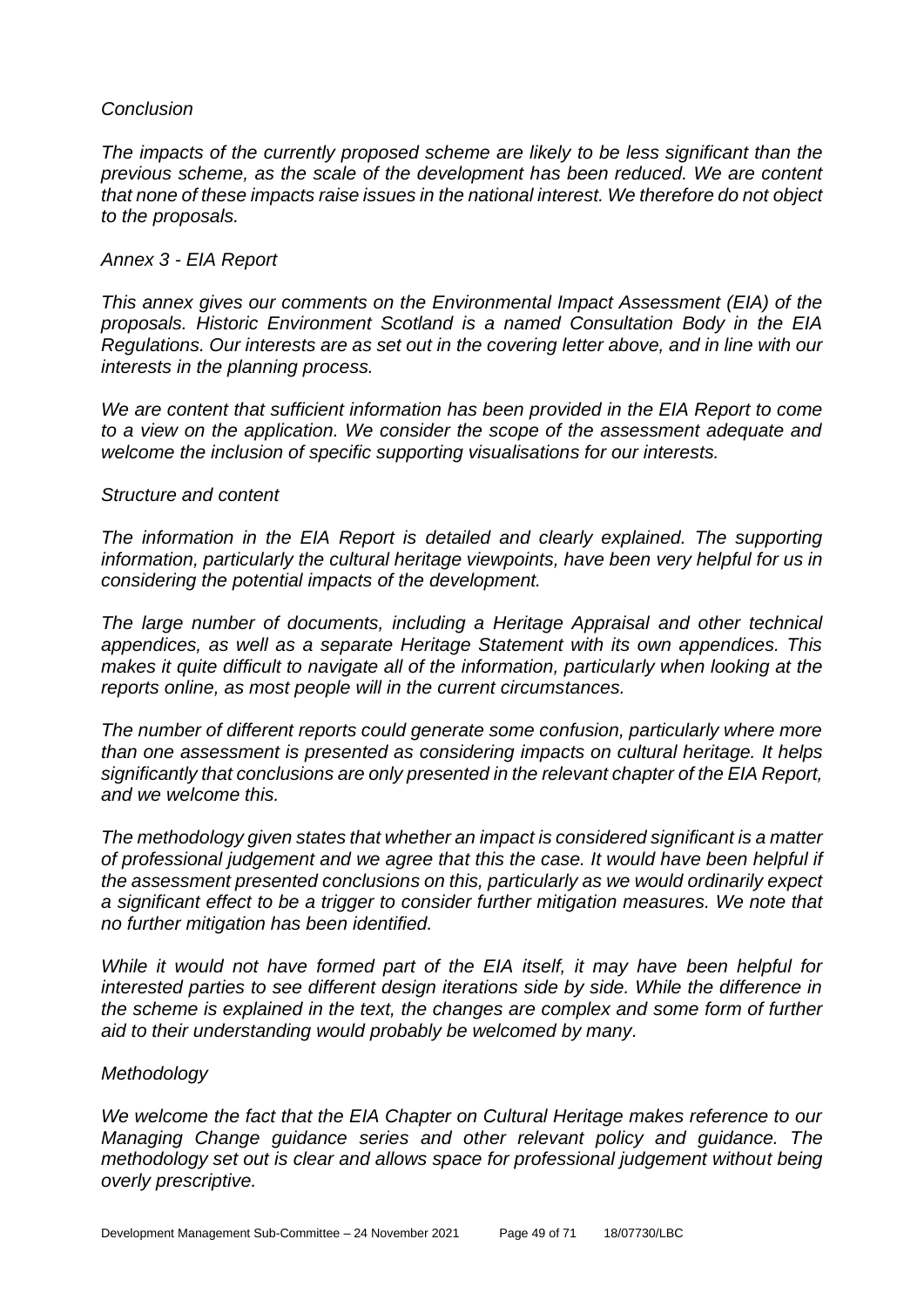#### *Conclusion*

*The impacts of the currently proposed scheme are likely to be less significant than the previous scheme, as the scale of the development has been reduced. We are content that none of these impacts raise issues in the national interest. We therefore do not object to the proposals.*

#### *Annex 3 - EIA Report*

*This annex gives our comments on the Environmental Impact Assessment (EIA) of the proposals. Historic Environment Scotland is a named Consultation Body in the EIA Regulations. Our interests are as set out in the covering letter above, and in line with our interests in the planning process.*

*We are content that sufficient information has been provided in the EIA Report to come to a view on the application. We consider the scope of the assessment adequate and welcome the inclusion of specific supporting visualisations for our interests.*

#### *Structure and content*

*The information in the EIA Report is detailed and clearly explained. The supporting information, particularly the cultural heritage viewpoints, have been very helpful for us in considering the potential impacts of the development.*

*The large number of documents, including a Heritage Appraisal and other technical appendices, as well as a separate Heritage Statement with its own appendices. This makes it quite difficult to navigate all of the information, particularly when looking at the reports online, as most people will in the current circumstances.*

*The number of different reports could generate some confusion, particularly where more than one assessment is presented as considering impacts on cultural heritage. It helps significantly that conclusions are only presented in the relevant chapter of the EIA Report, and we welcome this.*

*The methodology given states that whether an impact is considered significant is a matter of professional judgement and we agree that this the case. It would have been helpful if the assessment presented conclusions on this, particularly as we would ordinarily expect a significant effect to be a trigger to consider further mitigation measures. We note that no further mitigation has been identified.*

*While it would not have formed part of the EIA itself, it may have been helpful for interested parties to see different design iterations side by side. While the difference in the scheme is explained in the text, the changes are complex and some form of further aid to their understanding would probably be welcomed by many.*

#### *Methodology*

*We welcome the fact that the EIA Chapter on Cultural Heritage makes reference to our Managing Change guidance series and other relevant policy and guidance. The methodology set out is clear and allows space for professional judgement without being overly prescriptive.*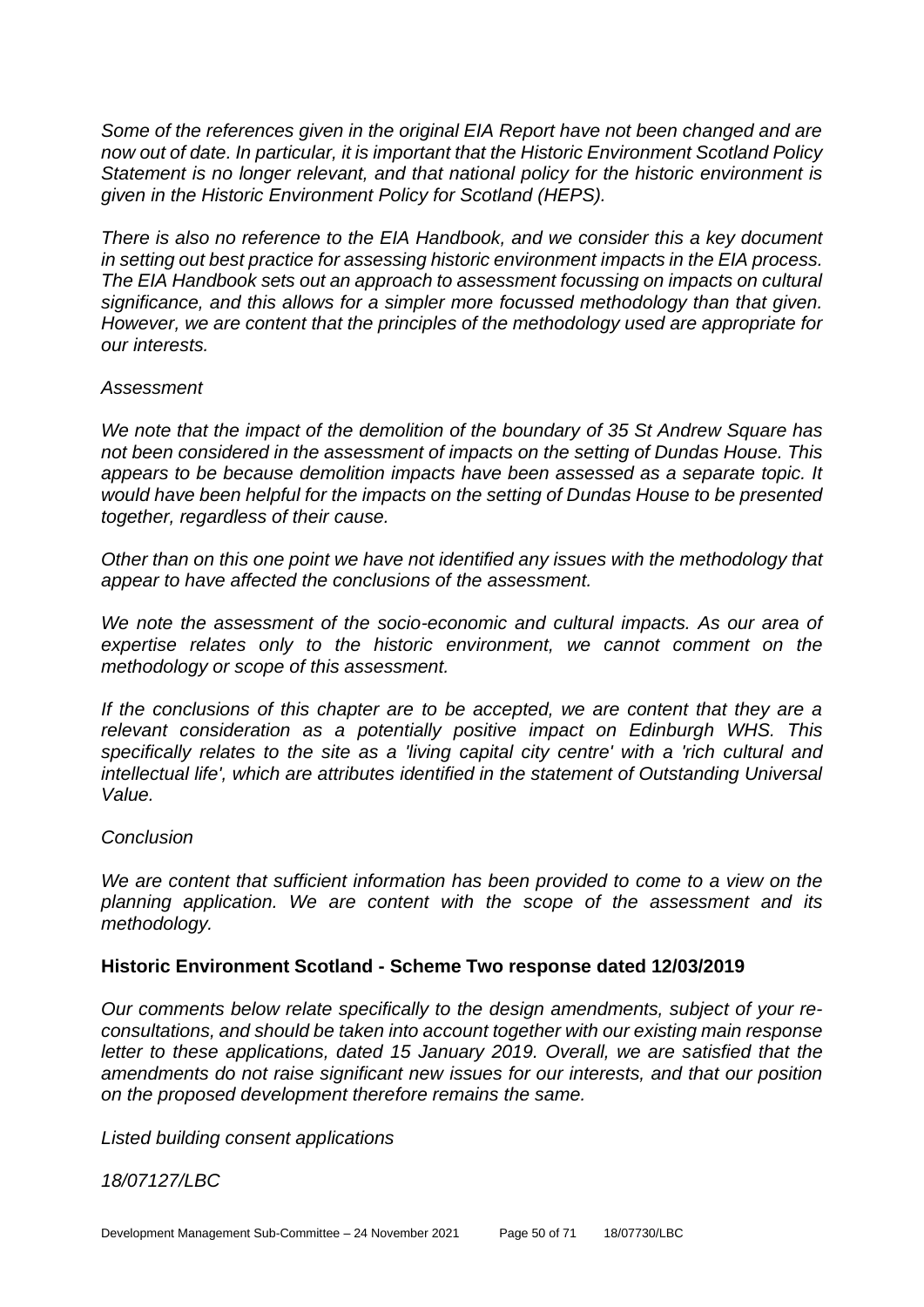*Some of the references given in the original EIA Report have not been changed and are now out of date. In particular, it is important that the Historic Environment Scotland Policy Statement is no longer relevant, and that national policy for the historic environment is given in the Historic Environment Policy for Scotland (HEPS).*

*There is also no reference to the EIA Handbook, and we consider this a key document in setting out best practice for assessing historic environment impacts in the EIA process. The EIA Handbook sets out an approach to assessment focussing on impacts on cultural significance, and this allows for a simpler more focussed methodology than that given. However, we are content that the principles of the methodology used are appropriate for our interests.*

#### *Assessment*

*We note that the impact of the demolition of the boundary of 35 St Andrew Square has not been considered in the assessment of impacts on the setting of Dundas House. This appears to be because demolition impacts have been assessed as a separate topic. It would have been helpful for the impacts on the setting of Dundas House to be presented together, regardless of their cause.*

*Other than on this one point we have not identified any issues with the methodology that appear to have affected the conclusions of the assessment.*

*We note the assessment of the socio-economic and cultural impacts. As our area of expertise relates only to the historic environment, we cannot comment on the methodology or scope of this assessment.*

*If the conclusions of this chapter are to be accepted, we are content that they are a relevant consideration as a potentially positive impact on Edinburgh WHS. This specifically relates to the site as a 'living capital city centre' with a 'rich cultural and intellectual life', which are attributes identified in the statement of Outstanding Universal Value.*

#### *Conclusion*

*We are content that sufficient information has been provided to come to a view on the planning application. We are content with the scope of the assessment and its methodology.*

## **Historic Environment Scotland - Scheme Two response dated 12/03/2019**

*Our comments below relate specifically to the design amendments, subject of your reconsultations, and should be taken into account together with our existing main response letter to these applications, dated 15 January 2019. Overall, we are satisfied that the amendments do not raise significant new issues for our interests, and that our position on the proposed development therefore remains the same.* 

*Listed building consent applications* 

*18/07127/LBC*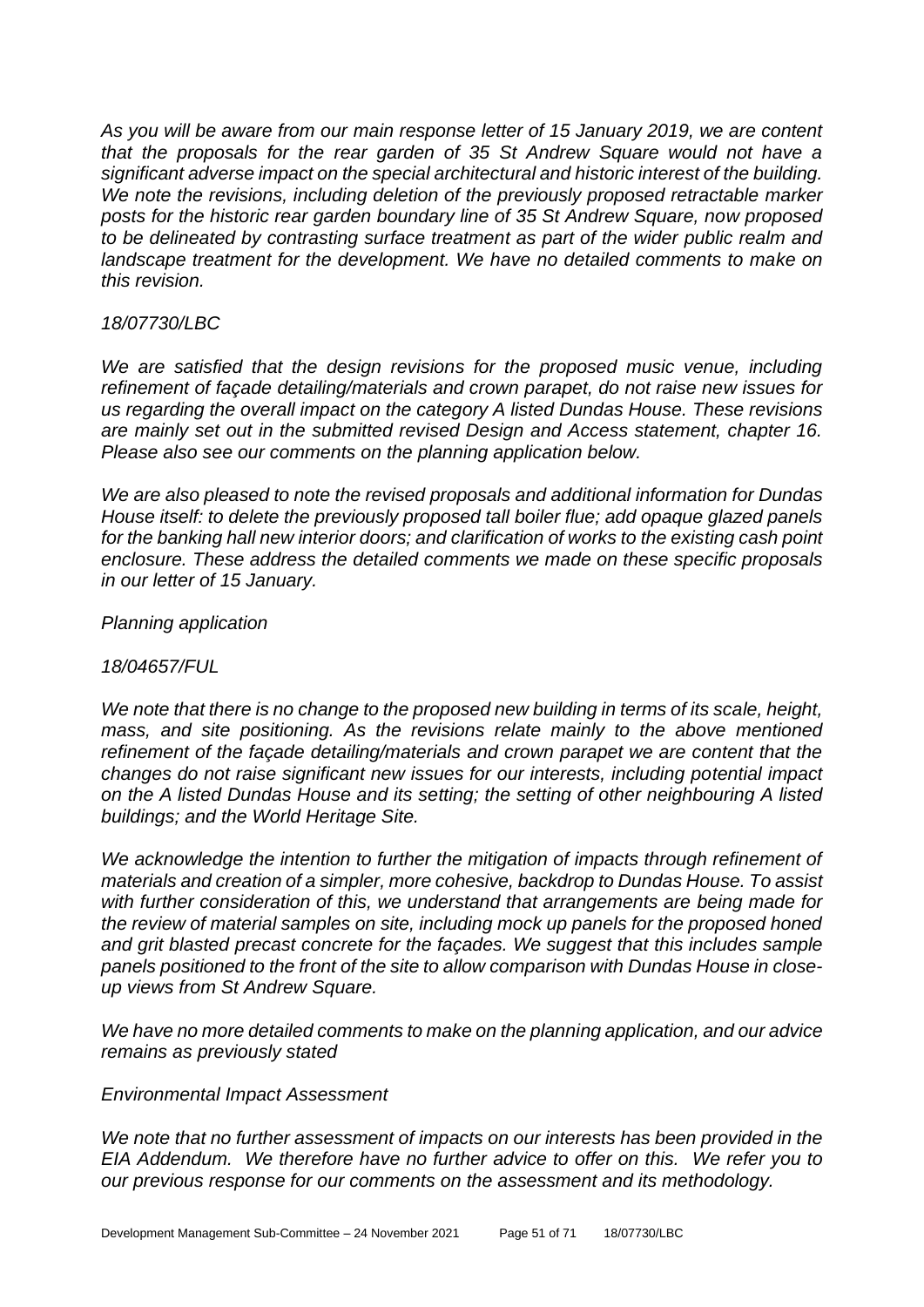*As you will be aware from our main response letter of 15 January 2019, we are content that the proposals for the rear garden of 35 St Andrew Square would not have a significant adverse impact on the special architectural and historic interest of the building. We note the revisions, including deletion of the previously proposed retractable marker posts for the historic rear garden boundary line of 35 St Andrew Square, now proposed to be delineated by contrasting surface treatment as part of the wider public realm and landscape treatment for the development. We have no detailed comments to make on this revision.* 

#### *18/07730/LBC*

We are satisfied that the design revisions for the proposed music venue, including *refinement of façade detailing/materials and crown parapet, do not raise new issues for us regarding the overall impact on the category A listed Dundas House. These revisions are mainly set out in the submitted revised Design and Access statement, chapter 16. Please also see our comments on the planning application below.* 

*We are also pleased to note the revised proposals and additional information for Dundas House itself: to delete the previously proposed tall boiler flue; add opaque glazed panels for the banking hall new interior doors; and clarification of works to the existing cash point enclosure. These address the detailed comments we made on these specific proposals in our letter of 15 January.* 

#### *Planning application*

#### *18/04657/FUL*

*We note that there is no change to the proposed new building in terms of its scale, height, mass, and site positioning. As the revisions relate mainly to the above mentioned*  refinement of the façade detailing/materials and crown parapet we are content that the *changes do not raise significant new issues for our interests, including potential impact on the A listed Dundas House and its setting; the setting of other neighbouring A listed buildings; and the World Heritage Site.* 

*We acknowledge the intention to further the mitigation of impacts through refinement of materials and creation of a simpler, more cohesive, backdrop to Dundas House. To assist with further consideration of this, we understand that arrangements are being made for the review of material samples on site, including mock up panels for the proposed honed and grit blasted precast concrete for the façades. We suggest that this includes sample panels positioned to the front of the site to allow comparison with Dundas House in closeup views from St Andrew Square.* 

*We have no more detailed comments to make on the planning application, and our advice remains as previously stated* 

#### *Environmental Impact Assessment*

*We note that no further assessment of impacts on our interests has been provided in the EIA Addendum. We therefore have no further advice to offer on this. We refer you to our previous response for our comments on the assessment and its methodology.*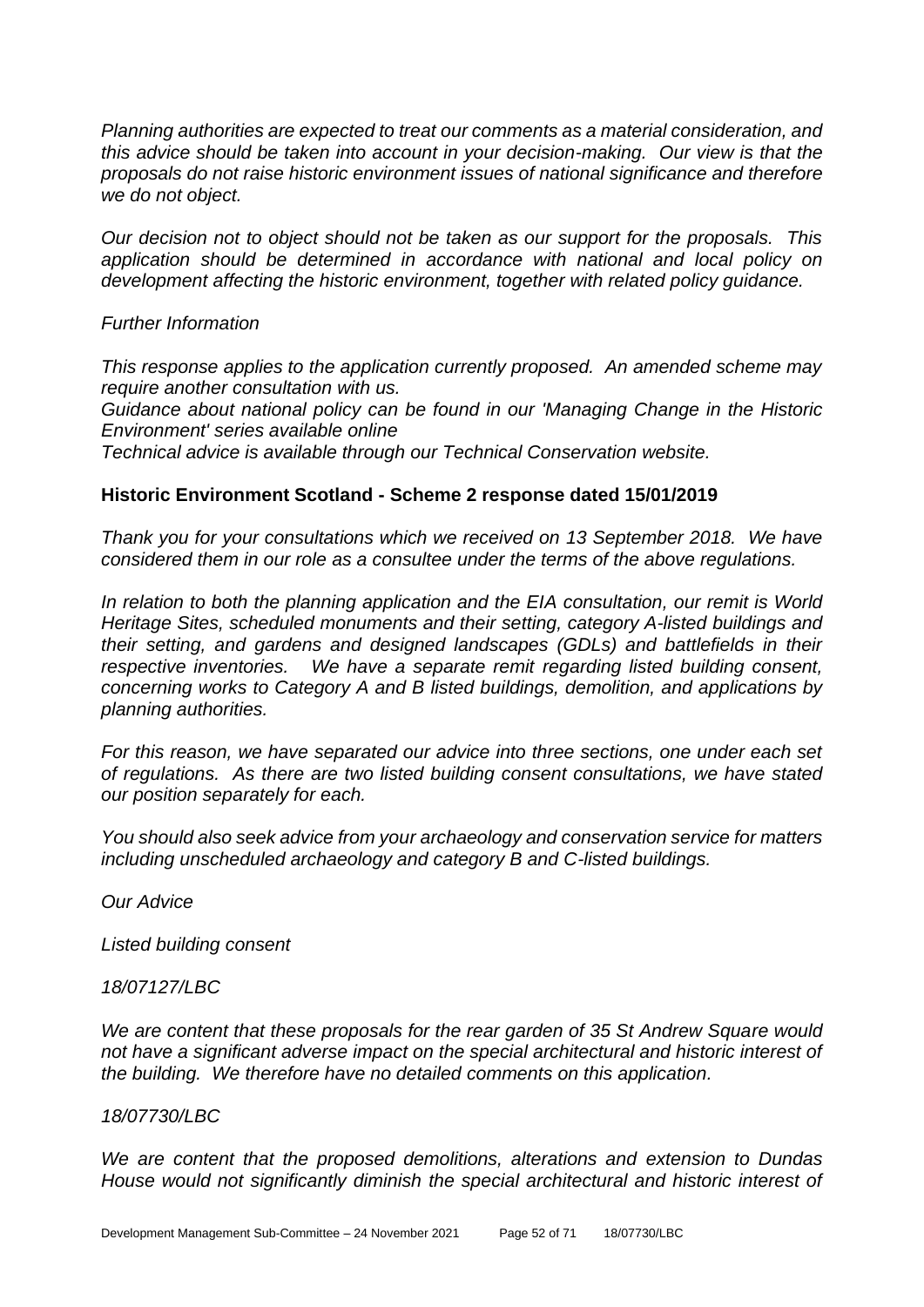*Planning authorities are expected to treat our comments as a material consideration, and this advice should be taken into account in your decision-making. Our view is that the proposals do not raise historic environment issues of national significance and therefore we do not object.* 

*Our decision not to object should not be taken as our support for the proposals. This application should be determined in accordance with national and local policy on development affecting the historic environment, together with related policy guidance.* 

*Further Information*

*This response applies to the application currently proposed. An amended scheme may require another consultation with us.* 

*Guidance about national policy can be found in our 'Managing Change in the Historic Environment' series available online*

*Technical advice is available through our Technical Conservation website.*

#### **Historic Environment Scotland - Scheme 2 response dated 15/01/2019**

*Thank you for your consultations which we received on 13 September 2018. We have considered them in our role as a consultee under the terms of the above regulations.* 

*In relation to both the planning application and the EIA consultation, our remit is World Heritage Sites, scheduled monuments and their setting, category A-listed buildings and their setting, and gardens and designed landscapes (GDLs) and battlefields in their respective inventories. We have a separate remit regarding listed building consent, concerning works to Category A and B listed buildings, demolition, and applications by planning authorities.* 

*For this reason, we have separated our advice into three sections, one under each set of regulations. As there are two listed building consent consultations, we have stated our position separately for each.* 

*You should also seek advice from your archaeology and conservation service for matters including unscheduled archaeology and category B and C-listed buildings.* 

*Our Advice* 

*Listed building consent*

*18/07127/LBC* 

*We are content that these proposals for the rear garden of 35 St Andrew Square would not have a significant adverse impact on the special architectural and historic interest of the building. We therefore have no detailed comments on this application.* 

#### *18/07730/LBC*

*We are content that the proposed demolitions, alterations and extension to Dundas House would not significantly diminish the special architectural and historic interest of*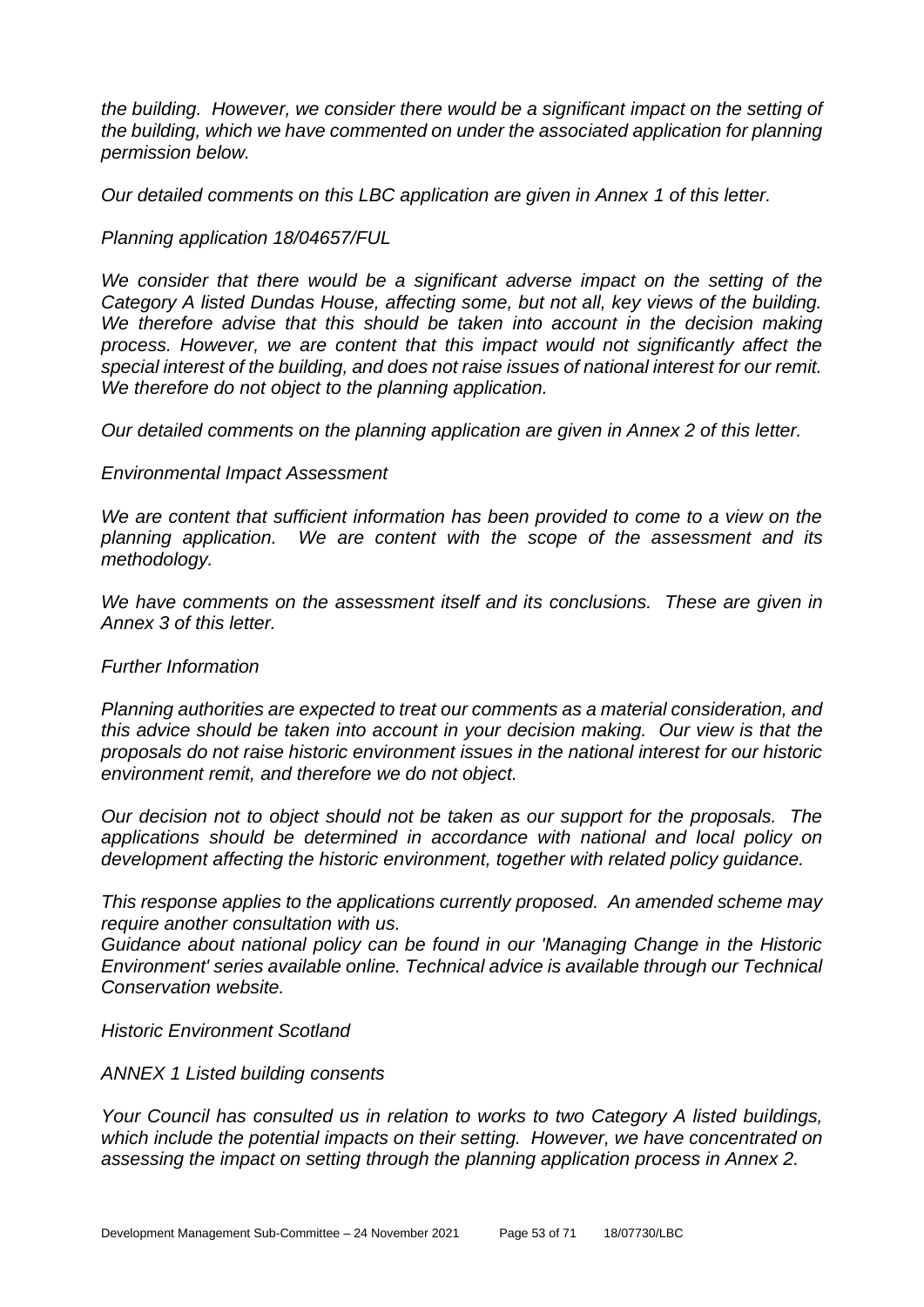*the building. However, we consider there would be a significant impact on the setting of the building, which we have commented on under the associated application for planning permission below.* 

*Our detailed comments on this LBC application are given in Annex 1 of this letter.* 

#### *Planning application 18/04657/FUL*

*We consider that there would be a significant adverse impact on the setting of the Category A listed Dundas House, affecting some, but not all, key views of the building.*  We therefore advise that this should be taken into account in the decision making *process. However, we are content that this impact would not significantly affect the special interest of the building, and does not raise issues of national interest for our remit. We therefore do not object to the planning application.* 

*Our detailed comments on the planning application are given in Annex 2 of this letter.* 

#### *Environmental Impact Assessment*

*We are content that sufficient information has been provided to come to a view on the planning application. We are content with the scope of the assessment and its methodology.* 

*We have comments on the assessment itself and its conclusions. These are given in Annex 3 of this letter.* 

#### *Further Information*

*Planning authorities are expected to treat our comments as a material consideration, and this advice should be taken into account in your decision making. Our view is that the proposals do not raise historic environment issues in the national interest for our historic environment remit, and therefore we do not object.* 

*Our decision not to object should not be taken as our support for the proposals. The applications should be determined in accordance with national and local policy on development affecting the historic environment, together with related policy guidance.* 

*This response applies to the applications currently proposed. An amended scheme may require another consultation with us.* 

*Guidance about national policy can be found in our 'Managing Change in the Historic Environment' series available online. Technical advice is available through our Technical Conservation website.* 

#### *Historic Environment Scotland*

#### *ANNEX 1 Listed building consents*

*Your Council has consulted us in relation to works to two Category A listed buildings, which include the potential impacts on their setting. However, we have concentrated on assessing the impact on setting through the planning application process in Annex 2.*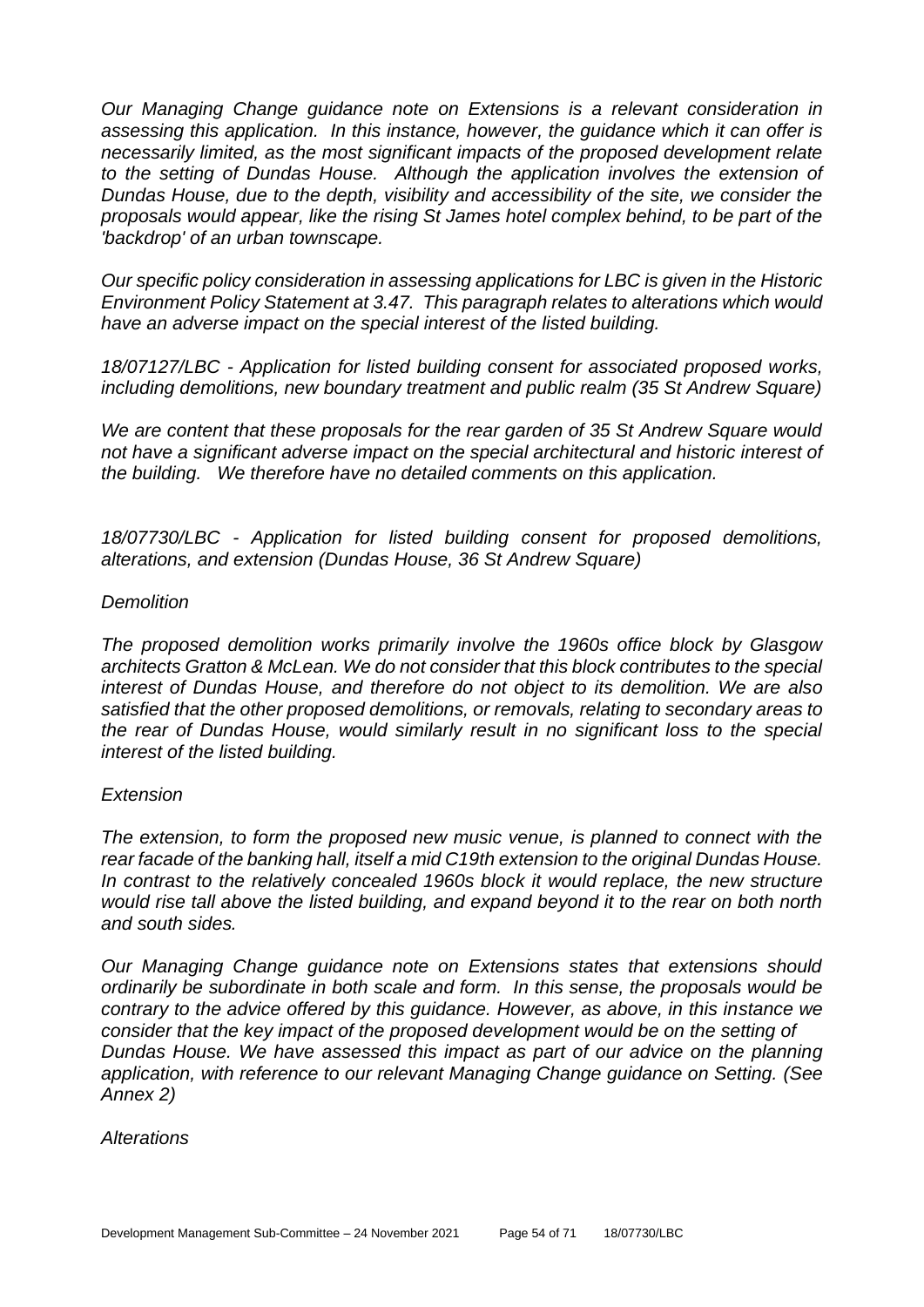*Our Managing Change guidance note on Extensions is a relevant consideration in assessing this application. In this instance, however, the guidance which it can offer is necessarily limited, as the most significant impacts of the proposed development relate*  to the setting of Dundas House. Although the application involves the extension of *Dundas House, due to the depth, visibility and accessibility of the site, we consider the proposals would appear, like the rising St James hotel complex behind, to be part of the 'backdrop' of an urban townscape.* 

*Our specific policy consideration in assessing applications for LBC is given in the Historic Environment Policy Statement at 3.47. This paragraph relates to alterations which would have an adverse impact on the special interest of the listed building.* 

*18/07127/LBC - Application for listed building consent for associated proposed works, including demolitions, new boundary treatment and public realm (35 St Andrew Square)* 

*We are content that these proposals for the rear garden of 35 St Andrew Square would not have a significant adverse impact on the special architectural and historic interest of the building. We therefore have no detailed comments on this application.* 

*18/07730/LBC - Application for listed building consent for proposed demolitions, alterations, and extension (Dundas House, 36 St Andrew Square)* 

#### *Demolition*

*The proposed demolition works primarily involve the 1960s office block by Glasgow architects Gratton & McLean. We do not consider that this block contributes to the special interest of Dundas House, and therefore do not object to its demolition. We are also satisfied that the other proposed demolitions, or removals, relating to secondary areas to the rear of Dundas House, would similarly result in no significant loss to the special interest of the listed building.* 

#### *Extension*

*The extension, to form the proposed new music venue, is planned to connect with the rear facade of the banking hall, itself a mid C19th extension to the original Dundas House. In contrast to the relatively concealed 1960s block it would replace, the new structure would rise tall above the listed building, and expand beyond it to the rear on both north and south sides.* 

*Our Managing Change guidance note on Extensions states that extensions should ordinarily be subordinate in both scale and form. In this sense, the proposals would be contrary to the advice offered by this guidance. However, as above, in this instance we consider that the key impact of the proposed development would be on the setting of Dundas House. We have assessed this impact as part of our advice on the planning application, with reference to our relevant Managing Change guidance on Setting. (See Annex 2)* 

*Alterations*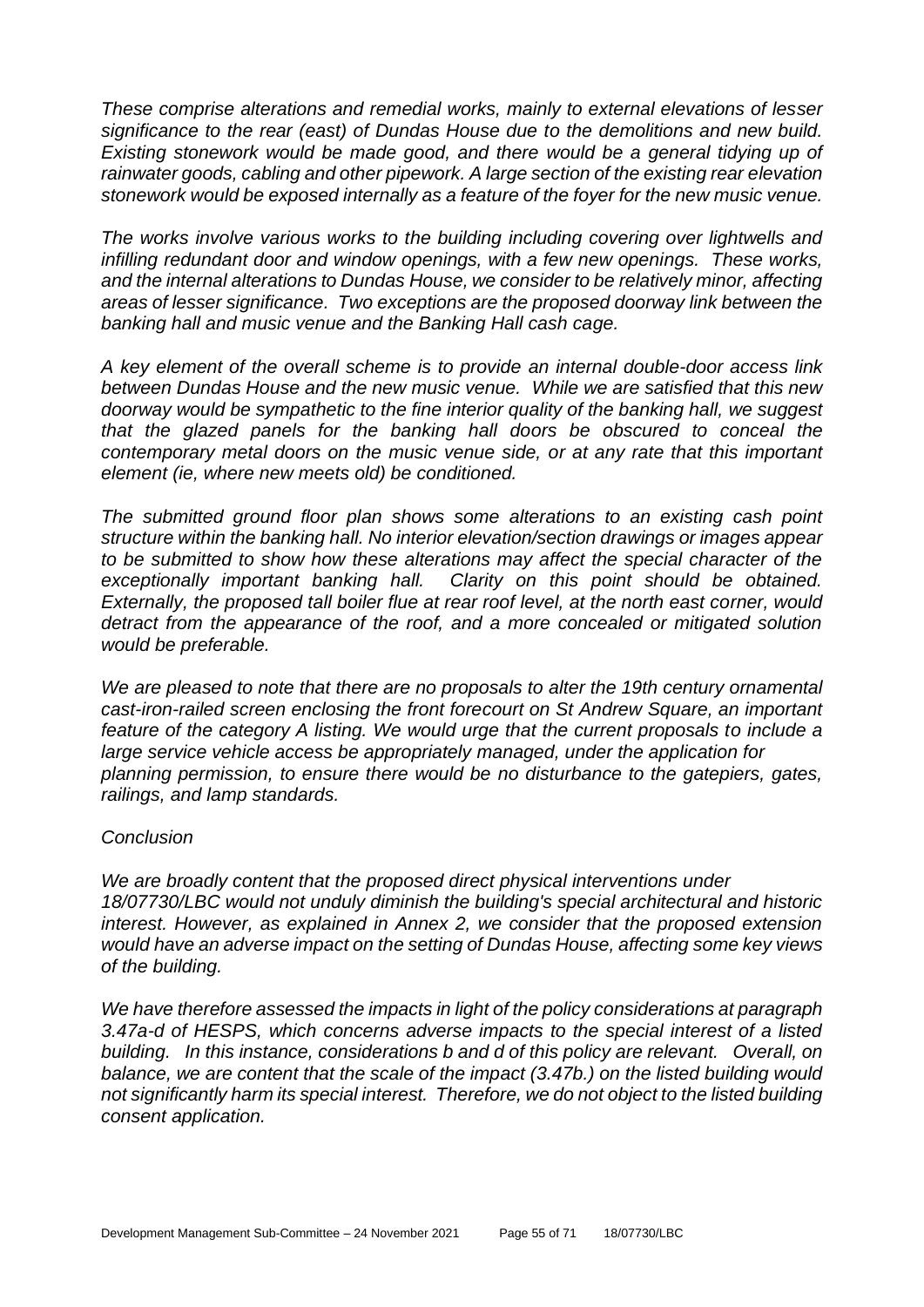*These comprise alterations and remedial works, mainly to external elevations of lesser significance to the rear (east) of Dundas House due to the demolitions and new build. Existing stonework would be made good, and there would be a general tidying up of rainwater goods, cabling and other pipework. A large section of the existing rear elevation stonework would be exposed internally as a feature of the foyer for the new music venue.* 

*The works involve various works to the building including covering over lightwells and infilling redundant door and window openings, with a few new openings. These works, and the internal alterations to Dundas House, we consider to be relatively minor, affecting areas of lesser significance. Two exceptions are the proposed doorway link between the banking hall and music venue and the Banking Hall cash cage.* 

*A key element of the overall scheme is to provide an internal double-door access link between Dundas House and the new music venue. While we are satisfied that this new doorway would be sympathetic to the fine interior quality of the banking hall, we suggest that the glazed panels for the banking hall doors be obscured to conceal the contemporary metal doors on the music venue side, or at any rate that this important element (ie, where new meets old) be conditioned.* 

*The submitted ground floor plan shows some alterations to an existing cash point structure within the banking hall. No interior elevation/section drawings or images appear to be submitted to show how these alterations may affect the special character of the exceptionally important banking hall. Clarity on this point should be obtained. Externally, the proposed tall boiler flue at rear roof level, at the north east corner, would detract from the appearance of the roof, and a more concealed or mitigated solution would be preferable.* 

*We are pleased to note that there are no proposals to alter the 19th century ornamental cast-iron-railed screen enclosing the front forecourt on St Andrew Square, an important feature of the category A listing. We would urge that the current proposals to include a large service vehicle access be appropriately managed, under the application for planning permission, to ensure there would be no disturbance to the gatepiers, gates, railings, and lamp standards.* 

#### *Conclusion*

*We are broadly content that the proposed direct physical interventions under 18/07730/LBC would not unduly diminish the building's special architectural and historic interest. However, as explained in Annex 2, we consider that the proposed extension would have an adverse impact on the setting of Dundas House, affecting some key views of the building.* 

*We have therefore assessed the impacts in light of the policy considerations at paragraph 3.47a-d of HESPS, which concerns adverse impacts to the special interest of a listed building. In this instance, considerations b and d of this policy are relevant. Overall, on balance, we are content that the scale of the impact (3.47b.) on the listed building would not significantly harm its special interest. Therefore, we do not object to the listed building consent application.*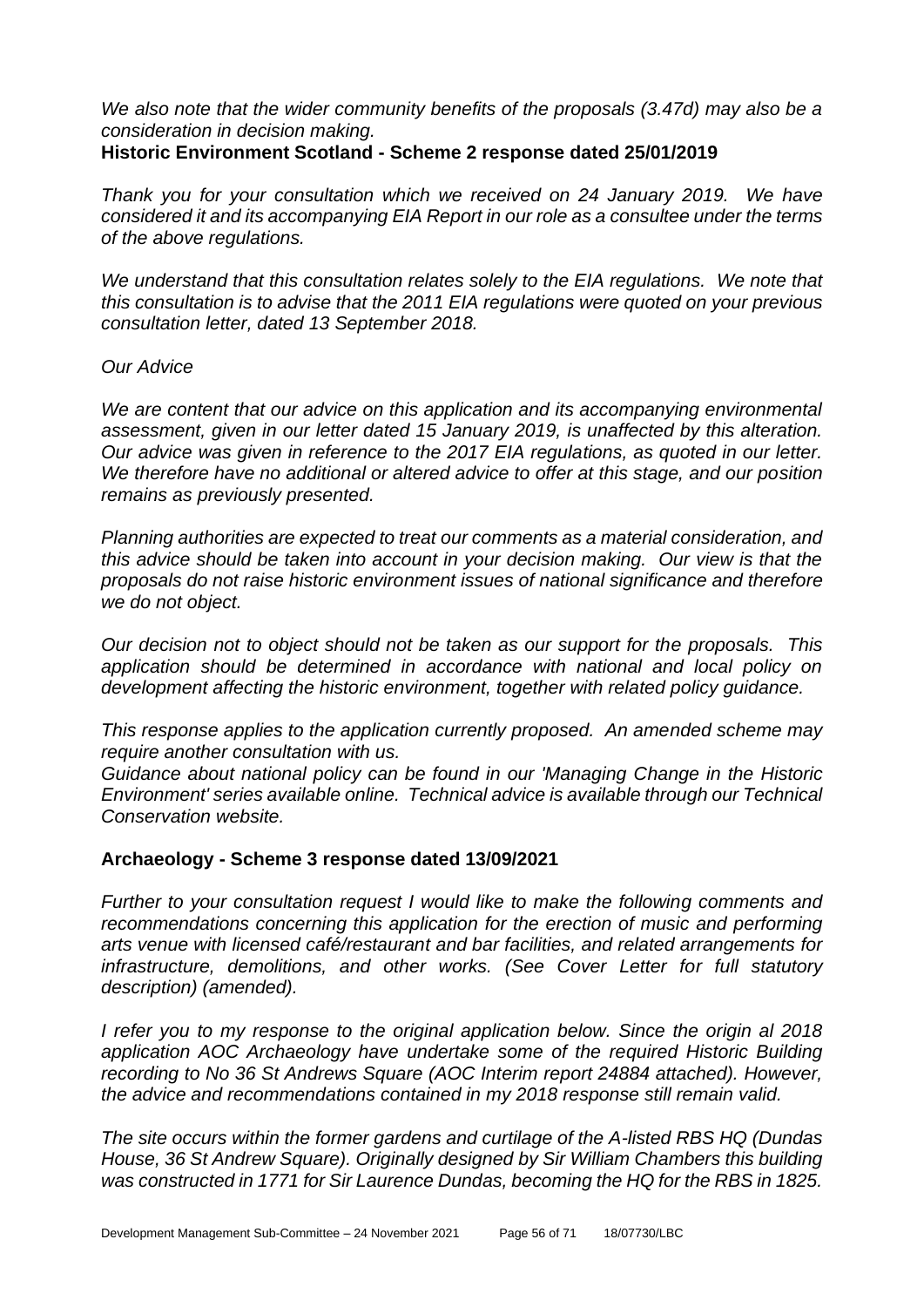*We also note that the wider community benefits of the proposals (3.47d) may also be a consideration in decision making.*

#### **Historic Environment Scotland - Scheme 2 response dated 25/01/2019**

*Thank you for your consultation which we received on 24 January 2019. We have considered it and its accompanying EIA Report in our role as a consultee under the terms of the above regulations.* 

*We understand that this consultation relates solely to the EIA regulations. We note that this consultation is to advise that the 2011 EIA regulations were quoted on your previous consultation letter, dated 13 September 2018.* 

#### *Our Advice*

*We are content that our advice on this application and its accompanying environmental assessment, given in our letter dated 15 January 2019, is unaffected by this alteration. Our advice was given in reference to the 2017 EIA regulations, as quoted in our letter. We therefore have no additional or altered advice to offer at this stage, and our position remains as previously presented.*

*Planning authorities are expected to treat our comments as a material consideration, and this advice should be taken into account in your decision making. Our view is that the proposals do not raise historic environment issues of national significance and therefore we do not object.*

*Our decision not to object should not be taken as our support for the proposals. This application should be determined in accordance with national and local policy on development affecting the historic environment, together with related policy guidance.*

*This response applies to the application currently proposed. An amended scheme may require another consultation with us.* 

*Guidance about national policy can be found in our 'Managing Change in the Historic Environment' series available online. Technical advice is available through our Technical Conservation website.*

## **Archaeology - Scheme 3 response dated 13/09/2021**

*Further to your consultation request I would like to make the following comments and* recommendations concerning this application for the erection of music and performing *arts venue with licensed café/restaurant and bar facilities, and related arrangements for infrastructure, demolitions, and other works. (See Cover Letter for full statutory description) (amended).*

*I refer you to my response to the original application below. Since the origin al 2018 application AOC Archaeology have undertake some of the required Historic Building*  recording to No 36 St Andrews Square (AOC Interim report 24884 attached). However, *the advice and recommendations contained in my 2018 response still remain valid.*

*The site occurs within the former gardens and curtilage of the A-listed RBS HQ (Dundas House, 36 St Andrew Square). Originally designed by Sir William Chambers this building was constructed in 1771 for Sir Laurence Dundas, becoming the HQ for the RBS in 1825.*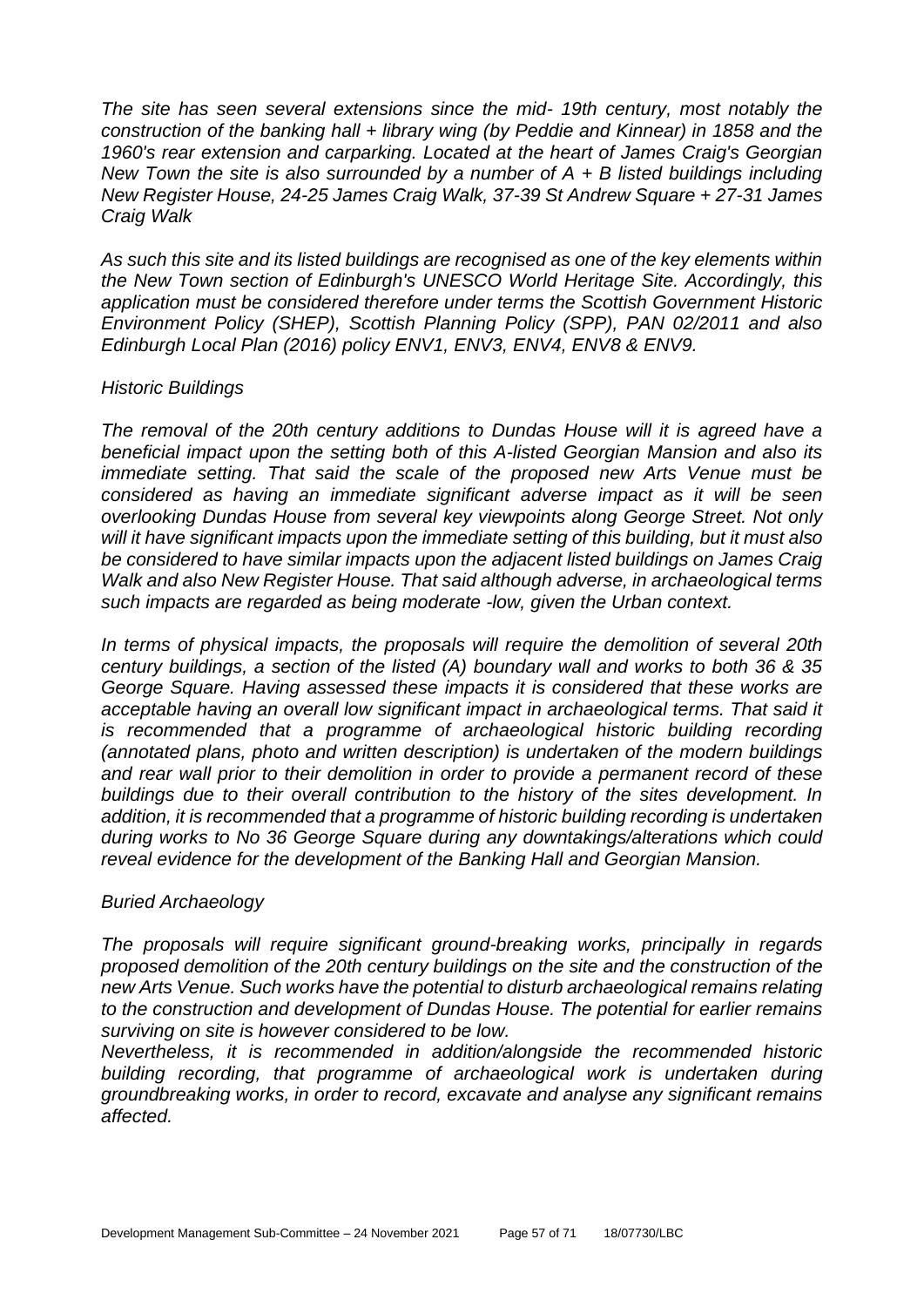*The site has seen several extensions since the mid- 19th century, most notably the construction of the banking hall + library wing (by Peddie and Kinnear) in 1858 and the 1960's rear extension and carparking. Located at the heart of James Craig's Georgian New Town the site is also surrounded by a number of A + B listed buildings including New Register House, 24-25 James Craig Walk, 37-39 St Andrew Square + 27-31 James Craig Walk*

*As such this site and its listed buildings are recognised as one of the key elements within the New Town section of Edinburgh's UNESCO World Heritage Site. Accordingly, this application must be considered therefore under terms the Scottish Government Historic Environment Policy (SHEP), Scottish Planning Policy (SPP), PAN 02/2011 and also Edinburgh Local Plan (2016) policy ENV1, ENV3, ENV4, ENV8 & ENV9.*

#### *Historic Buildings*

*The removal of the 20th century additions to Dundas House will it is agreed have a beneficial impact upon the setting both of this A-listed Georgian Mansion and also its immediate setting. That said the scale of the proposed new Arts Venue must be considered as having an immediate significant adverse impact as it will be seen overlooking Dundas House from several key viewpoints along George Street. Not only will it have significant impacts upon the immediate setting of this building, but it must also be considered to have similar impacts upon the adjacent listed buildings on James Craig Walk and also New Register House. That said although adverse, in archaeological terms such impacts are regarded as being moderate -low, given the Urban context.*

*In terms of physical impacts, the proposals will require the demolition of several 20th century buildings, a section of the listed (A) boundary wall and works to both 36 & 35 George Square. Having assessed these impacts it is considered that these works are acceptable having an overall low significant impact in archaeological terms. That said it is recommended that a programme of archaeological historic building recording (annotated plans, photo and written description) is undertaken of the modern buildings and rear wall prior to their demolition in order to provide a permanent record of these buildings due to their overall contribution to the history of the sites development. In addition, it is recommended that a programme of historic building recording is undertaken during works to No 36 George Square during any downtakings/alterations which could reveal evidence for the development of the Banking Hall and Georgian Mansion.*

#### *Buried Archaeology*

*The proposals will require significant ground-breaking works, principally in regards proposed demolition of the 20th century buildings on the site and the construction of the new Arts Venue. Such works have the potential to disturb archaeological remains relating to the construction and development of Dundas House. The potential for earlier remains surviving on site is however considered to be low.*

*Nevertheless, it is recommended in addition/alongside the recommended historic*  building recording, that programme of archaeological work is undertaken during *groundbreaking works, in order to record, excavate and analyse any significant remains affected.*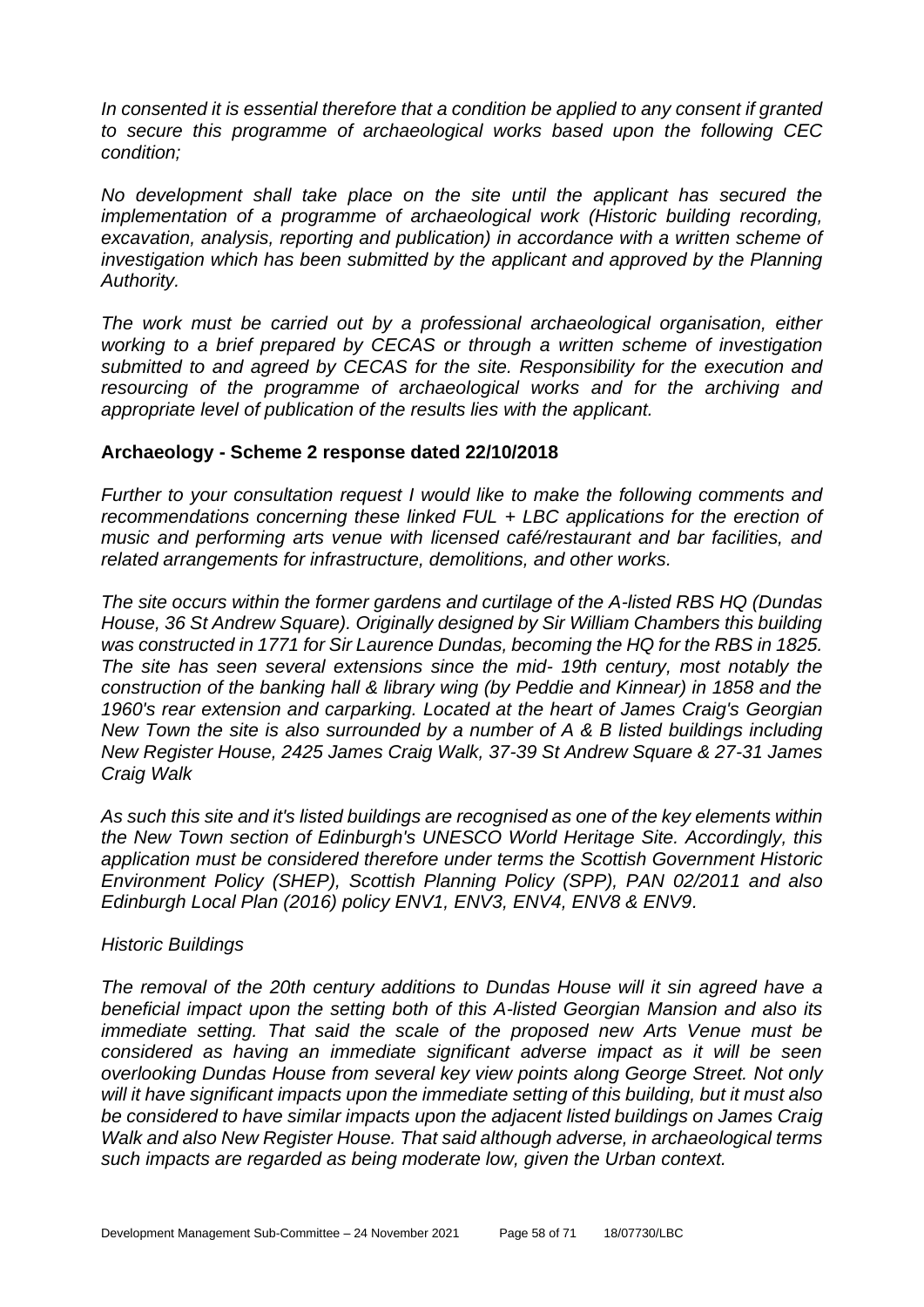*In consented it is essential therefore that a condition be applied to any consent if granted to secure this programme of archaeological works based upon the following CEC condition;*

*No development shall take place on the site until the applicant has secured the implementation of a programme of archaeological work (Historic building recording, excavation, analysis, reporting and publication) in accordance with a written scheme of investigation which has been submitted by the applicant and approved by the Planning Authority.*

*The work must be carried out by a professional archaeological organisation, either working to a brief prepared by CECAS or through a written scheme of investigation submitted to and agreed by CECAS for the site. Responsibility for the execution and resourcing of the programme of archaeological works and for the archiving and appropriate level of publication of the results lies with the applicant.*

#### **Archaeology - Scheme 2 response dated 22/10/2018**

*Further to your consultation request I would like to make the following comments and recommendations concerning these linked FUL + LBC applications for the erection of music and performing arts venue with licensed café/restaurant and bar facilities, and related arrangements for infrastructure, demolitions, and other works.* 

*The site occurs within the former gardens and curtilage of the A-listed RBS HQ (Dundas House, 36 St Andrew Square). Originally designed by Sir William Chambers this building was constructed in 1771 for Sir Laurence Dundas, becoming the HQ for the RBS in 1825. The site has seen several extensions since the mid- 19th century, most notably the construction of the banking hall & library wing (by Peddie and Kinnear) in 1858 and the 1960's rear extension and carparking. Located at the heart of James Craig's Georgian New Town the site is also surrounded by a number of A & B listed buildings including New Register House, 2425 James Craig Walk, 37-39 St Andrew Square & 27-31 James Craig Walk* 

*As such this site and it's listed buildings are recognised as one of the key elements within the New Town section of Edinburgh's UNESCO World Heritage Site. Accordingly, this application must be considered therefore under terms the Scottish Government Historic Environment Policy (SHEP), Scottish Planning Policy (SPP), PAN 02/2011 and also Edinburgh Local Plan (2016) policy ENV1, ENV3, ENV4, ENV8 & ENV9.* 

#### *Historic Buildings*

*The removal of the 20th century additions to Dundas House will it sin agreed have a beneficial impact upon the setting both of this A-listed Georgian Mansion and also its immediate setting. That said the scale of the proposed new Arts Venue must be considered as having an immediate significant adverse impact as it will be seen overlooking Dundas House from several key view points along George Street. Not only will it have significant impacts upon the immediate setting of this building, but it must also be considered to have similar impacts upon the adjacent listed buildings on James Craig Walk and also New Register House. That said although adverse, in archaeological terms such impacts are regarded as being moderate low, given the Urban context.*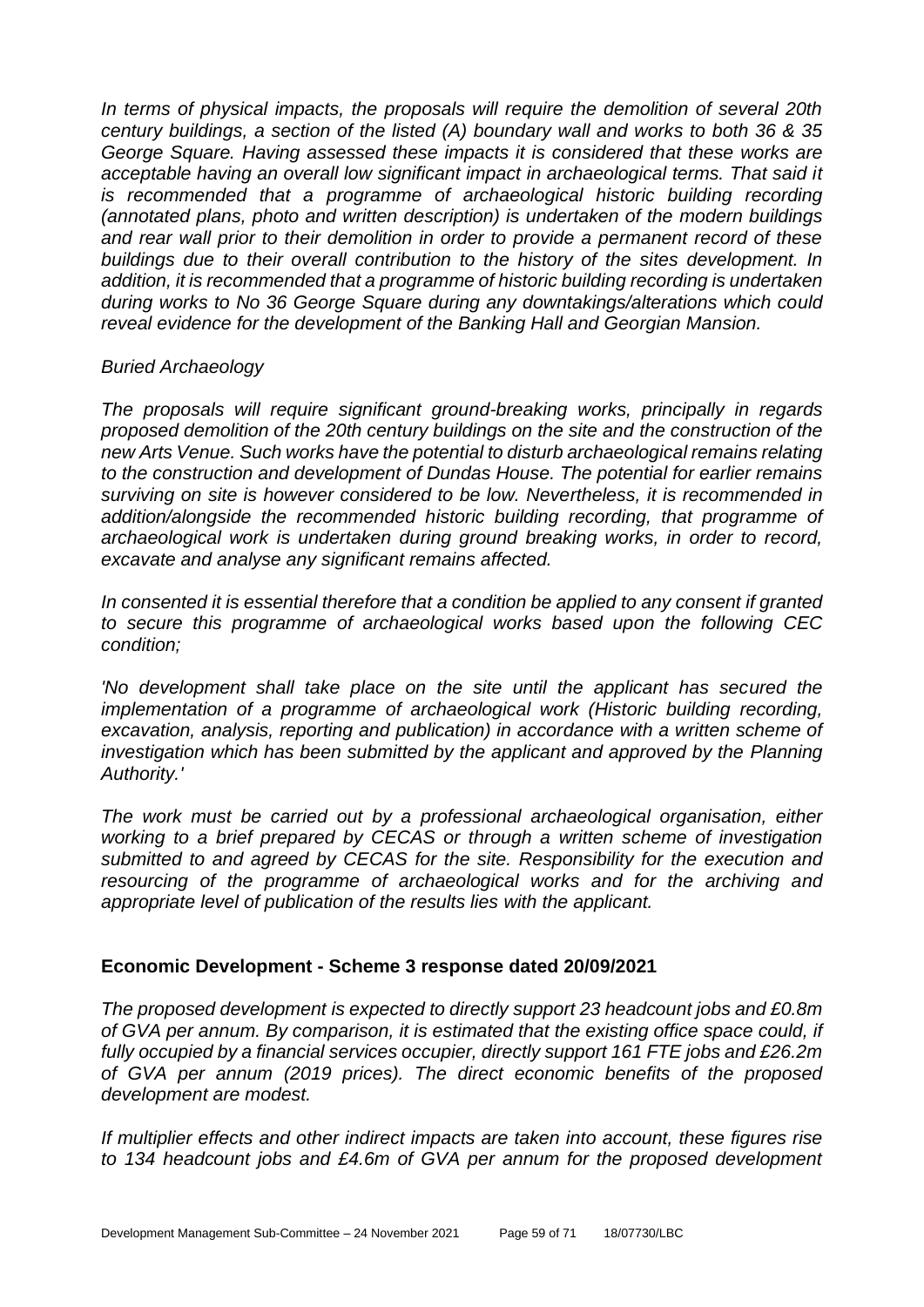*In terms of physical impacts, the proposals will require the demolition of several 20th century buildings, a section of the listed (A) boundary wall and works to both 36 & 35 George Square. Having assessed these impacts it is considered that these works are acceptable having an overall low significant impact in archaeological terms. That said it*  is recommended that a programme of archaeological historic building recording *(annotated plans, photo and written description) is undertaken of the modern buildings and rear wall prior to their demolition in order to provide a permanent record of these buildings due to their overall contribution to the history of the sites development. In addition, it is recommended that a programme of historic building recording is undertaken during works to No 36 George Square during any downtakings/alterations which could reveal evidence for the development of the Banking Hall and Georgian Mansion.* 

#### *Buried Archaeology*

*The proposals will require significant ground-breaking works, principally in regards proposed demolition of the 20th century buildings on the site and the construction of the new Arts Venue. Such works have the potential to disturb archaeological remains relating to the construction and development of Dundas House. The potential for earlier remains surviving on site is however considered to be low. Nevertheless, it is recommended in addition/alongside the recommended historic building recording, that programme of archaeological work is undertaken during ground breaking works, in order to record, excavate and analyse any significant remains affected.* 

*In consented it is essential therefore that a condition be applied to any consent if granted to secure this programme of archaeological works based upon the following CEC condition;* 

*'No development shall take place on the site until the applicant has secured the implementation of a programme of archaeological work (Historic building recording, excavation, analysis, reporting and publication) in accordance with a written scheme of investigation which has been submitted by the applicant and approved by the Planning Authority.'* 

*The work must be carried out by a professional archaeological organisation, either working to a brief prepared by CECAS or through a written scheme of investigation submitted to and agreed by CECAS for the site. Responsibility for the execution and resourcing of the programme of archaeological works and for the archiving and appropriate level of publication of the results lies with the applicant.*

#### **Economic Development - Scheme 3 response dated 20/09/2021**

*The proposed development is expected to directly support 23 headcount jobs and £0.8m of GVA per annum. By comparison, it is estimated that the existing office space could, if fully occupied by a financial services occupier, directly support 161 FTE jobs and £26.2m of GVA per annum (2019 prices). The direct economic benefits of the proposed development are modest.* 

*If multiplier effects and other indirect impacts are taken into account, these figures rise to 134 headcount jobs and £4.6m of GVA per annum for the proposed development*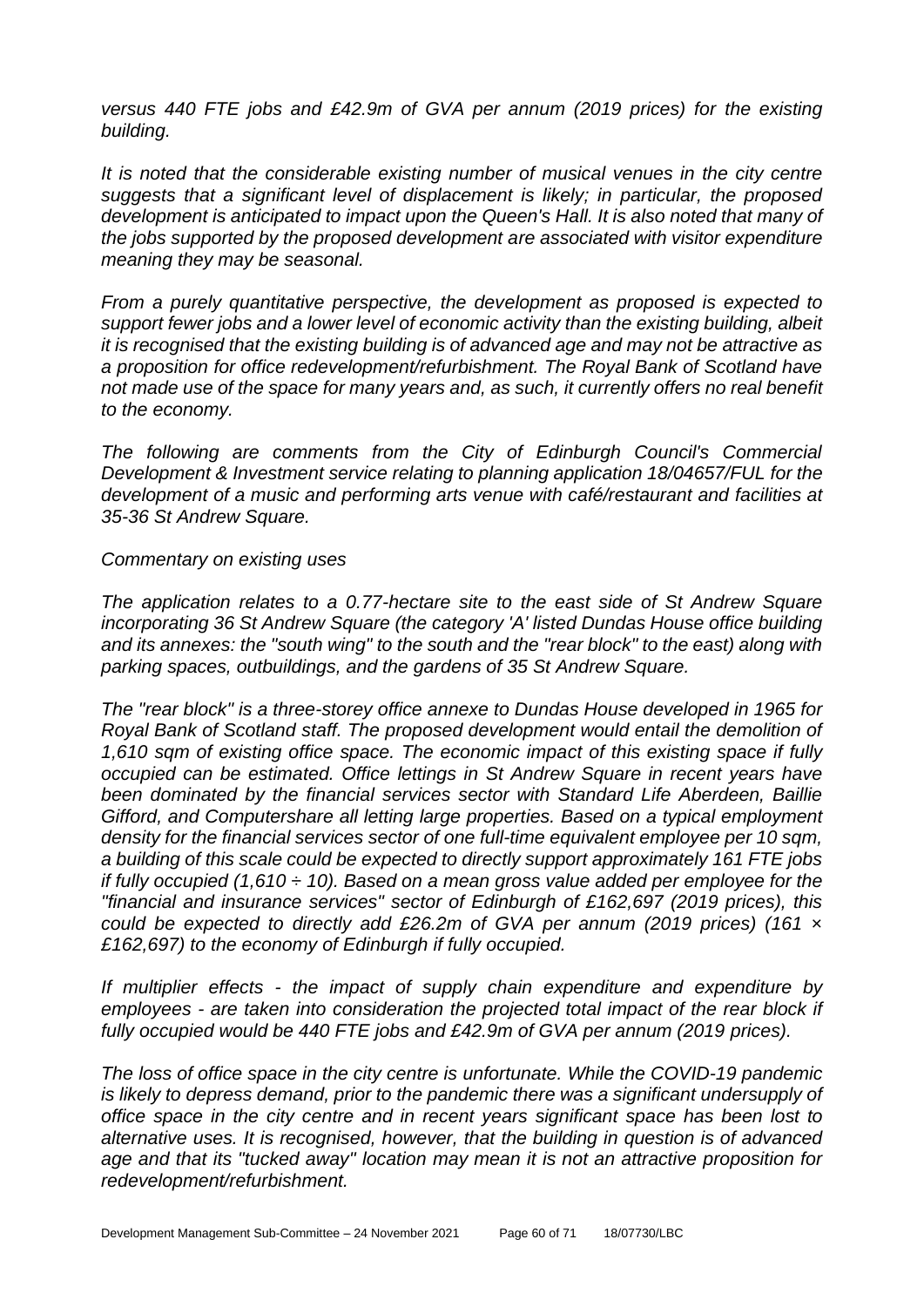*versus 440 FTE jobs and £42.9m of GVA per annum (2019 prices) for the existing building.*

*It is noted that the considerable existing number of musical venues in the city centre suggests that a significant level of displacement is likely; in particular, the proposed development is anticipated to impact upon the Queen's Hall. It is also noted that many of the jobs supported by the proposed development are associated with visitor expenditure meaning they may be seasonal.*

*From a purely quantitative perspective, the development as proposed is expected to support fewer jobs and a lower level of economic activity than the existing building, albeit it is recognised that the existing building is of advanced age and may not be attractive as a proposition for office redevelopment/refurbishment. The Royal Bank of Scotland have not made use of the space for many years and, as such, it currently offers no real benefit to the economy.*

*The following are comments from the City of Edinburgh Council's Commercial Development & Investment service relating to planning application 18/04657/FUL for the development of a music and performing arts venue with café/restaurant and facilities at 35-36 St Andrew Square.*

#### *Commentary on existing uses*

*The application relates to a 0.77-hectare site to the east side of St Andrew Square incorporating 36 St Andrew Square (the category 'A' listed Dundas House office building and its annexes: the "south wing" to the south and the "rear block" to the east) along with parking spaces, outbuildings, and the gardens of 35 St Andrew Square.*

*The "rear block" is a three-storey office annexe to Dundas House developed in 1965 for Royal Bank of Scotland staff. The proposed development would entail the demolition of 1,610 sqm of existing office space. The economic impact of this existing space if fully occupied can be estimated. Office lettings in St Andrew Square in recent years have been dominated by the financial services sector with Standard Life Aberdeen, Baillie Gifford, and Computershare all letting large properties. Based on a typical employment density for the financial services sector of one full-time equivalent employee per 10 sqm, a building of this scale could be expected to directly support approximately 161 FTE jobs if fully occupied (1,610 ÷ 10). Based on a mean gross value added per employee for the "financial and insurance services" sector of Edinburgh of £162,697 (2019 prices), this could be expected to directly add £26.2m of GVA per annum (2019 prices) (161 × £162,697) to the economy of Edinburgh if fully occupied.*

*If multiplier effects - the impact of supply chain expenditure and expenditure by employees - are taken into consideration the projected total impact of the rear block if fully occupied would be 440 FTE jobs and £42.9m of GVA per annum (2019 prices).*

*The loss of office space in the city centre is unfortunate. While the COVID-19 pandemic is likely to depress demand, prior to the pandemic there was a significant undersupply of office space in the city centre and in recent years significant space has been lost to alternative uses. It is recognised, however, that the building in question is of advanced age and that its "tucked away" location may mean it is not an attractive proposition for redevelopment/refurbishment.*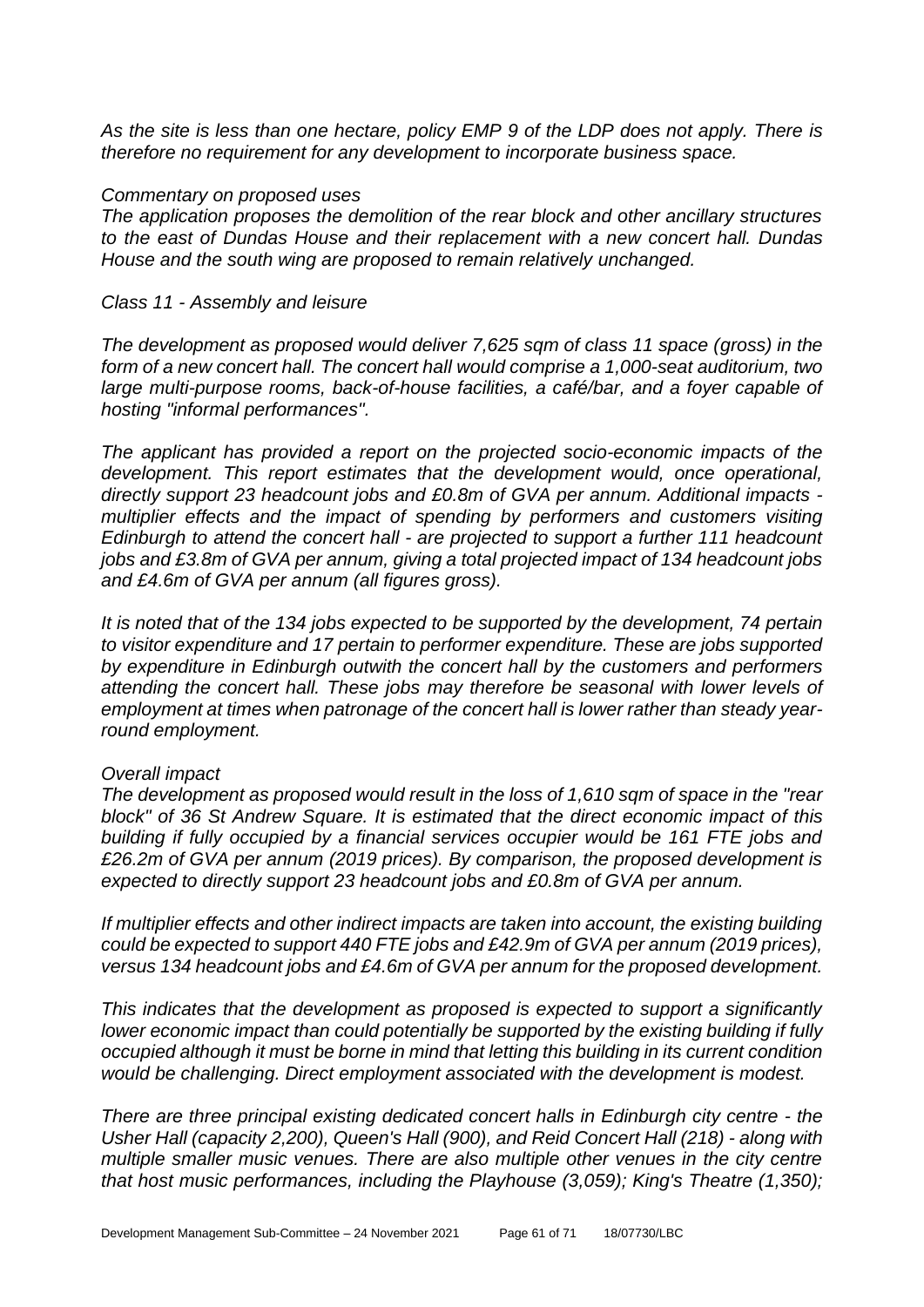*As the site is less than one hectare, policy EMP 9 of the LDP does not apply. There is therefore no requirement for any development to incorporate business space.*

#### *Commentary on proposed uses*

*The application proposes the demolition of the rear block and other ancillary structures to the east of Dundas House and their replacement with a new concert hall. Dundas House and the south wing are proposed to remain relatively unchanged.*

#### *Class 11 - Assembly and leisure*

*The development as proposed would deliver 7,625 sqm of class 11 space (gross) in the form of a new concert hall. The concert hall would comprise a 1,000-seat auditorium, two large multi-purpose rooms, back-of-house facilities, a café/bar, and a foyer capable of hosting "informal performances".*

*The applicant has provided a report on the projected socio-economic impacts of the development. This report estimates that the development would, once operational, directly support 23 headcount jobs and £0.8m of GVA per annum. Additional impacts multiplier effects and the impact of spending by performers and customers visiting Edinburgh to attend the concert hall - are projected to support a further 111 headcount jobs and £3.8m of GVA per annum, giving a total projected impact of 134 headcount jobs and £4.6m of GVA per annum (all figures gross).*

*It is noted that of the 134 jobs expected to be supported by the development, 74 pertain to visitor expenditure and 17 pertain to performer expenditure. These are jobs supported by expenditure in Edinburgh outwith the concert hall by the customers and performers attending the concert hall. These jobs may therefore be seasonal with lower levels of employment at times when patronage of the concert hall is lower rather than steady yearround employment.*

#### *Overall impact*

*The development as proposed would result in the loss of 1,610 sqm of space in the "rear block" of 36 St Andrew Square. It is estimated that the direct economic impact of this building if fully occupied by a financial services occupier would be 161 FTE jobs and £26.2m of GVA per annum (2019 prices). By comparison, the proposed development is expected to directly support 23 headcount jobs and £0.8m of GVA per annum.*

*If multiplier effects and other indirect impacts are taken into account, the existing building could be expected to support 440 FTE jobs and £42.9m of GVA per annum (2019 prices), versus 134 headcount jobs and £4.6m of GVA per annum for the proposed development.*

*This indicates that the development as proposed is expected to support a significantly lower economic impact than could potentially be supported by the existing building if fully occupied although it must be borne in mind that letting this building in its current condition would be challenging. Direct employment associated with the development is modest.*

*There are three principal existing dedicated concert halls in Edinburgh city centre - the Usher Hall (capacity 2,200), Queen's Hall (900), and Reid Concert Hall (218) - along with multiple smaller music venues. There are also multiple other venues in the city centre that host music performances, including the Playhouse (3,059); King's Theatre (1,350);*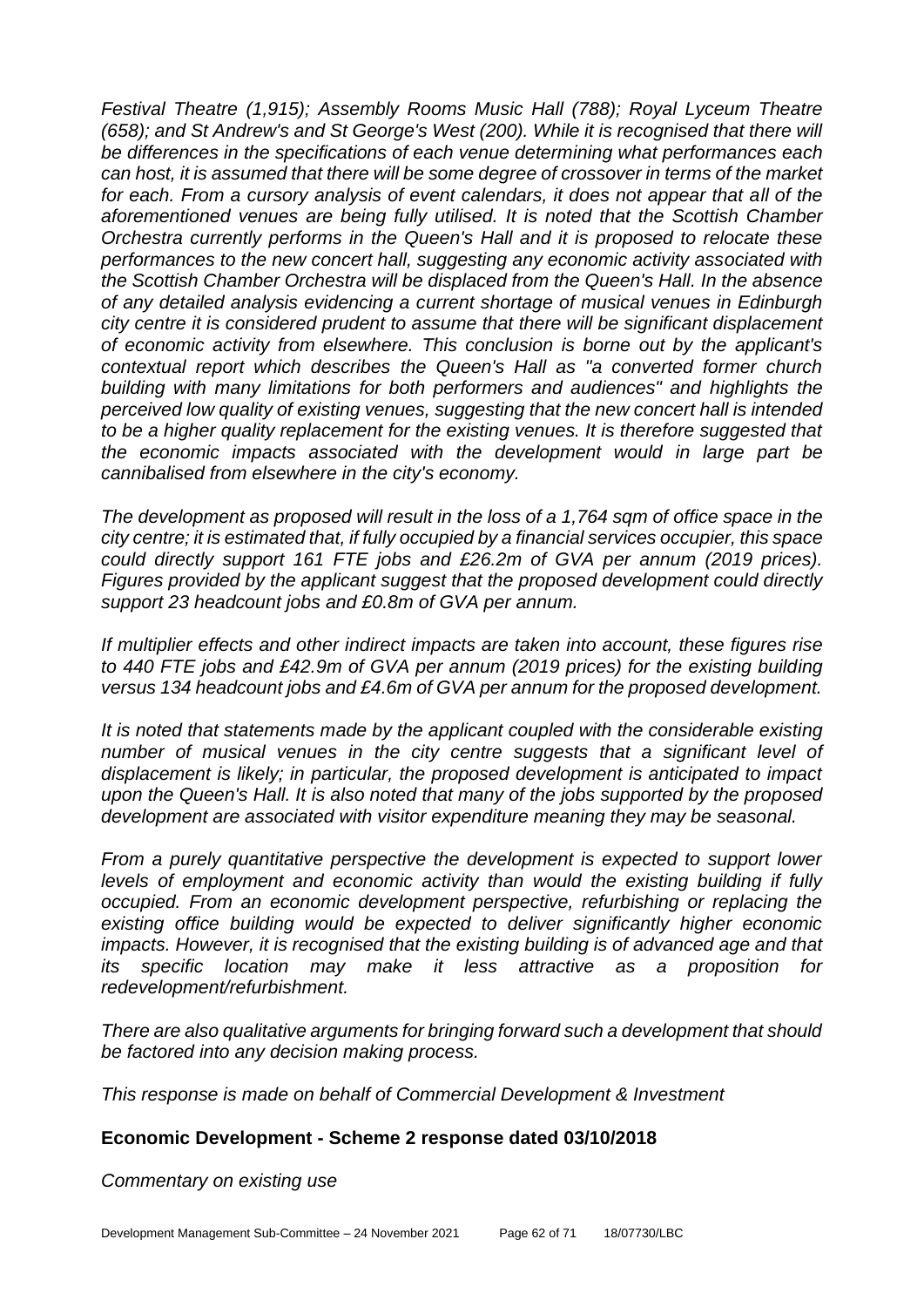*Festival Theatre (1,915); Assembly Rooms Music Hall (788); Royal Lyceum Theatre (658); and St Andrew's and St George's West (200). While it is recognised that there will be differences in the specifications of each venue determining what performances each can host, it is assumed that there will be some degree of crossover in terms of the market for each. From a cursory analysis of event calendars, it does not appear that all of the aforementioned venues are being fully utilised. It is noted that the Scottish Chamber Orchestra currently performs in the Queen's Hall and it is proposed to relocate these performances to the new concert hall, suggesting any economic activity associated with the Scottish Chamber Orchestra will be displaced from the Queen's Hall. In the absence of any detailed analysis evidencing a current shortage of musical venues in Edinburgh city centre it is considered prudent to assume that there will be significant displacement of economic activity from elsewhere. This conclusion is borne out by the applicant's contextual report which describes the Queen's Hall as "a converted former church building with many limitations for both performers and audiences" and highlights the perceived low quality of existing venues, suggesting that the new concert hall is intended to be a higher quality replacement for the existing venues. It is therefore suggested that the economic impacts associated with the development would in large part be cannibalised from elsewhere in the city's economy.*

*The development as proposed will result in the loss of a 1,764 sqm of office space in the city centre; it is estimated that, if fully occupied by a financial services occupier, this space could directly support 161 FTE jobs and £26.2m of GVA per annum (2019 prices). Figures provided by the applicant suggest that the proposed development could directly support 23 headcount jobs and £0.8m of GVA per annum.*

*If multiplier effects and other indirect impacts are taken into account, these figures rise to 440 FTE jobs and £42.9m of GVA per annum (2019 prices) for the existing building versus 134 headcount jobs and £4.6m of GVA per annum for the proposed development.*

*It is noted that statements made by the applicant coupled with the considerable existing*  number of musical venues in the city centre suggests that a significant level of *displacement is likely; in particular, the proposed development is anticipated to impact upon the Queen's Hall. It is also noted that many of the jobs supported by the proposed development are associated with visitor expenditure meaning they may be seasonal.*

*From a purely quantitative perspective the development is expected to support lower levels of employment and economic activity than would the existing building if fully occupied. From an economic development perspective, refurbishing or replacing the existing office building would be expected to deliver significantly higher economic impacts. However, it is recognised that the existing building is of advanced age and that its specific location may make it less attractive as a proposition for redevelopment/refurbishment.* 

*There are also qualitative arguments for bringing forward such a development that should be factored into any decision making process.*

*This response is made on behalf of Commercial Development & Investment*

#### **Economic Development - Scheme 2 response dated 03/10/2018**

*Commentary on existing use*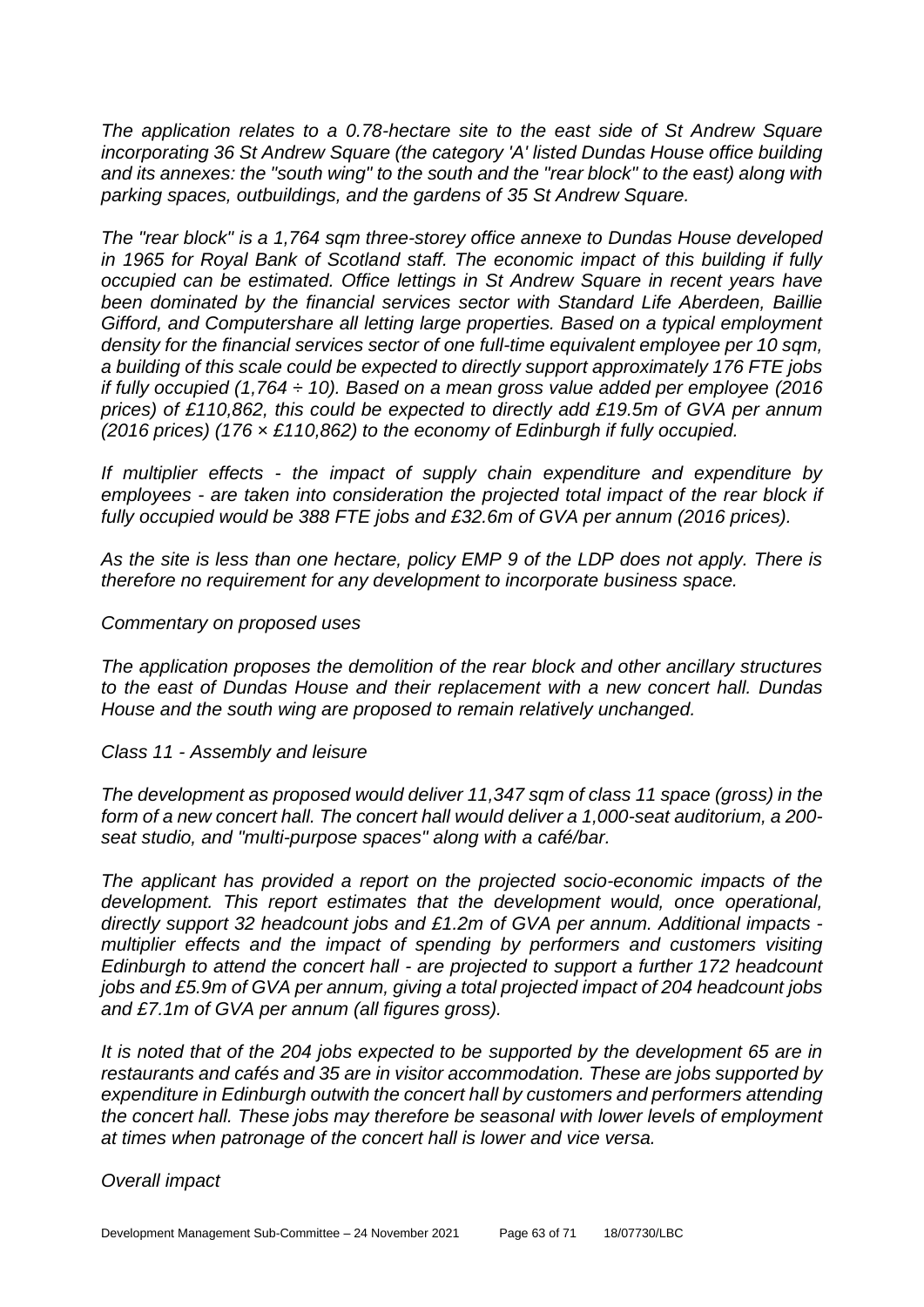*The application relates to a 0.78-hectare site to the east side of St Andrew Square incorporating 36 St Andrew Square (the category 'A' listed Dundas House office building and its annexes: the "south wing" to the south and the "rear block" to the east) along with parking spaces, outbuildings, and the gardens of 35 St Andrew Square.*

*The "rear block" is a 1,764 sqm three-storey office annexe to Dundas House developed in 1965 for Royal Bank of Scotland staff. The economic impact of this building if fully occupied can be estimated. Office lettings in St Andrew Square in recent years have been dominated by the financial services sector with Standard Life Aberdeen, Baillie Gifford, and Computershare all letting large properties. Based on a typical employment density for the financial services sector of one full-time equivalent employee per 10 sqm, a building of this scale could be expected to directly support approximately 176 FTE jobs if fully occupied (1,764 ÷ 10). Based on a mean gross value added per employee (2016 prices) of £110,862, this could be expected to directly add £19.5m of GVA per annum (2016 prices) (176 × £110,862) to the economy of Edinburgh if fully occupied.*

*If multiplier effects - the impact of supply chain expenditure and expenditure by employees - are taken into consideration the projected total impact of the rear block if fully occupied would be 388 FTE jobs and £32.6m of GVA per annum (2016 prices).*

*As the site is less than one hectare, policy EMP 9 of the LDP does not apply. There is therefore no requirement for any development to incorporate business space.*

#### *Commentary on proposed uses*

*The application proposes the demolition of the rear block and other ancillary structures to the east of Dundas House and their replacement with a new concert hall. Dundas House and the south wing are proposed to remain relatively unchanged.*

#### *Class 11 - Assembly and leisure*

*The development as proposed would deliver 11,347 sqm of class 11 space (gross) in the form of a new concert hall. The concert hall would deliver a 1,000-seat auditorium, a 200 seat studio, and "multi-purpose spaces" along with a café/bar.*

*The applicant has provided a report on the projected socio-economic impacts of the development. This report estimates that the development would, once operational, directly support 32 headcount jobs and £1.2m of GVA per annum. Additional impacts multiplier effects and the impact of spending by performers and customers visiting Edinburgh to attend the concert hall - are projected to support a further 172 headcount jobs and £5.9m of GVA per annum, giving a total projected impact of 204 headcount jobs and £7.1m of GVA per annum (all figures gross).* 

*It is noted that of the 204 jobs expected to be supported by the development 65 are in restaurants and cafés and 35 are in visitor accommodation. These are jobs supported by expenditure in Edinburgh outwith the concert hall by customers and performers attending the concert hall. These jobs may therefore be seasonal with lower levels of employment at times when patronage of the concert hall is lower and vice versa.*

#### *Overall impact*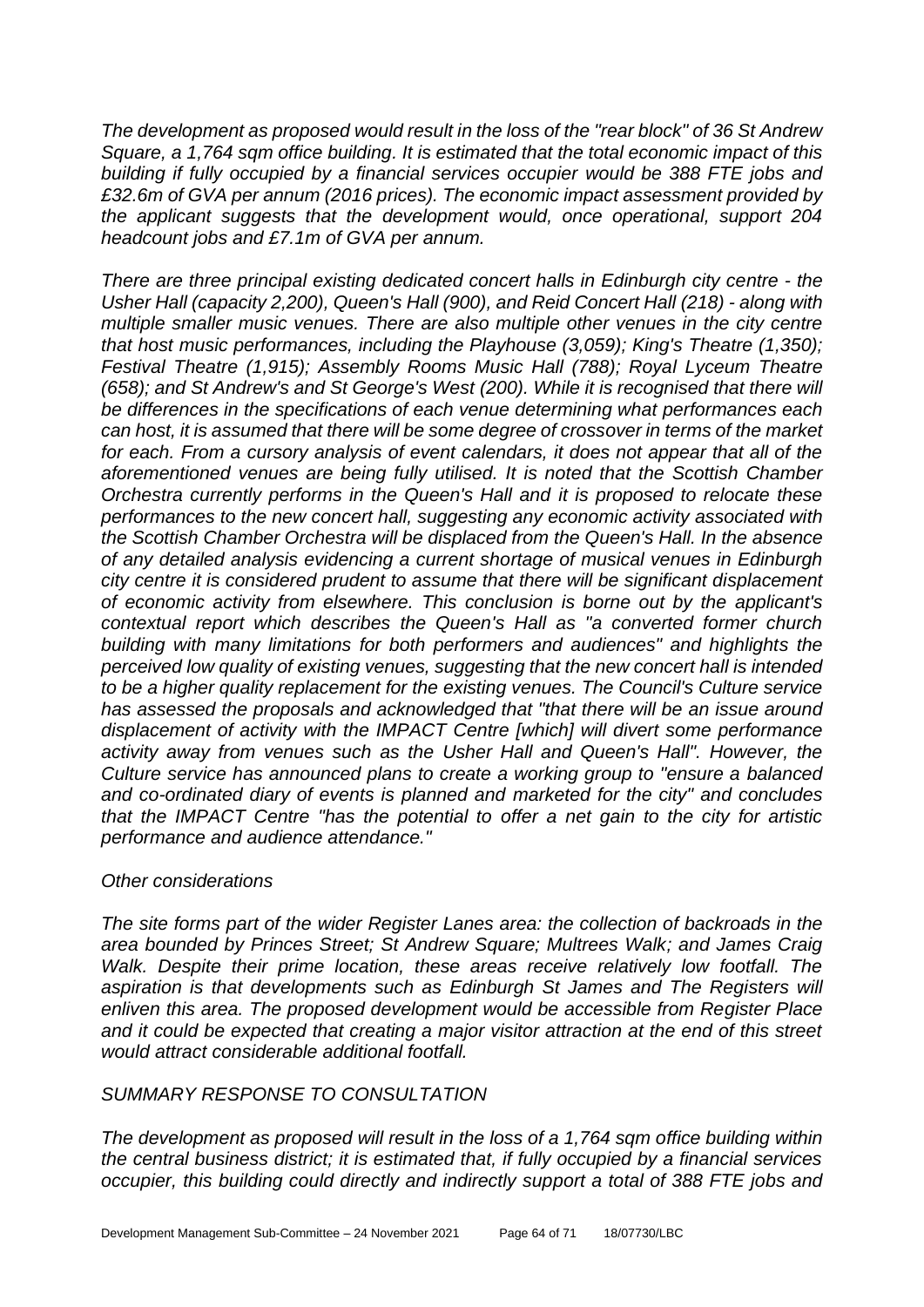*The development as proposed would result in the loss of the "rear block" of 36 St Andrew Square, a 1,764 sqm office building. It is estimated that the total economic impact of this building if fully occupied by a financial services occupier would be 388 FTE jobs and £32.6m of GVA per annum (2016 prices). The economic impact assessment provided by the applicant suggests that the development would, once operational, support 204 headcount jobs and £7.1m of GVA per annum.* 

*There are three principal existing dedicated concert halls in Edinburgh city centre - the Usher Hall (capacity 2,200), Queen's Hall (900), and Reid Concert Hall (218) - along with multiple smaller music venues. There are also multiple other venues in the city centre that host music performances, including the Playhouse (3,059); King's Theatre (1,350); Festival Theatre (1,915); Assembly Rooms Music Hall (788); Royal Lyceum Theatre (658); and St Andrew's and St George's West (200). While it is recognised that there will be differences in the specifications of each venue determining what performances each can host, it is assumed that there will be some degree of crossover in terms of the market for each. From a cursory analysis of event calendars, it does not appear that all of the aforementioned venues are being fully utilised. It is noted that the Scottish Chamber Orchestra currently performs in the Queen's Hall and it is proposed to relocate these performances to the new concert hall, suggesting any economic activity associated with the Scottish Chamber Orchestra will be displaced from the Queen's Hall. In the absence of any detailed analysis evidencing a current shortage of musical venues in Edinburgh city centre it is considered prudent to assume that there will be significant displacement of economic activity from elsewhere. This conclusion is borne out by the applicant's contextual report which describes the Queen's Hall as "a converted former church building with many limitations for both performers and audiences" and highlights the perceived low quality of existing venues, suggesting that the new concert hall is intended to be a higher quality replacement for the existing venues. The Council's Culture service has assessed the proposals and acknowledged that "that there will be an issue around displacement of activity with the IMPACT Centre [which] will divert some performance activity away from venues such as the Usher Hall and Queen's Hall". However, the Culture service has announced plans to create a working group to "ensure a balanced and co-ordinated diary of events is planned and marketed for the city" and concludes that the IMPACT Centre "has the potential to offer a net gain to the city for artistic performance and audience attendance."*

#### *Other considerations*

*The site forms part of the wider Register Lanes area: the collection of backroads in the area bounded by Princes Street; St Andrew Square; Multrees Walk; and James Craig Walk. Despite their prime location, these areas receive relatively low footfall. The*  aspiration is that developments such as Edinburgh St James and The Registers will *enliven this area. The proposed development would be accessible from Register Place and it could be expected that creating a major visitor attraction at the end of this street would attract considerable additional footfall.*

## *SUMMARY RESPONSE TO CONSULTATION*

*The development as proposed will result in the loss of a 1,764 sqm office building within the central business district; it is estimated that, if fully occupied by a financial services occupier, this building could directly and indirectly support a total of 388 FTE jobs and*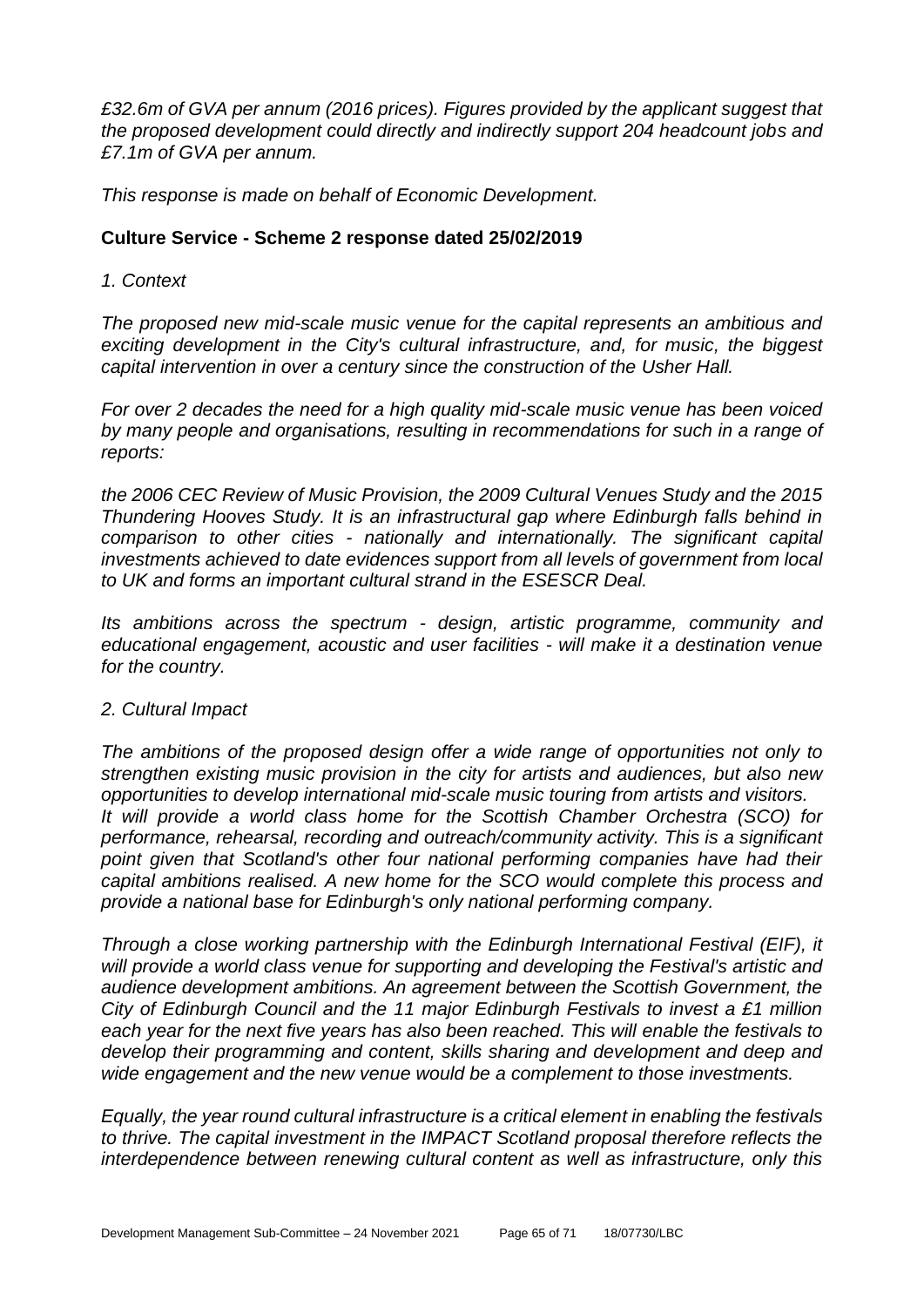*£32.6m of GVA per annum (2016 prices). Figures provided by the applicant suggest that the proposed development could directly and indirectly support 204 headcount jobs and £7.1m of GVA per annum.*

*This response is made on behalf of Economic Development.*

#### **Culture Service - Scheme 2 response dated 25/02/2019**

#### *1. Context*

*The proposed new mid-scale music venue for the capital represents an ambitious and exciting development in the City's cultural infrastructure, and, for music, the biggest capital intervention in over a century since the construction of the Usher Hall.* 

*For over 2 decades the need for a high quality mid-scale music venue has been voiced by many people and organisations, resulting in recommendations for such in a range of reports:* 

*the 2006 CEC Review of Music Provision, the 2009 Cultural Venues Study and the 2015 Thundering Hooves Study. It is an infrastructural gap where Edinburgh falls behind in comparison to other cities - nationally and internationally. The significant capital investments achieved to date evidences support from all levels of government from local to UK and forms an important cultural strand in the ESESCR Deal.* 

*Its ambitions across the spectrum - design, artistic programme, community and educational engagement, acoustic and user facilities - will make it a destination venue for the country.* 

#### *2. Cultural Impact*

*The ambitions of the proposed design offer a wide range of opportunities not only to strengthen existing music provision in the city for artists and audiences, but also new opportunities to develop international mid-scale music touring from artists and visitors. It will provide a world class home for the Scottish Chamber Orchestra (SCO) for performance, rehearsal, recording and outreach/community activity. This is a significant*  point given that Scotland's other four national performing companies have had their *capital ambitions realised. A new home for the SCO would complete this process and provide a national base for Edinburgh's only national performing company.*

*Through a close working partnership with the Edinburgh International Festival (EIF), it will provide a world class venue for supporting and developing the Festival's artistic and audience development ambitions. An agreement between the Scottish Government, the City of Edinburgh Council and the 11 major Edinburgh Festivals to invest a £1 million each year for the next five years has also been reached. This will enable the festivals to develop their programming and content, skills sharing and development and deep and wide engagement and the new venue would be a complement to those investments.* 

*Equally, the year round cultural infrastructure is a critical element in enabling the festivals to thrive. The capital investment in the IMPACT Scotland proposal therefore reflects the interdependence between renewing cultural content as well as infrastructure, only this*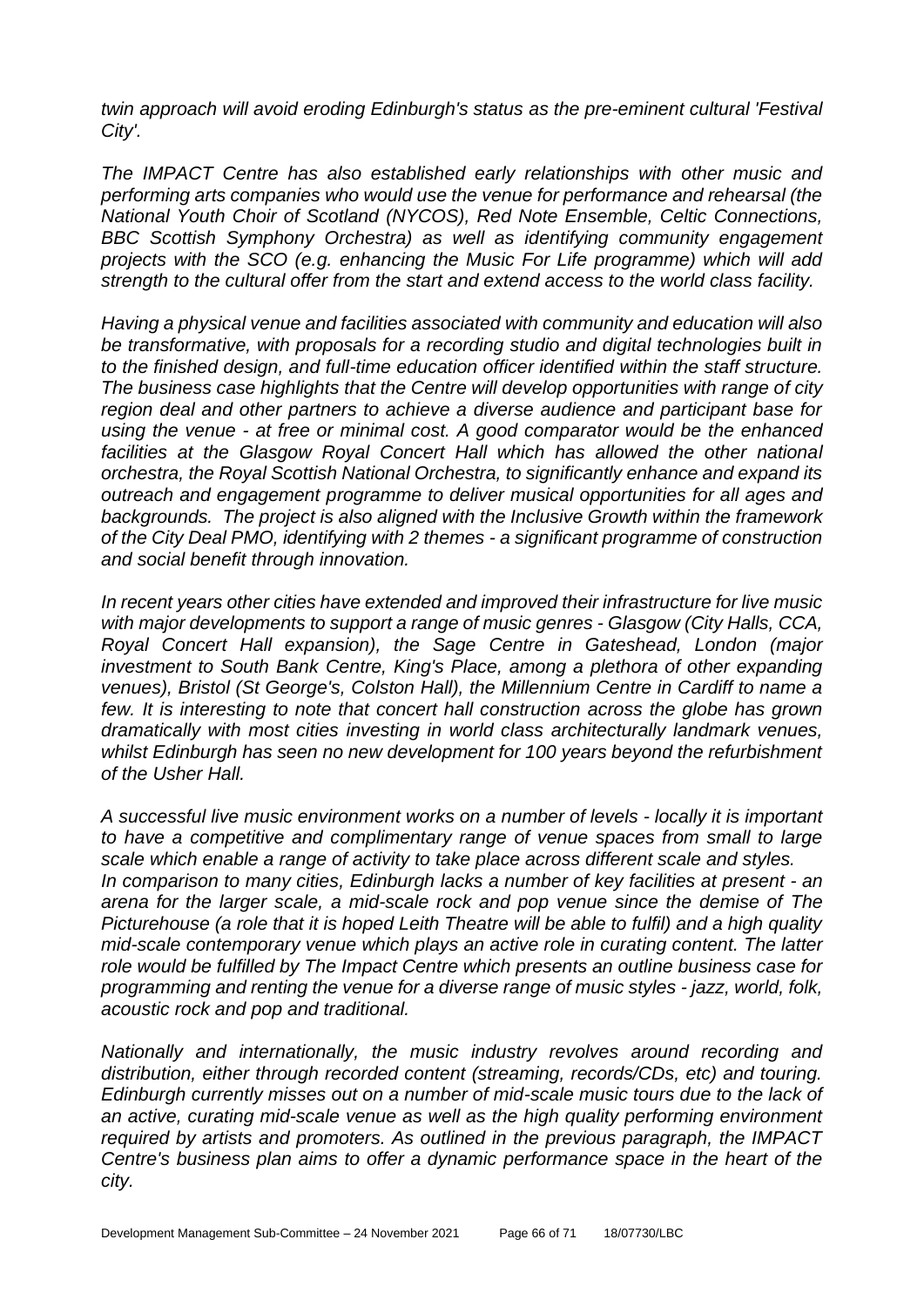*twin approach will avoid eroding Edinburgh's status as the pre-eminent cultural 'Festival City'.* 

*The IMPACT Centre has also established early relationships with other music and performing arts companies who would use the venue for performance and rehearsal (the National Youth Choir of Scotland (NYCOS), Red Note Ensemble, Celtic Connections, BBC Scottish Symphony Orchestra) as well as identifying community engagement projects with the SCO (e.g. enhancing the Music For Life programme) which will add strength to the cultural offer from the start and extend access to the world class facility.* 

*Having a physical venue and facilities associated with community and education will also be transformative, with proposals for a recording studio and digital technologies built in to the finished design, and full-time education officer identified within the staff structure. The business case highlights that the Centre will develop opportunities with range of city region deal and other partners to achieve a diverse audience and participant base for using the venue - at free or minimal cost. A good comparator would be the enhanced*  facilities at the Glasgow Royal Concert Hall which has allowed the other national *orchestra, the Royal Scottish National Orchestra, to significantly enhance and expand its outreach and engagement programme to deliver musical opportunities for all ages and backgrounds. The project is also aligned with the Inclusive Growth within the framework of the City Deal PMO, identifying with 2 themes - a significant programme of construction and social benefit through innovation.* 

*In recent years other cities have extended and improved their infrastructure for live music with major developments to support a range of music genres - Glasgow (City Halls, CCA, Royal Concert Hall expansion), the Sage Centre in Gateshead, London (major investment to South Bank Centre, King's Place, among a plethora of other expanding venues), Bristol (St George's, Colston Hall), the Millennium Centre in Cardiff to name a few. It is interesting to note that concert hall construction across the globe has grown dramatically with most cities investing in world class architecturally landmark venues, whilst Edinburgh has seen no new development for 100 years beyond the refurbishment of the Usher Hall.* 

*A successful live music environment works on a number of levels - locally it is important to have a competitive and complimentary range of venue spaces from small to large scale which enable a range of activity to take place across different scale and styles. In comparison to many cities, Edinburgh lacks a number of key facilities at present - an arena for the larger scale, a mid-scale rock and pop venue since the demise of The Picturehouse (a role that it is hoped Leith Theatre will be able to fulfil) and a high quality mid-scale contemporary venue which plays an active role in curating content. The latter role would be fulfilled by The Impact Centre which presents an outline business case for programming and renting the venue for a diverse range of music styles - jazz, world, folk, acoustic rock and pop and traditional.* 

*Nationally and internationally, the music industry revolves around recording and distribution, either through recorded content (streaming, records/CDs, etc) and touring. Edinburgh currently misses out on a number of mid-scale music tours due to the lack of an active, curating mid-scale venue as well as the high quality performing environment required by artists and promoters. As outlined in the previous paragraph, the IMPACT Centre's business plan aims to offer a dynamic performance space in the heart of the city.*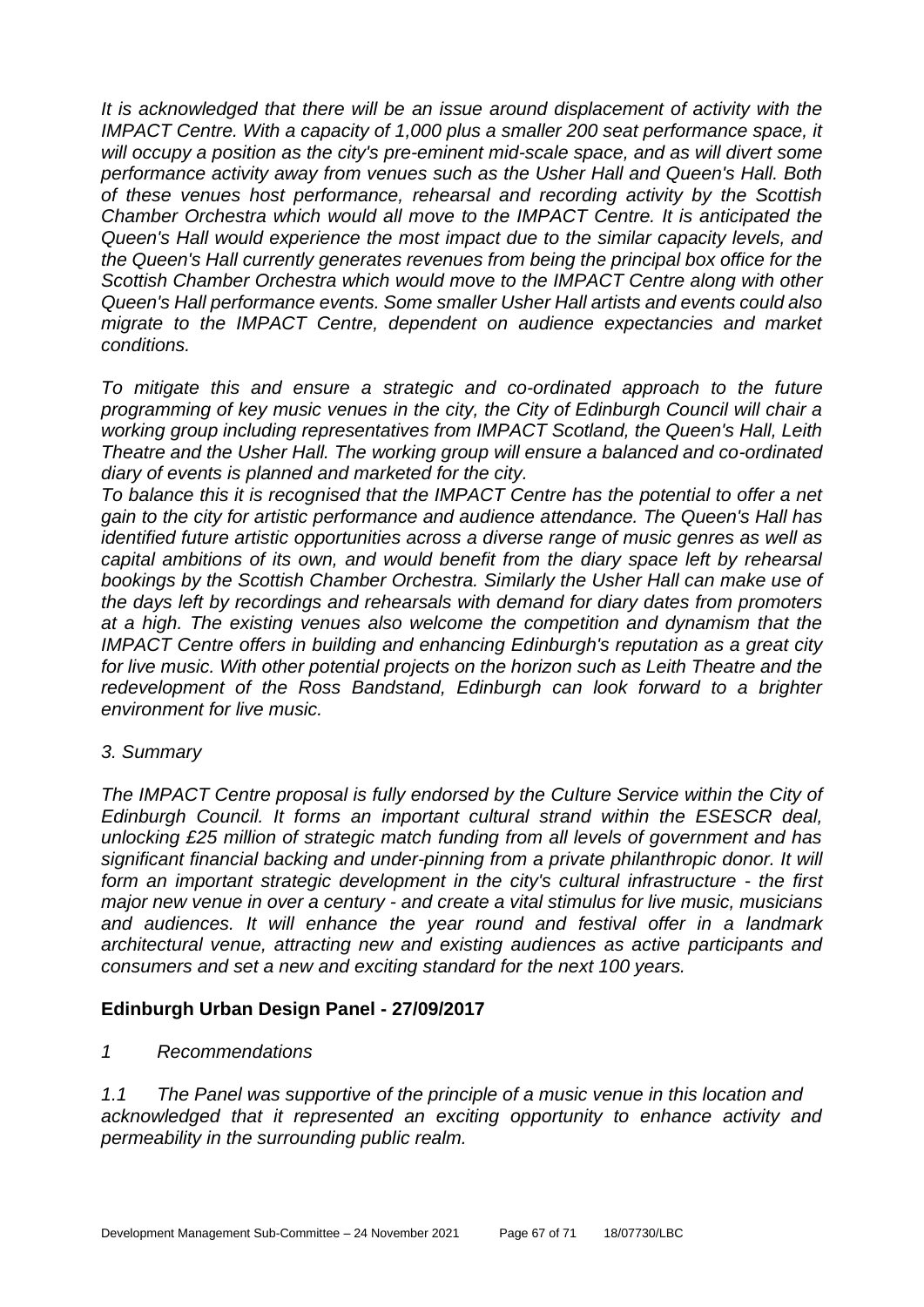*It is acknowledged that there will be an issue around displacement of activity with the IMPACT Centre. With a capacity of 1,000 plus a smaller 200 seat performance space, it will occupy a position as the city's pre-eminent mid-scale space, and as will divert some performance activity away from venues such as the Usher Hall and Queen's Hall. Both of these venues host performance, rehearsal and recording activity by the Scottish Chamber Orchestra which would all move to the IMPACT Centre. It is anticipated the Queen's Hall would experience the most impact due to the similar capacity levels, and the Queen's Hall currently generates revenues from being the principal box office for the Scottish Chamber Orchestra which would move to the IMPACT Centre along with other Queen's Hall performance events. Some smaller Usher Hall artists and events could also migrate to the IMPACT Centre, dependent on audience expectancies and market conditions.* 

*To mitigate this and ensure a strategic and co-ordinated approach to the future programming of key music venues in the city, the City of Edinburgh Council will chair a working group including representatives from IMPACT Scotland, the Queen's Hall, Leith Theatre and the Usher Hall. The working group will ensure a balanced and co-ordinated diary of events is planned and marketed for the city.* 

*To balance this it is recognised that the IMPACT Centre has the potential to offer a net gain to the city for artistic performance and audience attendance. The Queen's Hall has identified future artistic opportunities across a diverse range of music genres as well as capital ambitions of its own, and would benefit from the diary space left by rehearsal bookings by the Scottish Chamber Orchestra. Similarly the Usher Hall can make use of the days left by recordings and rehearsals with demand for diary dates from promoters at a high. The existing venues also welcome the competition and dynamism that the IMPACT Centre offers in building and enhancing Edinburgh's reputation as a great city for live music. With other potential projects on the horizon such as Leith Theatre and the redevelopment of the Ross Bandstand, Edinburgh can look forward to a brighter environment for live music.* 

#### *3. Summary*

*The IMPACT Centre proposal is fully endorsed by the Culture Service within the City of Edinburgh Council. It forms an important cultural strand within the ESESCR deal, unlocking £25 million of strategic match funding from all levels of government and has significant financial backing and under-pinning from a private philanthropic donor. It will form an important strategic development in the city's cultural infrastructure - the first major new venue in over a century - and create a vital stimulus for live music, musicians and audiences. It will enhance the year round and festival offer in a landmark architectural venue, attracting new and existing audiences as active participants and consumers and set a new and exciting standard for the next 100 years.*

## **Edinburgh Urban Design Panel - 27/09/2017**

*1 Recommendations* 

*1.1 The Panel was supportive of the principle of a music venue in this location and acknowledged that it represented an exciting opportunity to enhance activity and permeability in the surrounding public realm.*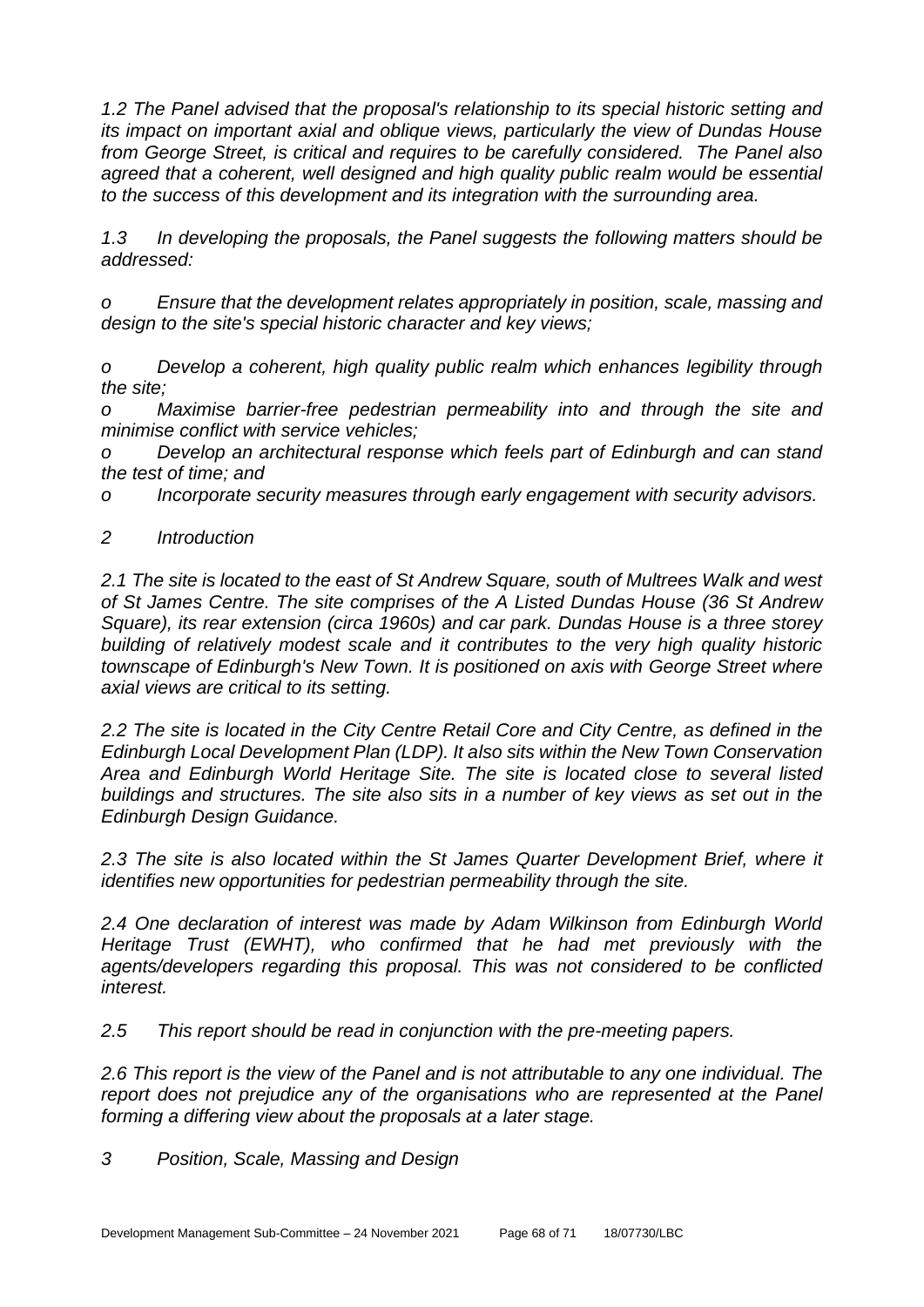*1.2 The Panel advised that the proposal's relationship to its special historic setting and its impact on important axial and oblique views, particularly the view of Dundas House from George Street, is critical and requires to be carefully considered. The Panel also agreed that a coherent, well designed and high quality public realm would be essential to the success of this development and its integration with the surrounding area.* 

*1.3 In developing the proposals, the Panel suggests the following matters should be addressed:* 

*o Ensure that the development relates appropriately in position, scale, massing and design to the site's special historic character and key views;* 

*o Develop a coherent, high quality public realm which enhances legibility through the site;* 

*o Maximise barrier-free pedestrian permeability into and through the site and minimise conflict with service vehicles;* 

*o Develop an architectural response which feels part of Edinburgh and can stand the test of time; and* 

*o Incorporate security measures through early engagement with security advisors.*

## *2 Introduction*

*2.1 The site is located to the east of St Andrew Square, south of Multrees Walk and west of St James Centre. The site comprises of the A Listed Dundas House (36 St Andrew Square), its rear extension (circa 1960s) and car park. Dundas House is a three storey building of relatively modest scale and it contributes to the very high quality historic townscape of Edinburgh's New Town. It is positioned on axis with George Street where axial views are critical to its setting.* 

*2.2 The site is located in the City Centre Retail Core and City Centre, as defined in the Edinburgh Local Development Plan (LDP). It also sits within the New Town Conservation Area and Edinburgh World Heritage Site. The site is located close to several listed buildings and structures. The site also sits in a number of key views as set out in the Edinburgh Design Guidance.* 

*2.3 The site is also located within the St James Quarter Development Brief, where it identifies new opportunities for pedestrian permeability through the site.* 

*2.4 One declaration of interest was made by Adam Wilkinson from Edinburgh World Heritage Trust (EWHT), who confirmed that he had met previously with the agents/developers regarding this proposal. This was not considered to be conflicted interest.* 

*2.5 This report should be read in conjunction with the pre-meeting papers.* 

*2.6 This report is the view of the Panel and is not attributable to any one individual. The report does not prejudice any of the organisations who are represented at the Panel forming a differing view about the proposals at a later stage.* 

*3 Position, Scale, Massing and Design*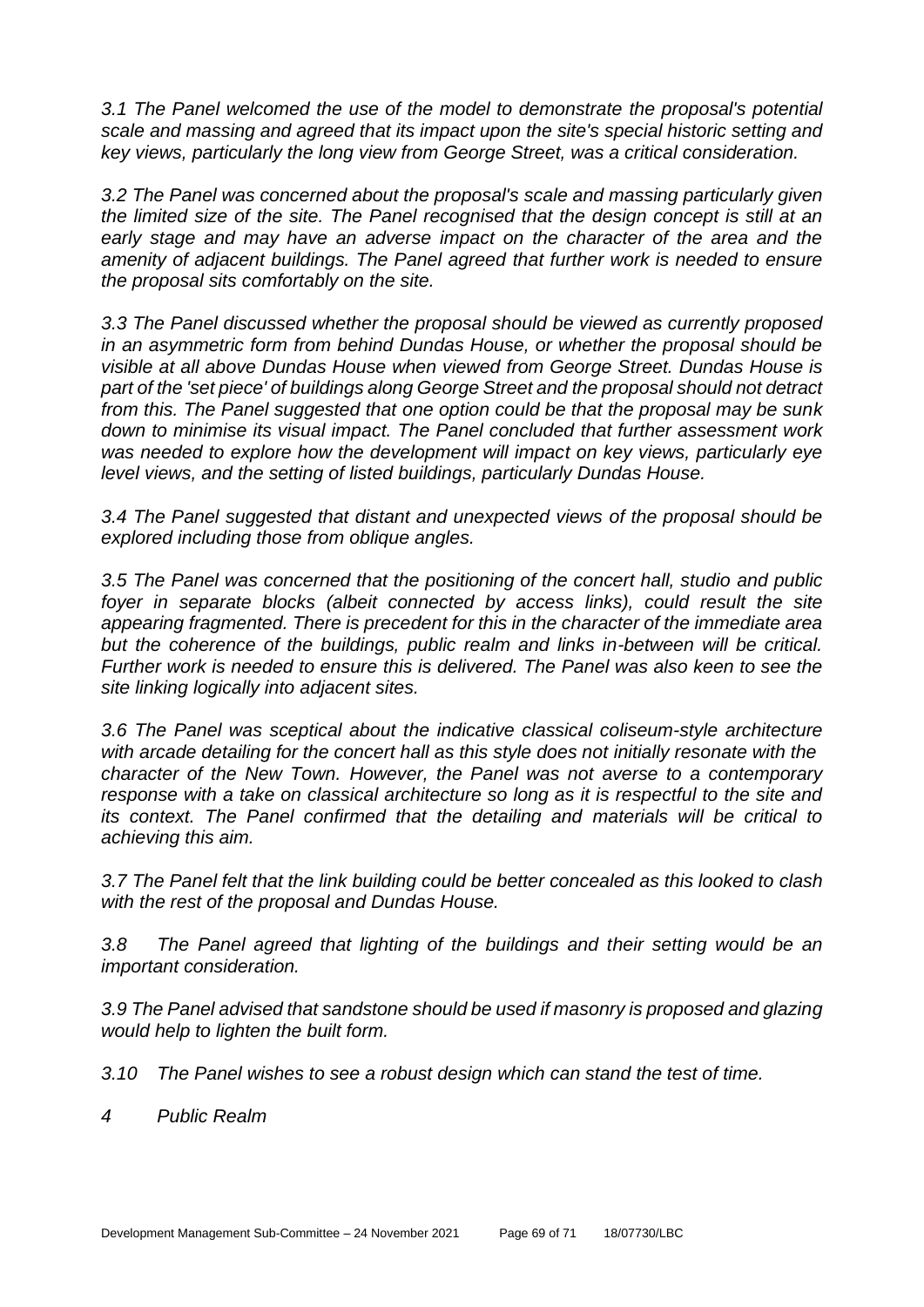*3.1 The Panel welcomed the use of the model to demonstrate the proposal's potential scale and massing and agreed that its impact upon the site's special historic setting and key views, particularly the long view from George Street, was a critical consideration.* 

*3.2 The Panel was concerned about the proposal's scale and massing particularly given the limited size of the site. The Panel recognised that the design concept is still at an early stage and may have an adverse impact on the character of the area and the amenity of adjacent buildings. The Panel agreed that further work is needed to ensure the proposal sits comfortably on the site.* 

*3.3 The Panel discussed whether the proposal should be viewed as currently proposed in an asymmetric form from behind Dundas House, or whether the proposal should be visible at all above Dundas House when viewed from George Street. Dundas House is part of the 'set piece' of buildings along George Street and the proposal should not detract from this. The Panel suggested that one option could be that the proposal may be sunk down to minimise its visual impact. The Panel concluded that further assessment work was needed to explore how the development will impact on key views, particularly eye level views, and the setting of listed buildings, particularly Dundas House.* 

*3.4 The Panel suggested that distant and unexpected views of the proposal should be explored including those from oblique angles.* 

*3.5 The Panel was concerned that the positioning of the concert hall, studio and public*  foyer in separate blocks (albeit connected by access links), could result the site *appearing fragmented. There is precedent for this in the character of the immediate area but the coherence of the buildings, public realm and links in-between will be critical. Further work is needed to ensure this is delivered. The Panel was also keen to see the site linking logically into adjacent sites.* 

*3.6 The Panel was sceptical about the indicative classical coliseum-style architecture with arcade detailing for the concert hall as this style does not initially resonate with the character of the New Town. However, the Panel was not averse to a contemporary response with a take on classical architecture so long as it is respectful to the site and its context. The Panel confirmed that the detailing and materials will be critical to achieving this aim.* 

*3.7 The Panel felt that the link building could be better concealed as this looked to clash with the rest of the proposal and Dundas House.* 

*3.8 The Panel agreed that lighting of the buildings and their setting would be an important consideration.* 

*3.9 The Panel advised that sandstone should be used if masonry is proposed and glazing would help to lighten the built form.* 

*3.10 The Panel wishes to see a robust design which can stand the test of time.* 

*4 Public Realm*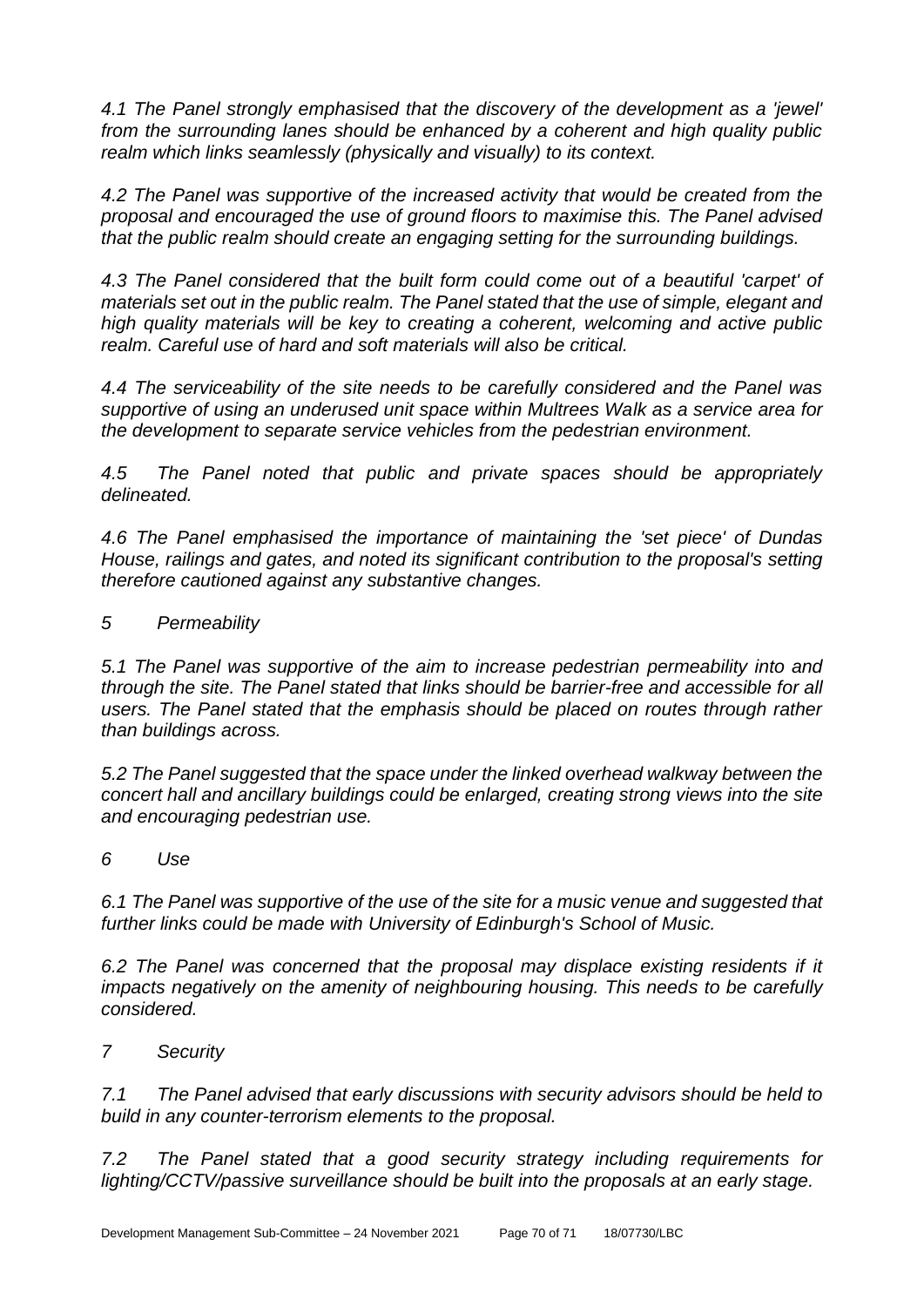*4.1 The Panel strongly emphasised that the discovery of the development as a 'jewel' from the surrounding lanes should be enhanced by a coherent and high quality public realm which links seamlessly (physically and visually) to its context.* 

*4.2 The Panel was supportive of the increased activity that would be created from the proposal and encouraged the use of ground floors to maximise this. The Panel advised that the public realm should create an engaging setting for the surrounding buildings.* 

*4.3 The Panel considered that the built form could come out of a beautiful 'carpet' of materials set out in the public realm. The Panel stated that the use of simple, elegant and high quality materials will be key to creating a coherent, welcoming and active public realm. Careful use of hard and soft materials will also be critical.* 

*4.4 The serviceability of the site needs to be carefully considered and the Panel was supportive of using an underused unit space within Multrees Walk as a service area for the development to separate service vehicles from the pedestrian environment.* 

*4.5 The Panel noted that public and private spaces should be appropriately delineated.* 

*4.6 The Panel emphasised the importance of maintaining the 'set piece' of Dundas House, railings and gates, and noted its significant contribution to the proposal's setting therefore cautioned against any substantive changes.* 

*5 Permeability* 

*5.1 The Panel was supportive of the aim to increase pedestrian permeability into and through the site. The Panel stated that links should be barrier-free and accessible for all users. The Panel stated that the emphasis should be placed on routes through rather than buildings across.* 

*5.2 The Panel suggested that the space under the linked overhead walkway between the concert hall and ancillary buildings could be enlarged, creating strong views into the site and encouraging pedestrian use.* 

*6 Use* 

*6.1 The Panel was supportive of the use of the site for a music venue and suggested that further links could be made with University of Edinburgh's School of Music.* 

6.2 The Panel was concerned that the proposal may displace existing residents if it *impacts negatively on the amenity of neighbouring housing. This needs to be carefully considered.* 

*7 Security* 

*7.1 The Panel advised that early discussions with security advisors should be held to build in any counter-terrorism elements to the proposal.* 

*7.2 The Panel stated that a good security strategy including requirements for lighting/CCTV/passive surveillance should be built into the proposals at an early stage.*